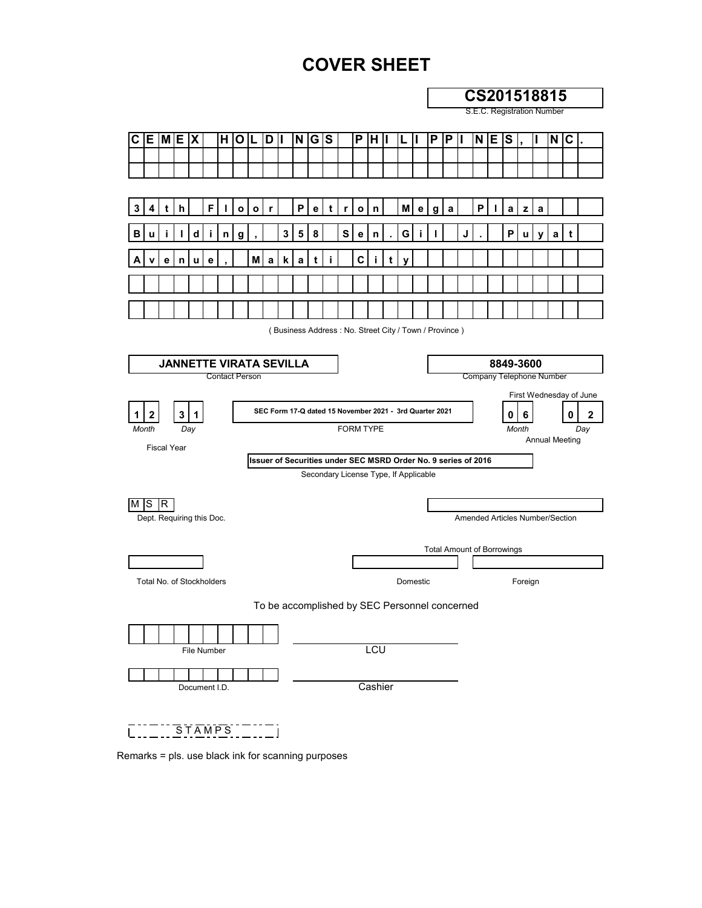# **COVER SHEET**

| C E M E X<br>N G S<br>H <sub>1</sub><br>OL<br>D II<br>P<br>P<br>$N \mid E \mid S$<br>IH II<br>P<br>Ш<br>F.<br>$\boldsymbol{\mathsf{P}}$<br>P<br>M<br>3<br>h<br>L<br>$\mathbf{o}$<br>e<br>t<br>$\mathbf{o}$<br>a<br>$\mathbf{o}$<br>r<br>r<br>n<br>e <sub>1</sub><br>a<br>I.<br>$\mathbf{z}$<br>a<br>4<br>t<br>g<br>3<br>5<br>d<br>8<br>S<br>G<br>P<br>J<br>в<br>е<br>n<br>u<br>n<br>g<br>y<br>C<br>М<br>k<br>t<br>е<br>n<br>u<br>е<br>a<br>a<br>Ť<br>t<br>y<br>(Business Address: No. Street City / Town / Province)<br><b>JANNETTE VIRATA SEVILLA</b><br>8849-3600<br>Contact Person<br>Company Telephone Number<br>SEC Form 17-Q dated 15 November 2021 - 3rd Quarter 2021<br>3 1<br>0<br>6<br>2<br>1<br><b>FORM TYPE</b><br>Month<br>Day<br>Month<br><b>Annual Meeting</b><br><b>Fiscal Year</b><br>Issuer of Securities under SEC MSRD Order No. 9 series of 2016<br>Secondary License Type, If Applicable<br>M S R<br>Amended Articles Number/Section<br>Dept. Requiring this Doc.<br><b>Total Amount of Borrowings</b><br>Total No. of Stockholders<br>Domestic<br>Foreign<br>To be accomplished by SEC Personnel concerned<br><b>LCU</b><br>File Number<br>Cashier<br>Document I.D. | CS201518815<br>S.E.C. Registration Number |  |  |  |  |  |  |  |  |  |  |  |  |  |  |  |  |  |  |  |  |
|--------------------------------------------------------------------------------------------------------------------------------------------------------------------------------------------------------------------------------------------------------------------------------------------------------------------------------------------------------------------------------------------------------------------------------------------------------------------------------------------------------------------------------------------------------------------------------------------------------------------------------------------------------------------------------------------------------------------------------------------------------------------------------------------------------------------------------------------------------------------------------------------------------------------------------------------------------------------------------------------------------------------------------------------------------------------------------------------------------------------------------------------------------------------------------------------|-------------------------------------------|--|--|--|--|--|--|--|--|--|--|--|--|--|--|--|--|--|--|--|--|
|                                                                                                                                                                                                                                                                                                                                                                                                                                                                                                                                                                                                                                                                                                                                                                                                                                                                                                                                                                                                                                                                                                                                                                                            |                                           |  |  |  |  |  |  |  |  |  |  |  |  |  |  |  |  |  |  |  |  |
|                                                                                                                                                                                                                                                                                                                                                                                                                                                                                                                                                                                                                                                                                                                                                                                                                                                                                                                                                                                                                                                                                                                                                                                            | $N$ $C$                                   |  |  |  |  |  |  |  |  |  |  |  |  |  |  |  |  |  |  |  |  |
|                                                                                                                                                                                                                                                                                                                                                                                                                                                                                                                                                                                                                                                                                                                                                                                                                                                                                                                                                                                                                                                                                                                                                                                            |                                           |  |  |  |  |  |  |  |  |  |  |  |  |  |  |  |  |  |  |  |  |
|                                                                                                                                                                                                                                                                                                                                                                                                                                                                                                                                                                                                                                                                                                                                                                                                                                                                                                                                                                                                                                                                                                                                                                                            |                                           |  |  |  |  |  |  |  |  |  |  |  |  |  |  |  |  |  |  |  |  |
|                                                                                                                                                                                                                                                                                                                                                                                                                                                                                                                                                                                                                                                                                                                                                                                                                                                                                                                                                                                                                                                                                                                                                                                            |                                           |  |  |  |  |  |  |  |  |  |  |  |  |  |  |  |  |  |  |  |  |
|                                                                                                                                                                                                                                                                                                                                                                                                                                                                                                                                                                                                                                                                                                                                                                                                                                                                                                                                                                                                                                                                                                                                                                                            | a<br>t                                    |  |  |  |  |  |  |  |  |  |  |  |  |  |  |  |  |  |  |  |  |
|                                                                                                                                                                                                                                                                                                                                                                                                                                                                                                                                                                                                                                                                                                                                                                                                                                                                                                                                                                                                                                                                                                                                                                                            |                                           |  |  |  |  |  |  |  |  |  |  |  |  |  |  |  |  |  |  |  |  |
|                                                                                                                                                                                                                                                                                                                                                                                                                                                                                                                                                                                                                                                                                                                                                                                                                                                                                                                                                                                                                                                                                                                                                                                            |                                           |  |  |  |  |  |  |  |  |  |  |  |  |  |  |  |  |  |  |  |  |
|                                                                                                                                                                                                                                                                                                                                                                                                                                                                                                                                                                                                                                                                                                                                                                                                                                                                                                                                                                                                                                                                                                                                                                                            |                                           |  |  |  |  |  |  |  |  |  |  |  |  |  |  |  |  |  |  |  |  |
|                                                                                                                                                                                                                                                                                                                                                                                                                                                                                                                                                                                                                                                                                                                                                                                                                                                                                                                                                                                                                                                                                                                                                                                            |                                           |  |  |  |  |  |  |  |  |  |  |  |  |  |  |  |  |  |  |  |  |
|                                                                                                                                                                                                                                                                                                                                                                                                                                                                                                                                                                                                                                                                                                                                                                                                                                                                                                                                                                                                                                                                                                                                                                                            |                                           |  |  |  |  |  |  |  |  |  |  |  |  |  |  |  |  |  |  |  |  |
|                                                                                                                                                                                                                                                                                                                                                                                                                                                                                                                                                                                                                                                                                                                                                                                                                                                                                                                                                                                                                                                                                                                                                                                            |                                           |  |  |  |  |  |  |  |  |  |  |  |  |  |  |  |  |  |  |  |  |
|                                                                                                                                                                                                                                                                                                                                                                                                                                                                                                                                                                                                                                                                                                                                                                                                                                                                                                                                                                                                                                                                                                                                                                                            |                                           |  |  |  |  |  |  |  |  |  |  |  |  |  |  |  |  |  |  |  |  |
|                                                                                                                                                                                                                                                                                                                                                                                                                                                                                                                                                                                                                                                                                                                                                                                                                                                                                                                                                                                                                                                                                                                                                                                            | First Wednesday of June                   |  |  |  |  |  |  |  |  |  |  |  |  |  |  |  |  |  |  |  |  |
|                                                                                                                                                                                                                                                                                                                                                                                                                                                                                                                                                                                                                                                                                                                                                                                                                                                                                                                                                                                                                                                                                                                                                                                            | 0<br>2                                    |  |  |  |  |  |  |  |  |  |  |  |  |  |  |  |  |  |  |  |  |
|                                                                                                                                                                                                                                                                                                                                                                                                                                                                                                                                                                                                                                                                                                                                                                                                                                                                                                                                                                                                                                                                                                                                                                                            | Day                                       |  |  |  |  |  |  |  |  |  |  |  |  |  |  |  |  |  |  |  |  |
|                                                                                                                                                                                                                                                                                                                                                                                                                                                                                                                                                                                                                                                                                                                                                                                                                                                                                                                                                                                                                                                                                                                                                                                            |                                           |  |  |  |  |  |  |  |  |  |  |  |  |  |  |  |  |  |  |  |  |
|                                                                                                                                                                                                                                                                                                                                                                                                                                                                                                                                                                                                                                                                                                                                                                                                                                                                                                                                                                                                                                                                                                                                                                                            |                                           |  |  |  |  |  |  |  |  |  |  |  |  |  |  |  |  |  |  |  |  |
|                                                                                                                                                                                                                                                                                                                                                                                                                                                                                                                                                                                                                                                                                                                                                                                                                                                                                                                                                                                                                                                                                                                                                                                            |                                           |  |  |  |  |  |  |  |  |  |  |  |  |  |  |  |  |  |  |  |  |
|                                                                                                                                                                                                                                                                                                                                                                                                                                                                                                                                                                                                                                                                                                                                                                                                                                                                                                                                                                                                                                                                                                                                                                                            |                                           |  |  |  |  |  |  |  |  |  |  |  |  |  |  |  |  |  |  |  |  |
|                                                                                                                                                                                                                                                                                                                                                                                                                                                                                                                                                                                                                                                                                                                                                                                                                                                                                                                                                                                                                                                                                                                                                                                            |                                           |  |  |  |  |  |  |  |  |  |  |  |  |  |  |  |  |  |  |  |  |
|                                                                                                                                                                                                                                                                                                                                                                                                                                                                                                                                                                                                                                                                                                                                                                                                                                                                                                                                                                                                                                                                                                                                                                                            |                                           |  |  |  |  |  |  |  |  |  |  |  |  |  |  |  |  |  |  |  |  |
|                                                                                                                                                                                                                                                                                                                                                                                                                                                                                                                                                                                                                                                                                                                                                                                                                                                                                                                                                                                                                                                                                                                                                                                            |                                           |  |  |  |  |  |  |  |  |  |  |  |  |  |  |  |  |  |  |  |  |
|                                                                                                                                                                                                                                                                                                                                                                                                                                                                                                                                                                                                                                                                                                                                                                                                                                                                                                                                                                                                                                                                                                                                                                                            |                                           |  |  |  |  |  |  |  |  |  |  |  |  |  |  |  |  |  |  |  |  |
|                                                                                                                                                                                                                                                                                                                                                                                                                                                                                                                                                                                                                                                                                                                                                                                                                                                                                                                                                                                                                                                                                                                                                                                            |                                           |  |  |  |  |  |  |  |  |  |  |  |  |  |  |  |  |  |  |  |  |
|                                                                                                                                                                                                                                                                                                                                                                                                                                                                                                                                                                                                                                                                                                                                                                                                                                                                                                                                                                                                                                                                                                                                                                                            |                                           |  |  |  |  |  |  |  |  |  |  |  |  |  |  |  |  |  |  |  |  |
|                                                                                                                                                                                                                                                                                                                                                                                                                                                                                                                                                                                                                                                                                                                                                                                                                                                                                                                                                                                                                                                                                                                                                                                            |                                           |  |  |  |  |  |  |  |  |  |  |  |  |  |  |  |  |  |  |  |  |
|                                                                                                                                                                                                                                                                                                                                                                                                                                                                                                                                                                                                                                                                                                                                                                                                                                                                                                                                                                                                                                                                                                                                                                                            |                                           |  |  |  |  |  |  |  |  |  |  |  |  |  |  |  |  |  |  |  |  |
|                                                                                                                                                                                                                                                                                                                                                                                                                                                                                                                                                                                                                                                                                                                                                                                                                                                                                                                                                                                                                                                                                                                                                                                            |                                           |  |  |  |  |  |  |  |  |  |  |  |  |  |  |  |  |  |  |  |  |

Remarks = pls. use black ink for scanning purposes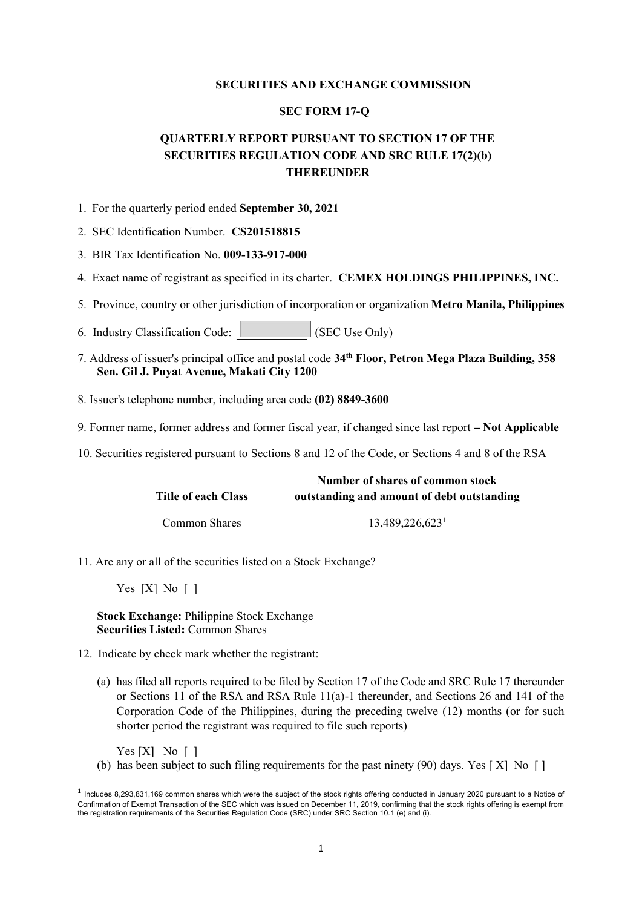# **SECURITIES AND EXCHANGE COMMISSION**

# **SEC FORM 17-Q**

# **QUARTERLY REPORT PURSUANT TO SECTION 17 OF THE SECURITIES REGULATION CODE AND SRC RULE 17(2)(b) THEREUNDER**

- 1. For the quarterly period ended **September 30, 2021**
- 2. SEC Identification Number. **CS201518815**
- 3. BIR Tax Identification No. **009-133-917-000**
- 4. Exact name of registrant as specified in its charter. **CEMEX HOLDINGS PHILIPPINES, INC.**
- 5. Province, country or other jurisdiction of incorporation or organization **Metro Manila, Philippines**
- 6. Industry Classification Code:  $\begin{bmatrix} 1 & 1 \\ 1 & 1 \end{bmatrix}$  (SEC Use Only)
- 7. Address of issuer's principal office and postal code **34th Floor, Petron Mega Plaza Building, 358 Sen. Gil J. Puyat Avenue, Makati City 1200**
- 8. Issuer's telephone number, including area code **(02) 8849-3600**
- 9. Former name, former address and former fiscal year, if changed since last report **– Not Applicable**
- 10. Securities registered pursuant to Sections 8 and 12 of the Code, or Sections 4 and 8 of the RSA

|                     | Number of shares of common stock           |
|---------------------|--------------------------------------------|
| Title of each Class | outstanding and amount of debt outstanding |
| Common Shares       | 13,489,226,623                             |

- 11. Are any or all of the securities listed on a Stock Exchange?
	- Yes [X] No [ ]

**Stock Exchange:** Philippine Stock Exchange **Securities Listed:** Common Shares

- 12. Indicate by check mark whether the registrant:
	- (a) has filed all reports required to be filed by Section 17 of the Code and SRC Rule 17 thereunder or Sections 11 of the RSA and RSA Rule 11(a)-1 thereunder, and Sections 26 and 141 of the Corporation Code of the Philippines, during the preceding twelve (12) months (or for such shorter period the registrant was required to file such reports)

 $Yes [X] No [ ]$ 

(b) has been subject to such filing requirements for the past ninety (90) days. Yes [ X] No [ ]

 $1$  Includes 8,293,831,169 common shares which were the subject of the stock rights offering conducted in January 2020 pursuant to a Notice of Confirmation of Exempt Transaction of the SEC which was issued on December 11, 2019, confirming that the stock rights offering is exempt from the registration requirements of the Securities Regulation Code (SRC) under SRC Section 10.1 (e) and (i).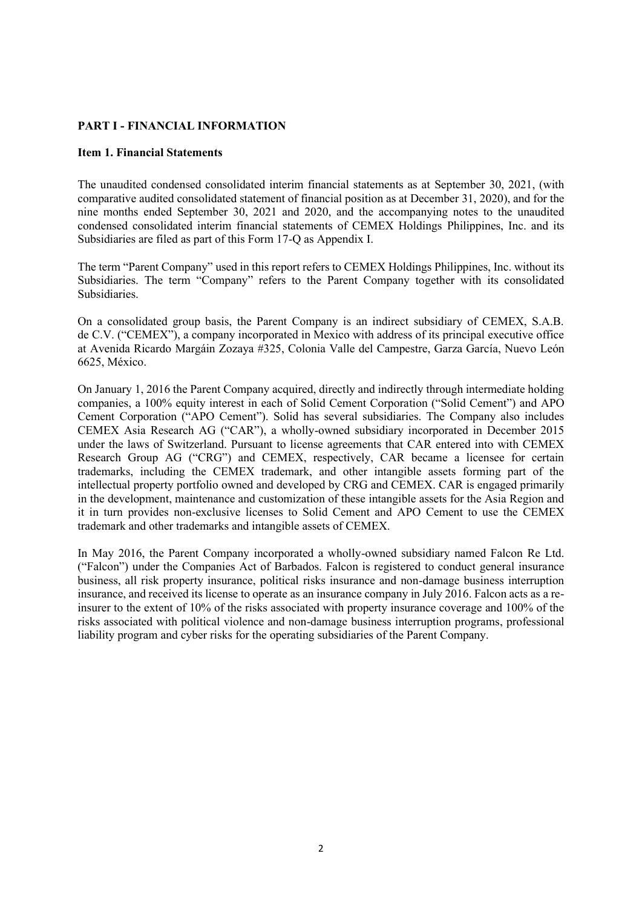# **PART I - FINANCIAL INFORMATION**

# **Item 1. Financial Statements**

The unaudited condensed consolidated interim financial statements as at September 30, 2021, (with comparative audited consolidated statement of financial position as at December 31, 2020), and for the nine months ended September 30, 2021 and 2020, and the accompanying notes to the unaudited condensed consolidated interim financial statements of CEMEX Holdings Philippines, Inc. and its Subsidiaries are filed as part of this Form 17-Q as Appendix I.

The term "Parent Company" used in this report refers to CEMEX Holdings Philippines, Inc. without its Subsidiaries. The term "Company" refers to the Parent Company together with its consolidated Subsidiaries.

On a consolidated group basis, the Parent Company is an indirect subsidiary of CEMEX, S.A.B. de C.V. ("CEMEX"), a company incorporated in Mexico with address of its principal executive office at Avenida Ricardo Margáin Zozaya #325, Colonia Valle del Campestre, Garza García, Nuevo León 6625, México.

On January 1, 2016 the Parent Company acquired, directly and indirectly through intermediate holding companies, a 100% equity interest in each of Solid Cement Corporation ("Solid Cement") and APO Cement Corporation ("APO Cement"). Solid has several subsidiaries. The Company also includes CEMEX Asia Research AG ("CAR"), a wholly-owned subsidiary incorporated in December 2015 under the laws of Switzerland. Pursuant to license agreements that CAR entered into with CEMEX Research Group AG ("CRG") and CEMEX, respectively, CAR became a licensee for certain trademarks, including the CEMEX trademark, and other intangible assets forming part of the intellectual property portfolio owned and developed by CRG and CEMEX. CAR is engaged primarily in the development, maintenance and customization of these intangible assets for the Asia Region and it in turn provides non-exclusive licenses to Solid Cement and APO Cement to use the CEMEX trademark and other trademarks and intangible assets of CEMEX.

In May 2016, the Parent Company incorporated a wholly-owned subsidiary named Falcon Re Ltd. ("Falcon") under the Companies Act of Barbados. Falcon is registered to conduct general insurance business, all risk property insurance, political risks insurance and non-damage business interruption insurance, and received its license to operate as an insurance company in July 2016. Falcon acts as a reinsurer to the extent of 10% of the risks associated with property insurance coverage and 100% of the risks associated with political violence and non-damage business interruption programs, professional liability program and cyber risks for the operating subsidiaries of the Parent Company.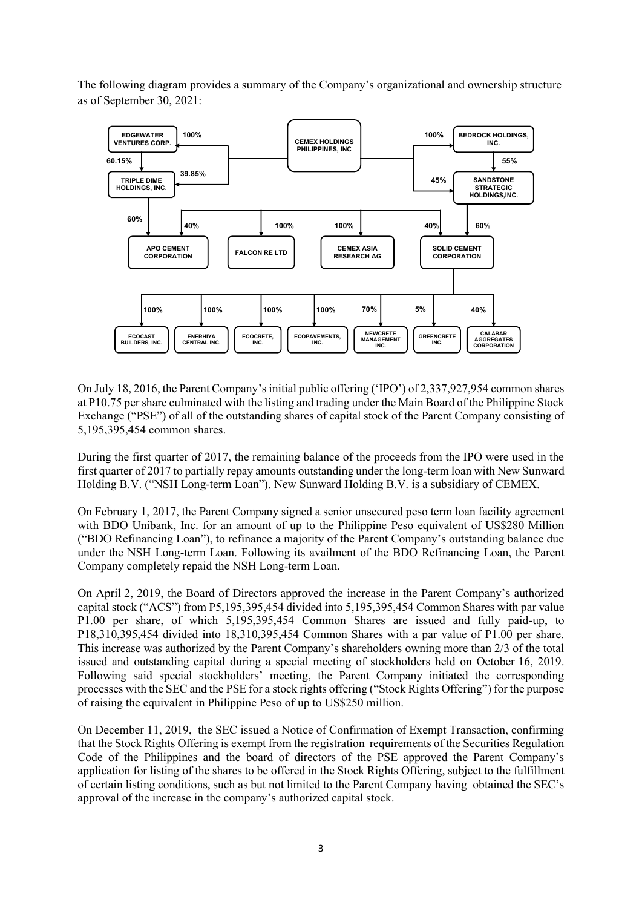The following diagram provides a summary of the Company's organizational and ownership structure as of September 30, 2021:



On July 18, 2016, the Parent Company's initial public offering ('IPO') of 2,337,927,954 common shares at P10.75 per share culminated with the listing and trading under the Main Board of the Philippine Stock Exchange ("PSE") of all of the outstanding shares of capital stock of the Parent Company consisting of 5,195,395,454 common shares.

During the first quarter of 2017, the remaining balance of the proceeds from the IPO were used in the first quarter of 2017 to partially repay amounts outstanding under the long-term loan with New Sunward Holding B.V. ("NSH Long-term Loan"). New Sunward Holding B.V. is a subsidiary of CEMEX.

On February 1, 2017, the Parent Company signed a senior unsecured peso term loan facility agreement with BDO Unibank, Inc. for an amount of up to the Philippine Peso equivalent of US\$280 Million ("BDO Refinancing Loan"), to refinance a majority of the Parent Company's outstanding balance due under the NSH Long-term Loan. Following its availment of the BDO Refinancing Loan, the Parent Company completely repaid the NSH Long-term Loan.

On April 2, 2019, the Board of Directors approved the increase in the Parent Company's authorized capital stock ("ACS") from P5,195,395,454 divided into 5,195,395,454 Common Shares with par value P1.00 per share, of which 5,195,395,454 Common Shares are issued and fully paid-up, to P18,310,395,454 divided into 18,310,395,454 Common Shares with a par value of P1.00 per share. This increase was authorized by the Parent Company's shareholders owning more than 2/3 of the total issued and outstanding capital during a special meeting of stockholders held on October 16, 2019. Following said special stockholders' meeting, the Parent Company initiated the corresponding processes with the SEC and the PSE for a stock rights offering ("Stock Rights Offering") for the purpose of raising the equivalent in Philippine Peso of up to US\$250 million.

On December 11, 2019, the SEC issued a Notice of Confirmation of Exempt Transaction, confirming that the Stock Rights Offering is exempt from the registration requirements of the Securities Regulation Code of the Philippines and the board of directors of the PSE approved the Parent Company's application for listing of the shares to be offered in the Stock Rights Offering, subject to the fulfillment of certain listing conditions, such as but not limited to the Parent Company having obtained the SEC's approval of the increase in the company's authorized capital stock.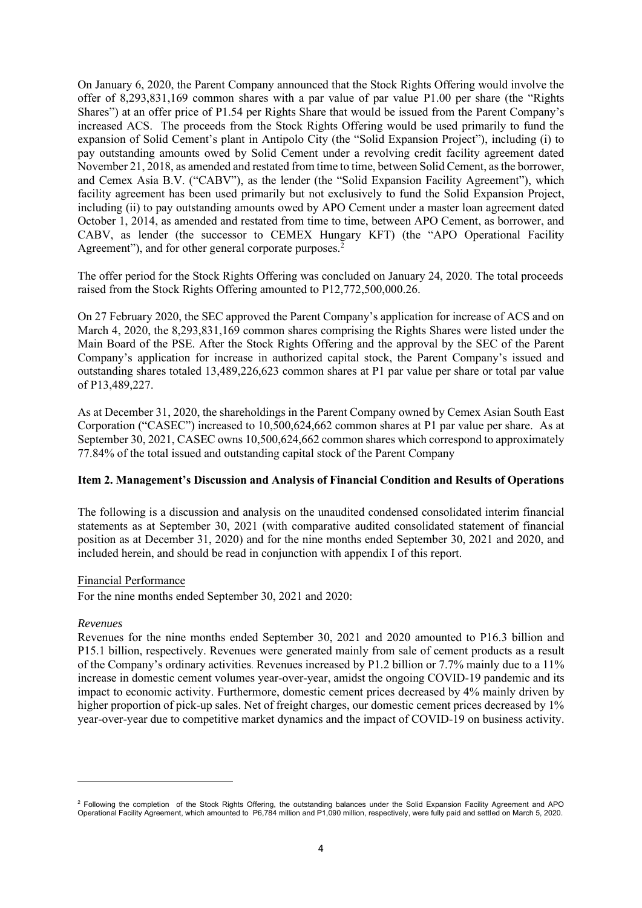On January 6, 2020, the Parent Company announced that the Stock Rights Offering would involve the offer of 8,293,831,169 common shares with a par value of par value P1.00 per share (the "Rights Shares") at an offer price of P1.54 per Rights Share that would be issued from the Parent Company's increased ACS. The proceeds from the Stock Rights Offering would be used primarily to fund the expansion of Solid Cement's plant in Antipolo City (the "Solid Expansion Project"), including (i) to pay outstanding amounts owed by Solid Cement under a revolving credit facility agreement dated November 21, 2018, as amended and restated from time to time, between Solid Cement, as the borrower, and Cemex Asia B.V. ("CABV"), as the lender (the "Solid Expansion Facility Agreement"), which facility agreement has been used primarily but not exclusively to fund the Solid Expansion Project, including (ii) to pay outstanding amounts owed by APO Cement under a master loan agreement dated October 1, 2014, as amended and restated from time to time, between APO Cement, as borrower, and CABV, as lender (the successor to CEMEX Hungary KFT) (the "APO Operational Facility Agreement"), and for other general corporate purposes.<sup>2</sup>

The offer period for the Stock Rights Offering was concluded on January 24, 2020. The total proceeds raised from the Stock Rights Offering amounted to P12,772,500,000.26.

On 27 February 2020, the SEC approved the Parent Company's application for increase of ACS and on March 4, 2020, the 8,293,831,169 common shares comprising the Rights Shares were listed under the Main Board of the PSE. After the Stock Rights Offering and the approval by the SEC of the Parent Company's application for increase in authorized capital stock, the Parent Company's issued and outstanding shares totaled 13,489,226,623 common shares at P1 par value per share or total par value of P13,489,227.

As at December 31, 2020, the shareholdings in the Parent Company owned by Cemex Asian South East Corporation ("CASEC") increased to 10,500,624,662 common shares at P1 par value per share. As at September 30, 2021, CASEC owns 10,500,624,662 common shares which correspond to approximately 77.84% of the total issued and outstanding capital stock of the Parent Company

# **Item 2. Management's Discussion and Analysis of Financial Condition and Results of Operations**

The following is a discussion and analysis on the unaudited condensed consolidated interim financial statements as at September 30, 2021 (with comparative audited consolidated statement of financial position as at December 31, 2020) and for the nine months ended September 30, 2021 and 2020, and included herein, and should be read in conjunction with appendix I of this report.

# Financial Performance

For the nine months ended September 30, 2021 and 2020:

# *Revenues*

Revenues for the nine months ended September 30, 2021 and 2020 amounted to P16.3 billion and P15.1 billion, respectively. Revenues were generated mainly from sale of cement products as a result of the Company's ordinary activities. Revenues increased by P1.2 billion or 7.7% mainly due to a 11% increase in domestic cement volumes year-over-year, amidst the ongoing COVID-19 pandemic and its impact to economic activity. Furthermore, domestic cement prices decreased by 4% mainly driven by higher proportion of pick-up sales. Net of freight charges, our domestic cement prices decreased by 1% year-over-year due to competitive market dynamics and the impact of COVID-19 on business activity.

<sup>&</sup>lt;sup>2</sup> Following the completion of the Stock Rights Offering, the outstanding balances under the Solid Expansion Facility Agreement and APO Operational Facility Agreement, which amounted to P6,784 million and P1,090 million, respectively, were fully paid and settled on March 5, 2020.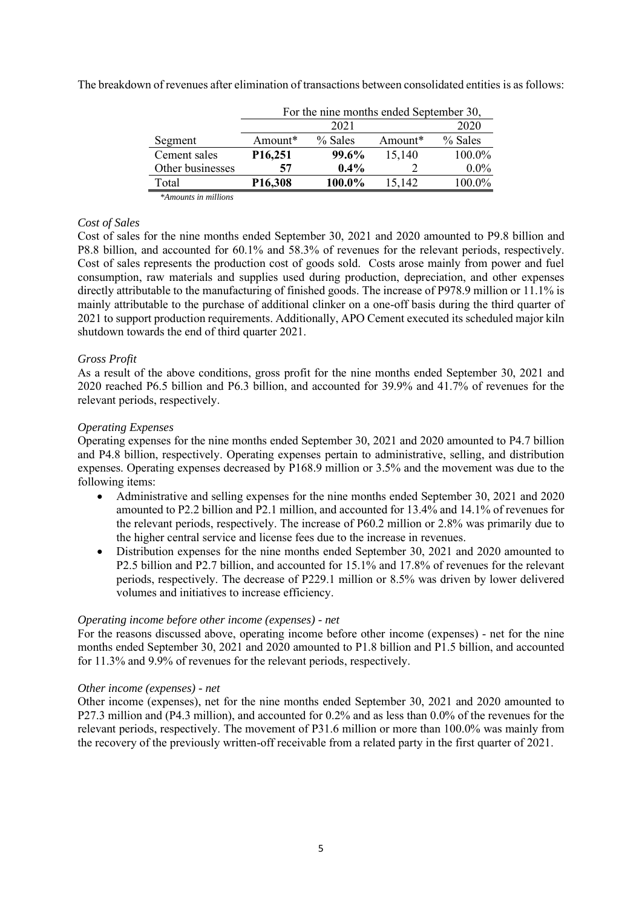The breakdown of revenues after elimination of transactions between consolidated entities is as follows:

| 2021                 |           |         |                                         |  |  |  |
|----------------------|-----------|---------|-----------------------------------------|--|--|--|
| Amount*              | $%$ Sales | Amount* | % Sales                                 |  |  |  |
| P <sub>16</sub> ,251 | 99.6%     | 15,140  | 100.0%                                  |  |  |  |
| 57                   | $0.4\%$   |         | $0.0\%$                                 |  |  |  |
| P <sub>16</sub> ,308 | 100.0%    | 15,142  | 100.0%                                  |  |  |  |
|                      |           |         | For the nine months ended September 30, |  |  |  |

*\*Amounts in millions*

# *Cost of Sales*

Cost of sales for the nine months ended September 30, 2021 and 2020 amounted to P9.8 billion and P8.8 billion, and accounted for 60.1% and 58.3% of revenues for the relevant periods, respectively. Cost of sales represents the production cost of goods sold. Costs arose mainly from power and fuel consumption, raw materials and supplies used during production, depreciation, and other expenses directly attributable to the manufacturing of finished goods. The increase of P978.9 million or 11.1% is mainly attributable to the purchase of additional clinker on a one-off basis during the third quarter of 2021 to support production requirements. Additionally, APO Cement executed its scheduled major kiln shutdown towards the end of third quarter 2021.

# *Gross Profit*

As a result of the above conditions, gross profit for the nine months ended September 30, 2021 and 2020 reached P6.5 billion and P6.3 billion, and accounted for 39.9% and 41.7% of revenues for the relevant periods, respectively.

# *Operating Expenses*

Operating expenses for the nine months ended September 30, 2021 and 2020 amounted to P4.7 billion and P4.8 billion, respectively. Operating expenses pertain to administrative, selling, and distribution expenses. Operating expenses decreased by P168.9 million or 3.5% and the movement was due to the following items:

- Administrative and selling expenses for the nine months ended September 30, 2021 and 2020 amounted to P2.2 billion and P2.1 million, and accounted for 13.4% and 14.1% of revenues for the relevant periods, respectively. The increase of P60.2 million or 2.8% was primarily due to the higher central service and license fees due to the increase in revenues.
- Distribution expenses for the nine months ended September 30, 2021 and 2020 amounted to P2.5 billion and P2.7 billion, and accounted for 15.1% and 17.8% of revenues for the relevant periods, respectively. The decrease of P229.1 million or 8.5% was driven by lower delivered volumes and initiatives to increase efficiency.

# *Operating income before other income (expenses) - net*

For the reasons discussed above, operating income before other income (expenses) - net for the nine months ended September 30, 2021 and 2020 amounted to P1.8 billion and P1.5 billion, and accounted for 11.3% and 9.9% of revenues for the relevant periods, respectively.

# *Other income (expenses) - net*

Other income (expenses), net for the nine months ended September 30, 2021 and 2020 amounted to P27.3 million and (P4.3 million), and accounted for 0.2% and as less than 0.0% of the revenues for the relevant periods, respectively. The movement of P31.6 million or more than 100.0% was mainly from the recovery of the previously written-off receivable from a related party in the first quarter of 2021.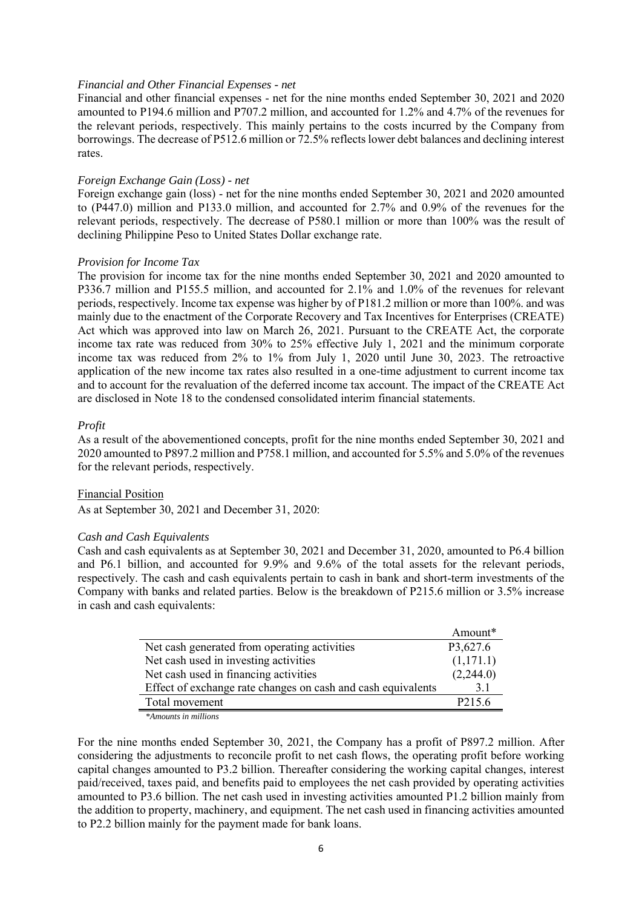### *Financial and Other Financial Expenses - net*

Financial and other financial expenses - net for the nine months ended September 30, 2021 and 2020 amounted to P194.6 million and P707.2 million, and accounted for 1.2% and 4.7% of the revenues for the relevant periods, respectively. This mainly pertains to the costs incurred by the Company from borrowings. The decrease of P512.6 million or 72.5% reflects lower debt balances and declining interest rates.

### *Foreign Exchange Gain (Loss) - net*

Foreign exchange gain (loss) - net for the nine months ended September 30, 2021 and 2020 amounted to (P447.0) million and P133.0 million, and accounted for 2.7% and 0.9% of the revenues for the relevant periods, respectively. The decrease of P580.1 million or more than 100% was the result of declining Philippine Peso to United States Dollar exchange rate.

### *Provision for Income Tax*

The provision for income tax for the nine months ended September 30, 2021 and 2020 amounted to P336.7 million and P155.5 million, and accounted for 2.1% and 1.0% of the revenues for relevant periods, respectively. Income tax expense was higher by of P181.2 million or more than 100%. and was mainly due to the enactment of the Corporate Recovery and Tax Incentives for Enterprises (CREATE) Act which was approved into law on March 26, 2021. Pursuant to the CREATE Act, the corporate income tax rate was reduced from 30% to 25% effective July 1, 2021 and the minimum corporate income tax was reduced from 2% to 1% from July 1, 2020 until June 30, 2023. The retroactive application of the new income tax rates also resulted in a one-time adjustment to current income tax and to account for the revaluation of the deferred income tax account. The impact of the CREATE Act are disclosed in Note 18 to the condensed consolidated interim financial statements.

### *Profit*

As a result of the abovementioned concepts, profit for the nine months ended September 30, 2021 and 2020 amounted to P897.2 million and P758.1 million, and accounted for 5.5% and 5.0% of the revenues for the relevant periods, respectively.

# Financial Position

As at September 30, 2021 and December 31, 2020:

### *Cash and Cash Equivalents*

Cash and cash equivalents as at September 30, 2021 and December 31, 2020, amounted to P6.4 billion and P6.1 billion, and accounted for 9.9% and 9.6% of the total assets for the relevant periods, respectively. The cash and cash equivalents pertain to cash in bank and short-term investments of the Company with banks and related parties. Below is the breakdown of P215.6 million or 3.5% increase in cash and cash equivalents:

|                                                              | Amount*             |
|--------------------------------------------------------------|---------------------|
| Net cash generated from operating activities                 | P3,627.6            |
| Net cash used in investing activities                        | (1,171.1)           |
| Net cash used in financing activities                        | (2,244.0)           |
| Effect of exchange rate changes on cash and cash equivalents | 3.1                 |
| Total movement                                               | P <sub>2</sub> 15.6 |

*\*Amounts in millions*

For the nine months ended September 30, 2021, the Company has a profit of P897.2 million. After considering the adjustments to reconcile profit to net cash flows, the operating profit before working capital changes amounted to P3.2 billion. Thereafter considering the working capital changes, interest paid/received, taxes paid, and benefits paid to employees the net cash provided by operating activities amounted to P3.6 billion. The net cash used in investing activities amounted P1.2 billion mainly from the addition to property, machinery, and equipment. The net cash used in financing activities amounted to P2.2 billion mainly for the payment made for bank loans.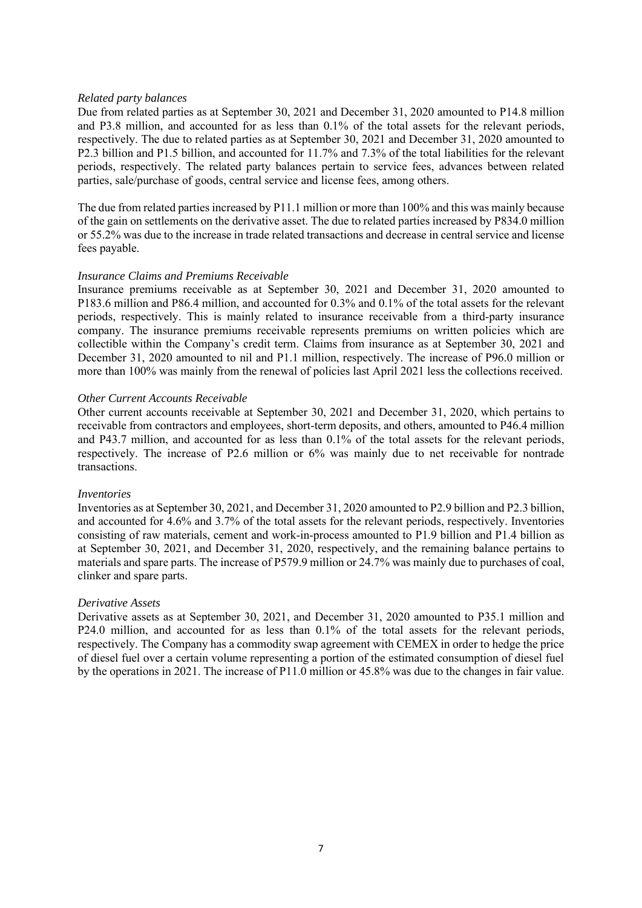# *Related party balances*

Due from related parties as at September 30, 2021 and December 31, 2020 amounted to P14.8 million and P3.8 million, and accounted for as less than 0.1% of the total assets for the relevant periods, respectively. The due to related parties as at September 30, 2021 and December 31, 2020 amounted to P2.3 billion and P1.5 billion, and accounted for 11.7% and 7.3% of the total liabilities for the relevant periods, respectively. The related party balances pertain to service fees, advances between related parties, sale/purchase of goods, central service and license fees, among others.

The due from related parties increased by P11.1 million or more than 100% and this was mainly because of the gain on settlements on the derivative asset. The due to related parties increased by P834.0 million or 55.2% was due to the increase in trade related transactions and decrease in central service and license fees payable.

# *Insurance Claims and Premiums Receivable*

Insurance premiums receivable as at September 30, 2021 and December 31, 2020 amounted to P183.6 million and P86.4 million, and accounted for 0.3% and 0.1% of the total assets for the relevant periods, respectively. This is mainly related to insurance receivable from a third-party insurance company. The insurance premiums receivable represents premiums on written policies which are collectible within the Company's credit term. Claims from insurance as at September 30, 2021 and December 31, 2020 amounted to nil and P1.1 million, respectively. The increase of P96.0 million or more than 100% was mainly from the renewal of policies last April 2021 less the collections received.

# *Other Current Accounts Receivable*

Other current accounts receivable at September 30, 2021 and December 31, 2020, which pertains to receivable from contractors and employees, short-term deposits, and others, amounted to P46.4 million and P43.7 million, and accounted for as less than 0.1% of the total assets for the relevant periods, respectively. The increase of P2.6 million or 6% was mainly due to net receivable for nontrade transactions.

# *Inventories*

Inventories as at September 30, 2021, and December 31, 2020 amounted to P2.9 billion and P2.3 billion, and accounted for 4.6% and 3.7% of the total assets for the relevant periods, respectively. Inventories consisting of raw materials, cement and work-in-process amounted to P1.9 billion and P1.4 billion as at September 30, 2021, and December 31, 2020, respectively, and the remaining balance pertains to materials and spare parts. The increase of P579.9 million or 24.7% was mainly due to purchases of coal, clinker and spare parts.

# *Derivative Assets*

Derivative assets as at September 30, 2021, and December 31, 2020 amounted to P35.1 million and P24.0 million, and accounted for as less than 0.1% of the total assets for the relevant periods, respectively. The Company has a commodity swap agreement with CEMEX in order to hedge the price of diesel fuel over a certain volume representing a portion of the estimated consumption of diesel fuel by the operations in 2021. The increase of P11.0 million or 45.8% was due to the changes in fair value.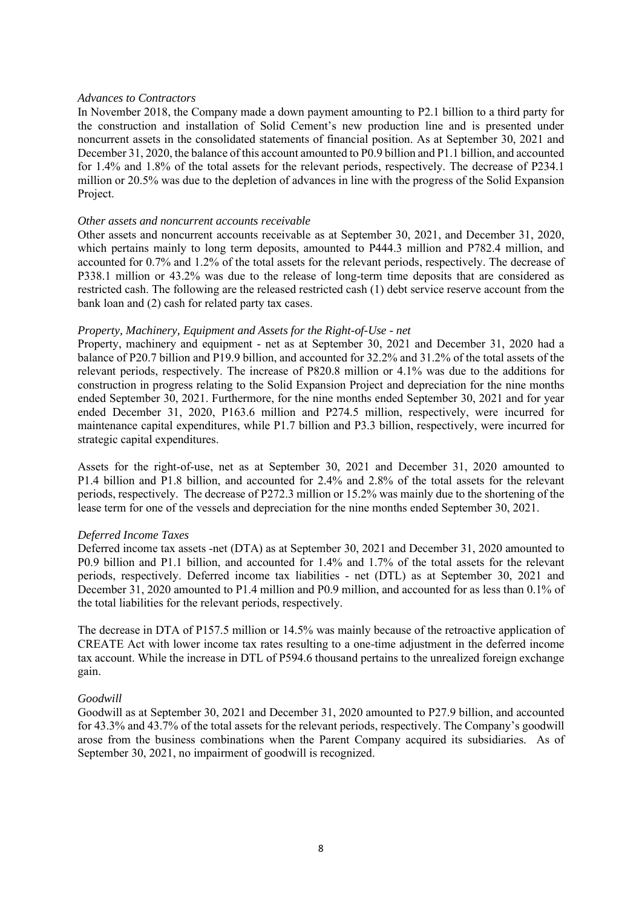# *Advances to Contractors*

In November 2018, the Company made a down payment amounting to P2.1 billion to a third party for the construction and installation of Solid Cement's new production line and is presented under noncurrent assets in the consolidated statements of financial position. As at September 30, 2021 and December 31, 2020, the balance of this account amounted to P0.9 billion and P1.1 billion, and accounted for 1.4% and 1.8% of the total assets for the relevant periods, respectively. The decrease of P234.1 million or 20.5% was due to the depletion of advances in line with the progress of the Solid Expansion Project.

# *Other assets and noncurrent accounts receivable*

Other assets and noncurrent accounts receivable as at September 30, 2021, and December 31, 2020, which pertains mainly to long term deposits, amounted to P444.3 million and P782.4 million, and accounted for 0.7% and 1.2% of the total assets for the relevant periods, respectively. The decrease of P338.1 million or 43.2% was due to the release of long-term time deposits that are considered as restricted cash. The following are the released restricted cash (1) debt service reserve account from the bank loan and (2) cash for related party tax cases.

# *Property, Machinery, Equipment and Assets for the Right-of-Use - net*

Property, machinery and equipment - net as at September 30, 2021 and December 31, 2020 had a balance of P20.7 billion and P19.9 billion, and accounted for 32.2% and 31.2% of the total assets of the relevant periods, respectively. The increase of P820.8 million or 4.1% was due to the additions for construction in progress relating to the Solid Expansion Project and depreciation for the nine months ended September 30, 2021. Furthermore, for the nine months ended September 30, 2021 and for year ended December 31, 2020, P163.6 million and P274.5 million, respectively, were incurred for maintenance capital expenditures, while P1.7 billion and P3.3 billion, respectively, were incurred for strategic capital expenditures.

Assets for the right-of-use, net as at September 30, 2021 and December 31, 2020 amounted to P1.4 billion and P1.8 billion, and accounted for 2.4% and 2.8% of the total assets for the relevant periods, respectively. The decrease of P272.3 million or 15.2% was mainly due to the shortening of the lease term for one of the vessels and depreciation for the nine months ended September 30, 2021.

# *Deferred Income Taxes*

Deferred income tax assets -net (DTA) as at September 30, 2021 and December 31, 2020 amounted to P0.9 billion and P1.1 billion, and accounted for 1.4% and 1.7% of the total assets for the relevant periods, respectively. Deferred income tax liabilities - net (DTL) as at September 30, 2021 and December 31, 2020 amounted to P1.4 million and P0.9 million, and accounted for as less than 0.1% of the total liabilities for the relevant periods, respectively.

The decrease in DTA of P157.5 million or 14.5% was mainly because of the retroactive application of CREATE Act with lower income tax rates resulting to a one-time adjustment in the deferred income tax account. While the increase in DTL of P594.6 thousand pertains to the unrealized foreign exchange gain.

# *Goodwill*

Goodwill as at September 30, 2021 and December 31, 2020 amounted to P27.9 billion, and accounted for 43.3% and 43.7% of the total assets for the relevant periods, respectively. The Company's goodwill arose from the business combinations when the Parent Company acquired its subsidiaries. As of September 30, 2021, no impairment of goodwill is recognized.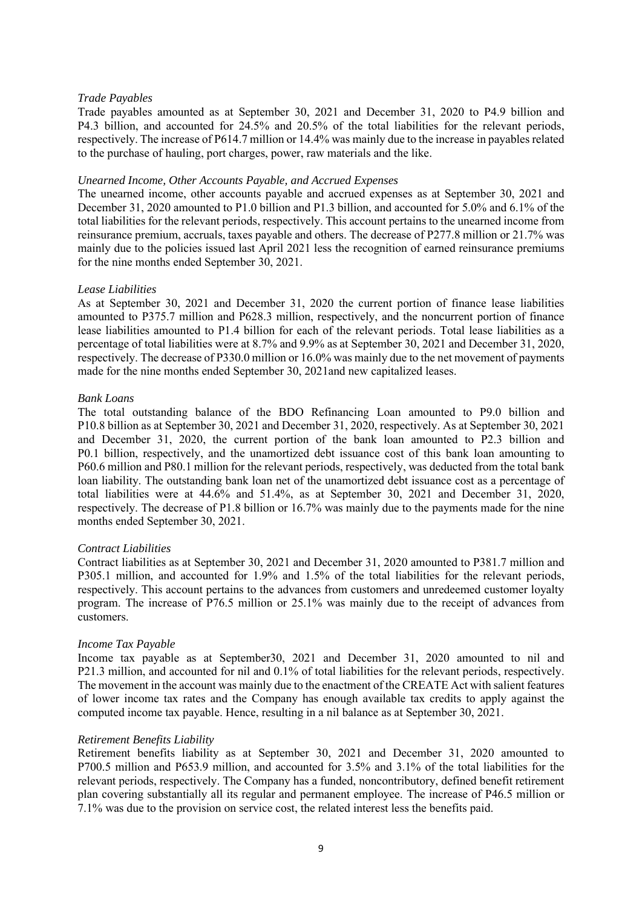# *Trade Payables*

Trade payables amounted as at September 30, 2021 and December 31, 2020 to P4.9 billion and P4.3 billion, and accounted for 24.5% and 20.5% of the total liabilities for the relevant periods, respectively. The increase of P614.7 million or 14.4% was mainly due to the increase in payablesrelated to the purchase of hauling, port charges, power, raw materials and the like.

# *Unearned Income, Other Accounts Payable, and Accrued Expenses*

The unearned income, other accounts payable and accrued expenses as at September 30, 2021 and December 31, 2020 amounted to P1.0 billion and P1.3 billion, and accounted for 5.0% and 6.1% of the total liabilities for the relevant periods, respectively. This account pertains to the unearned income from reinsurance premium, accruals, taxes payable and others. The decrease of P277.8 million or 21.7% was mainly due to the policies issued last April 2021 less the recognition of earned reinsurance premiums for the nine months ended September 30, 2021.

# *Lease Liabilities*

As at September 30, 2021 and December 31, 2020 the current portion of finance lease liabilities amounted to P375.7 million and P628.3 million, respectively, and the noncurrent portion of finance lease liabilities amounted to P1.4 billion for each of the relevant periods. Total lease liabilities as a percentage of total liabilities were at 8.7% and 9.9% as at September 30, 2021 and December 31, 2020, respectively. The decrease of P330.0 million or 16.0% was mainly due to the net movement of payments made for the nine months ended September 30, 2021and new capitalized leases.

# *Bank Loans*

The total outstanding balance of the BDO Refinancing Loan amounted to P9.0 billion and P10.8 billion as at September 30, 2021 and December 31, 2020, respectively. As at September 30, 2021 and December 31, 2020, the current portion of the bank loan amounted to P2.3 billion and P0.1 billion, respectively, and the unamortized debt issuance cost of this bank loan amounting to P60.6 million and P80.1 million for the relevant periods, respectively, was deducted from the total bank loan liability. The outstanding bank loan net of the unamortized debt issuance cost as a percentage of total liabilities were at 44.6% and 51.4%, as at September 30, 2021 and December 31, 2020, respectively. The decrease of P1.8 billion or 16.7% was mainly due to the payments made for the nine months ended September 30, 2021.

# *Contract Liabilities*

Contract liabilities as at September 30, 2021 and December 31, 2020 amounted to P381.7 million and P305.1 million, and accounted for 1.9% and 1.5% of the total liabilities for the relevant periods, respectively. This account pertains to the advances from customers and unredeemed customer loyalty program. The increase of P76.5 million or 25.1% was mainly due to the receipt of advances from customers.

# *Income Tax Payable*

Income tax payable as at September30, 2021 and December 31, 2020 amounted to nil and P21.3 million, and accounted for nil and 0.1% of total liabilities for the relevant periods, respectively. The movement in the account was mainly due to the enactment of the CREATE Act with salient features of lower income tax rates and the Company has enough available tax credits to apply against the computed income tax payable. Hence, resulting in a nil balance as at September 30, 2021.

# *Retirement Benefits Liability*

Retirement benefits liability as at September 30, 2021 and December 31, 2020 amounted to P700.5 million and P653.9 million, and accounted for 3.5% and 3.1% of the total liabilities for the relevant periods, respectively. The Company has a funded, noncontributory, defined benefit retirement plan covering substantially all its regular and permanent employee. The increase of P46.5 million or 7.1% was due to the provision on service cost, the related interest less the benefits paid.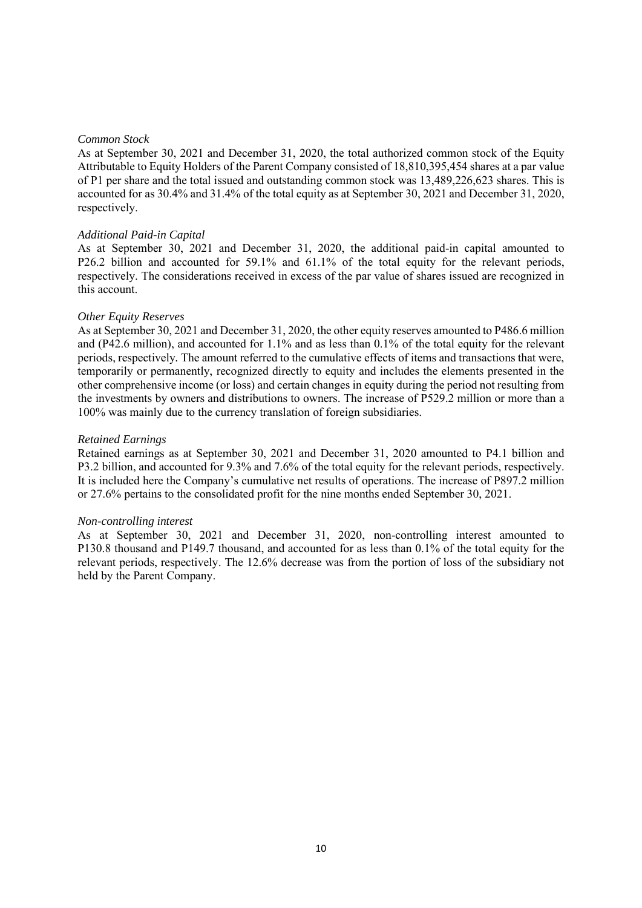# *Common Stock*

As at September 30, 2021 and December 31, 2020, the total authorized common stock of the Equity Attributable to Equity Holders of the Parent Company consisted of 18,810,395,454 shares at a par value of P1 per share and the total issued and outstanding common stock was 13,489,226,623 shares. This is accounted for as 30.4% and 31.4% of the total equity as at September 30, 2021 and December 31, 2020, respectively.

# *Additional Paid-in Capital*

As at September 30, 2021 and December 31, 2020, the additional paid-in capital amounted to P26.2 billion and accounted for 59.1% and 61.1% of the total equity for the relevant periods, respectively. The considerations received in excess of the par value of shares issued are recognized in this account.

# *Other Equity Reserves*

As at September 30, 2021 and December 31, 2020, the other equity reserves amounted to P486.6 million and (P42.6 million), and accounted for 1.1% and as less than 0.1% of the total equity for the relevant periods, respectively*.* The amount referred to the cumulative effects of items and transactions that were, temporarily or permanently, recognized directly to equity and includes the elements presented in the other comprehensive income (or loss) and certain changes in equity during the period not resulting from the investments by owners and distributions to owners. The increase of P529.2 million or more than a 100% was mainly due to the currency translation of foreign subsidiaries.

# *Retained Earnings*

Retained earnings as at September 30, 2021 and December 31, 2020 amounted to P4.1 billion and P3.2 billion, and accounted for 9.3% and 7.6% of the total equity for the relevant periods, respectively. It is included here the Company's cumulative net results of operations. The increase of P897.2 million or 27.6% pertains to the consolidated profit for the nine months ended September 30, 2021.

# *Non-controlling interest*

As at September 30, 2021 and December 31, 2020, non-controlling interest amounted to P130.8 thousand and P149.7 thousand, and accounted for as less than 0.1% of the total equity for the relevant periods, respectively. The 12.6% decrease was from the portion of loss of the subsidiary not held by the Parent Company.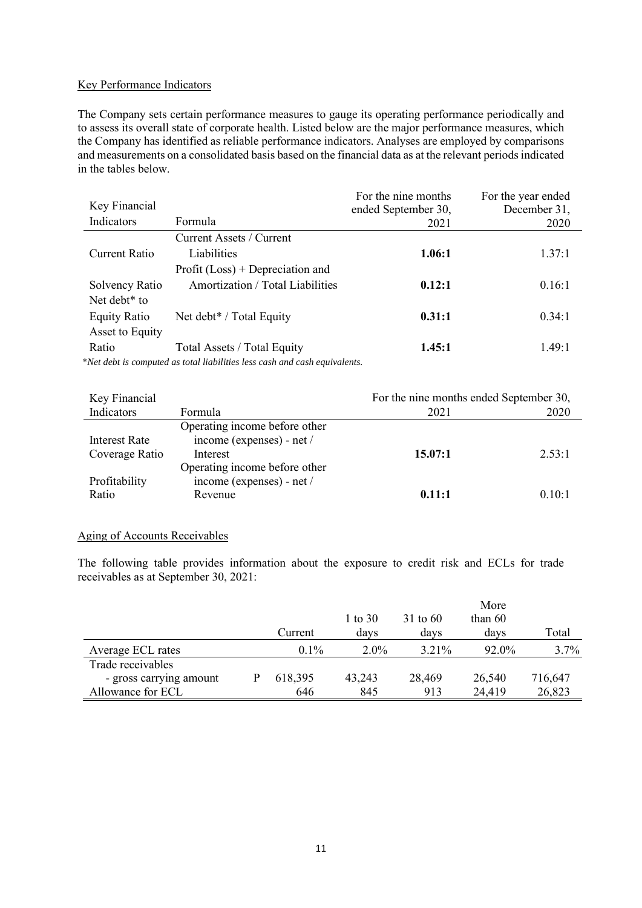# Key Performance Indicators

The Company sets certain performance measures to gauge its operating performance periodically and to assess its overall state of corporate health. Listed below are the major performance measures, which the Company has identified as reliable performance indicators. Analyses are employed by comparisons and measurements on a consolidated basis based on the financial data as at the relevant periods indicated in the tables below.

| Key Financial            |                                                                            | For the nine months<br>ended September 30, | For the year ended<br>December 31, |
|--------------------------|----------------------------------------------------------------------------|--------------------------------------------|------------------------------------|
| Indicators               | Formula                                                                    | 2021                                       | 2020                               |
|                          | Current Assets / Current                                                   |                                            |                                    |
| Current Ratio            | Liabilities                                                                | 1.06:1                                     | 1.37:1                             |
|                          | Profit $(Loss)$ + Depreciation and                                         |                                            |                                    |
| Solvency Ratio           | Amortization / Total Liabilities                                           | 0.12:1                                     | 0.16:1                             |
| Net debt <sup>*</sup> to |                                                                            |                                            |                                    |
| <b>Equity Ratio</b>      | Net debt* / Total Equity                                                   | 0.31:1                                     | 0.34:1                             |
| Asset to Equity          |                                                                            |                                            |                                    |
| Ratio                    | Total Assets / Total Equity                                                | 1.45:1                                     | 1.49:1                             |
|                          | *Net debt is computed as total liabilities less cash and cash equivalents. |                                            |                                    |

\**Net debt is computed as total liabilities less cash and cash equivalents.*

| Key Financial        |                               | For the nine months ended September 30, |        |
|----------------------|-------------------------------|-----------------------------------------|--------|
| Indicators           | Formula                       | 2021                                    | 2020   |
|                      | Operating income before other |                                         |        |
| <b>Interest Rate</b> | income (expenses) - net /     |                                         |        |
| Coverage Ratio       | Interest                      | 15.07:1                                 | 2.53:1 |
|                      | Operating income before other |                                         |        |
| Profitability        | income (expenses) - net /     |                                         |        |
| Ratio                | Revenue                       | 0.11:1                                  | 0.10:1 |
|                      |                               |                                         |        |

# Aging of Accounts Receivables

The following table provides information about the exposure to credit risk and ECLs for trade receivables as at September 30, 2021:

|                         |         |         |            | More      |         |
|-------------------------|---------|---------|------------|-----------|---------|
|                         |         | 1 to 30 | $31$ to 60 | than $60$ |         |
|                         | Current | days    | davs       | davs      | Total   |
| Average ECL rates       | $0.1\%$ | $2.0\%$ | 3.21%      | 92.0%     | 3.7%    |
| Trade receivables       |         |         |            |           |         |
| - gross carrying amount | 618,395 | 43,243  | 28,469     | 26,540    | 716,647 |
| Allowance for ECL       | 646     | 845     | 913        | 24,419    | 26,823  |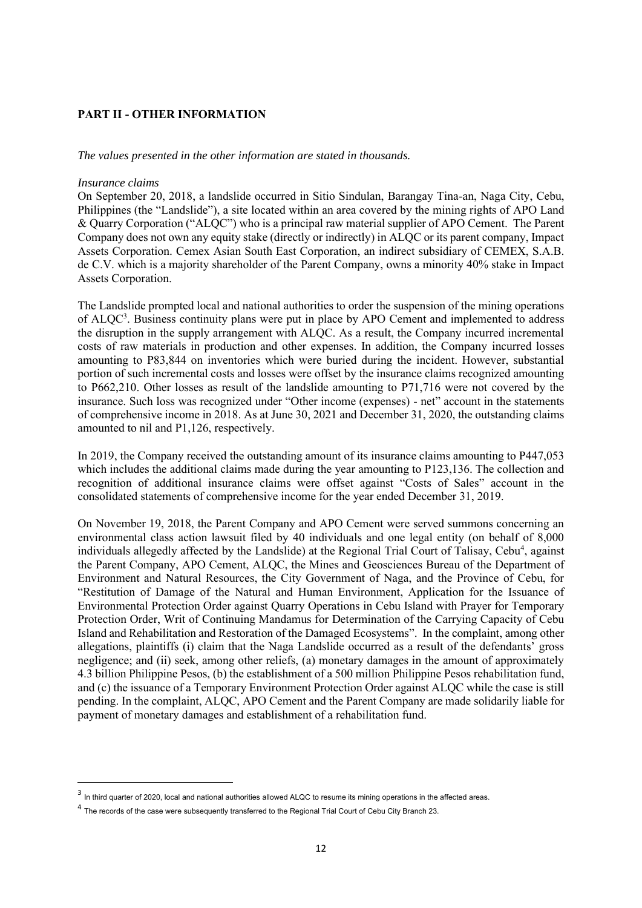# **PART II - OTHER INFORMATION**

*The values presented in the other information are stated in thousands.*

# *Insurance claims*

On September 20, 2018, a landslide occurred in Sitio Sindulan, Barangay Tina-an, Naga City, Cebu, Philippines (the "Landslide"), a site located within an area covered by the mining rights of APO Land & Quarry Corporation ("ALQC") who is a principal raw material supplier of APO Cement. The Parent Company does not own any equity stake (directly or indirectly) in ALQC or its parent company, Impact Assets Corporation. Cemex Asian South East Corporation, an indirect subsidiary of CEMEX, S.A.B. de C.V. which is a majority shareholder of the Parent Company, owns a minority 40% stake in Impact Assets Corporation.

The Landslide prompted local and national authorities to order the suspension of the mining operations of ALQC<sup>3</sup>. Business continuity plans were put in place by APO Cement and implemented to address the disruption in the supply arrangement with ALQC. As a result, the Company incurred incremental costs of raw materials in production and other expenses. In addition, the Company incurred losses amounting to P83,844 on inventories which were buried during the incident. However, substantial portion of such incremental costs and losses were offset by the insurance claims recognized amounting to P662,210. Other losses as result of the landslide amounting to P71,716 were not covered by the insurance. Such loss was recognized under "Other income (expenses) - net" account in the statements of comprehensive income in 2018. As at June 30, 2021 and December 31, 2020, the outstanding claims amounted to nil and P1,126, respectively.

In 2019, the Company received the outstanding amount of its insurance claims amounting to P447,053 which includes the additional claims made during the year amounting to P123,136. The collection and recognition of additional insurance claims were offset against "Costs of Sales" account in the consolidated statements of comprehensive income for the year ended December 31, 2019.

On November 19, 2018, the Parent Company and APO Cement were served summons concerning an environmental class action lawsuit filed by 40 individuals and one legal entity (on behalf of 8,000 individuals allegedly affected by the Landslide) at the Regional Trial Court of Talisay, Cebu<sup>4</sup>, against the Parent Company, APO Cement, ALQC, the Mines and Geosciences Bureau of the Department of Environment and Natural Resources, the City Government of Naga, and the Province of Cebu, for "Restitution of Damage of the Natural and Human Environment, Application for the Issuance of Environmental Protection Order against Quarry Operations in Cebu Island with Prayer for Temporary Protection Order, Writ of Continuing Mandamus for Determination of the Carrying Capacity of Cebu Island and Rehabilitation and Restoration of the Damaged Ecosystems". In the complaint, among other allegations, plaintiffs (i) claim that the Naga Landslide occurred as a result of the defendants' gross negligence; and (ii) seek, among other reliefs, (a) monetary damages in the amount of approximately 4.3 billion Philippine Pesos, (b) the establishment of a 500 million Philippine Pesos rehabilitation fund, and (c) the issuance of a Temporary Environment Protection Order against ALQC while the case is still pending. In the complaint, ALQC, APO Cement and the Parent Company are made solidarily liable for payment of monetary damages and establishment of a rehabilitation fund.

<sup>&</sup>lt;sup>3</sup> In third quarter of 2020, local and national authorities allowed ALQC to resume its mining operations in the affected areas.

 $^4$  The records of the case were subsequently transferred to the Regional Trial Court of Cebu City Branch 23.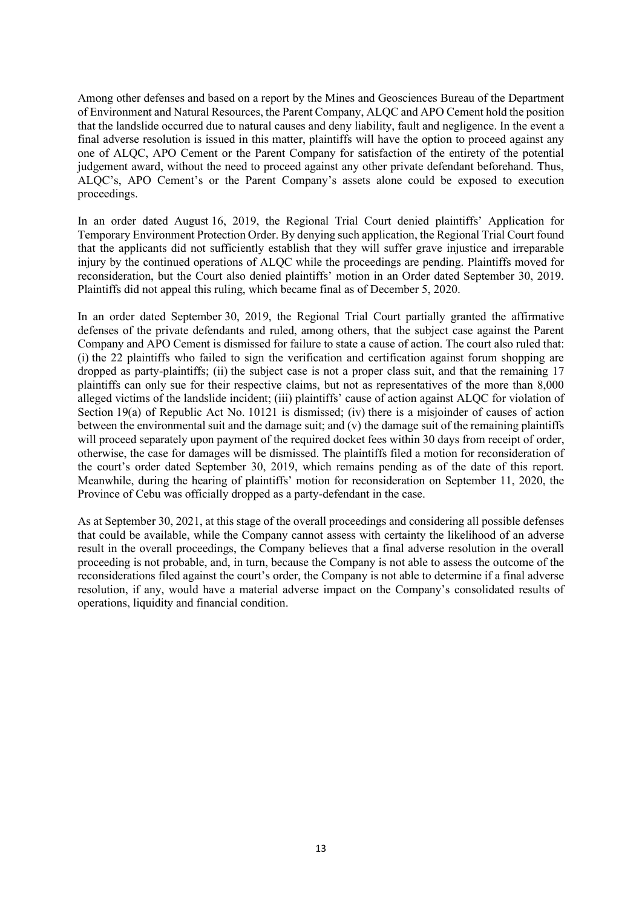Among other defenses and based on a report by the Mines and Geosciences Bureau of the Department of Environment and Natural Resources, the Parent Company, ALQC and APO Cement hold the position that the landslide occurred due to natural causes and deny liability, fault and negligence. In the event a final adverse resolution is issued in this matter, plaintiffs will have the option to proceed against any one of ALQC, APO Cement or the Parent Company for satisfaction of the entirety of the potential judgement award, without the need to proceed against any other private defendant beforehand. Thus, ALQC's, APO Cement's or the Parent Company's assets alone could be exposed to execution proceedings.

In an order dated August 16, 2019, the Regional Trial Court denied plaintiffs' Application for Temporary Environment Protection Order. By denying such application, the Regional Trial Court found that the applicants did not sufficiently establish that they will suffer grave injustice and irreparable injury by the continued operations of ALQC while the proceedings are pending. Plaintiffs moved for reconsideration, but the Court also denied plaintiffs' motion in an Order dated September 30, 2019. Plaintiffs did not appeal this ruling, which became final as of December 5, 2020.

In an order dated September 30, 2019, the Regional Trial Court partially granted the affirmative defenses of the private defendants and ruled, among others, that the subject case against the Parent Company and APO Cement is dismissed for failure to state a cause of action. The court also ruled that: (i) the 22 plaintiffs who failed to sign the verification and certification against forum shopping are dropped as party-plaintiffs; (ii) the subject case is not a proper class suit, and that the remaining 17 plaintiffs can only sue for their respective claims, but not as representatives of the more than 8,000 alleged victims of the landslide incident; (iii) plaintiffs' cause of action against ALQC for violation of Section 19(a) of Republic Act No. 10121 is dismissed; (iv) there is a misjoinder of causes of action between the environmental suit and the damage suit; and (v) the damage suit of the remaining plaintiffs will proceed separately upon payment of the required docket fees within 30 days from receipt of order, otherwise, the case for damages will be dismissed. The plaintiffs filed a motion for reconsideration of the court's order dated September 30, 2019, which remains pending as of the date of this report. Meanwhile, during the hearing of plaintiffs' motion for reconsideration on September 11, 2020, the Province of Cebu was officially dropped as a party-defendant in the case.

As at September 30, 2021, at this stage of the overall proceedings and considering all possible defenses that could be available, while the Company cannot assess with certainty the likelihood of an adverse result in the overall proceedings, the Company believes that a final adverse resolution in the overall proceeding is not probable, and, in turn, because the Company is not able to assess the outcome of the reconsiderations filed against the court's order, the Company is not able to determine if a final adverse resolution, if any, would have a material adverse impact on the Company's consolidated results of operations, liquidity and financial condition.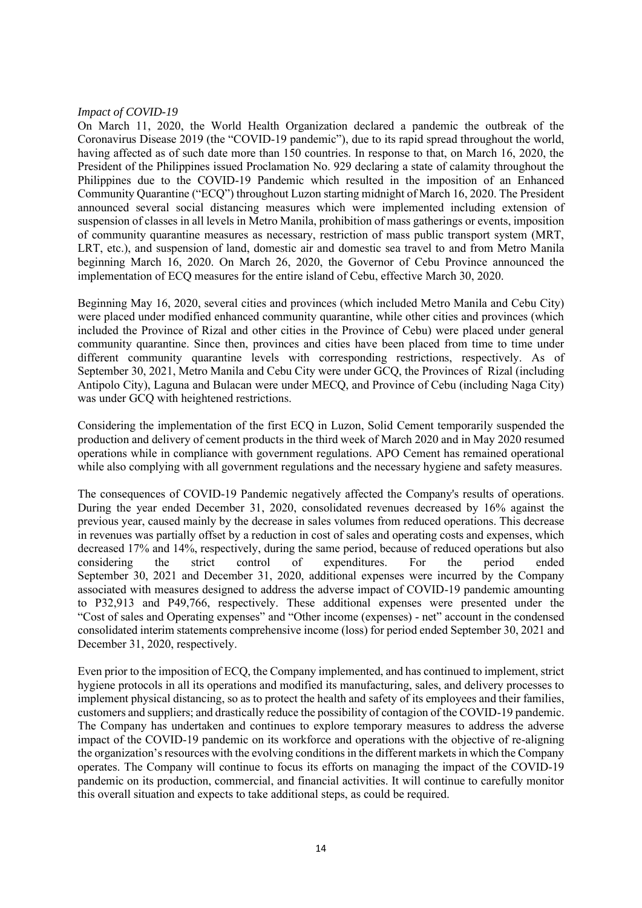# *Impact of COVID-19*

On March 11, 2020, the World Health Organization declared a pandemic the outbreak of the Coronavirus Disease 2019 (the "COVID-19 pandemic"), due to its rapid spread throughout the world, having affected as of such date more than 150 countries. In response to that, on March 16, 2020, the President of the Philippines issued Proclamation No. 929 declaring a state of calamity throughout the Philippines due to the COVID-19 Pandemic which resulted in the imposition of an Enhanced Community Quarantine ("ECQ") throughout Luzon starting midnight of March 16, 2020. The President announced several social distancing measures which were implemented including extension of suspension of classes in all levels in Metro Manila, prohibition of mass gatherings or events, imposition of community quarantine measures as necessary, restriction of mass public transport system (MRT, LRT, etc.), and suspension of land, domestic air and domestic sea travel to and from Metro Manila beginning March 16, 2020. On March 26, 2020, the Governor of Cebu Province announced the implementation of ECQ measures for the entire island of Cebu, effective March 30, 2020.

Beginning May 16, 2020, several cities and provinces (which included Metro Manila and Cebu City) were placed under modified enhanced community quarantine, while other cities and provinces (which included the Province of Rizal and other cities in the Province of Cebu) were placed under general community quarantine. Since then, provinces and cities have been placed from time to time under different community quarantine levels with corresponding restrictions, respectively. As of September 30, 2021, Metro Manila and Cebu City were under GCQ, the Provinces of Rizal (including Antipolo City), Laguna and Bulacan were under MECQ, and Province of Cebu (including Naga City) was under GCQ with heightened restrictions.

Considering the implementation of the first ECQ in Luzon, Solid Cement temporarily suspended the production and delivery of cement products in the third week of March 2020 and in May 2020 resumed operations while in compliance with government regulations. APO Cement has remained operational while also complying with all government regulations and the necessary hygiene and safety measures.

The consequences of COVID-19 Pandemic negatively affected the Company's results of operations. During the year ended December 31, 2020, consolidated revenues decreased by 16% against the previous year, caused mainly by the decrease in sales volumes from reduced operations. This decrease in revenues was partially offset by a reduction in cost of sales and operating costs and expenses, which decreased 17% and 14%, respectively, during the same period, because of reduced operations but also considering the strict control of expenditures. For the period ended September 30, 2021 and December 31, 2020, additional expenses were incurred by the Company associated with measures designed to address the adverse impact of COVID-19 pandemic amounting to P32,913 and P49,766, respectively. These additional expenses were presented under the "Cost of sales and Operating expenses" and "Other income (expenses) - net" account in the condensed consolidated interim statements comprehensive income (loss) for period ended September 30, 2021 and December 31, 2020, respectively.

Even prior to the imposition of ECQ, the Company implemented, and has continued to implement, strict hygiene protocols in all its operations and modified its manufacturing, sales, and delivery processes to implement physical distancing, so as to protect the health and safety of its employees and their families, customers and suppliers; and drastically reduce the possibility of contagion of the COVID-19 pandemic. The Company has undertaken and continues to explore temporary measures to address the adverse impact of the COVID-19 pandemic on its workforce and operations with the objective of re-aligning the organization's resources with the evolving conditions in the different markets in which the Company operates. The Company will continue to focus its efforts on managing the impact of the COVID-19 pandemic on its production, commercial, and financial activities. It will continue to carefully monitor this overall situation and expects to take additional steps, as could be required.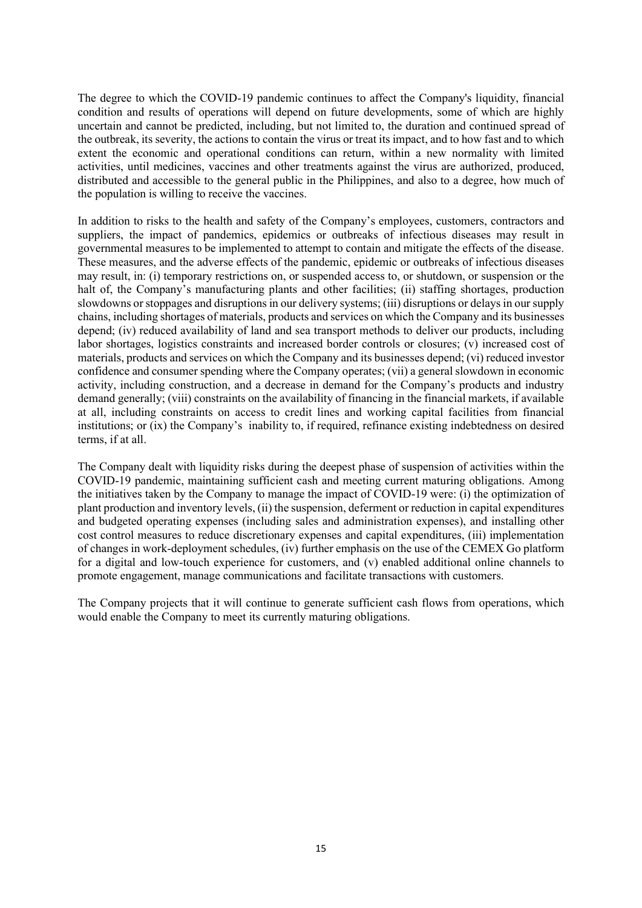The degree to which the COVID-19 pandemic continues to affect the Company's liquidity, financial condition and results of operations will depend on future developments, some of which are highly uncertain and cannot be predicted, including, but not limited to, the duration and continued spread of the outbreak, its severity, the actions to contain the virus or treat its impact, and to how fast and to which extent the economic and operational conditions can return, within a new normality with limited activities, until medicines, vaccines and other treatments against the virus are authorized, produced, distributed and accessible to the general public in the Philippines, and also to a degree, how much of the population is willing to receive the vaccines.

In addition to risks to the health and safety of the Company's employees, customers, contractors and suppliers, the impact of pandemics, epidemics or outbreaks of infectious diseases may result in governmental measures to be implemented to attempt to contain and mitigate the effects of the disease. These measures, and the adverse effects of the pandemic, epidemic or outbreaks of infectious diseases may result, in: (i) temporary restrictions on, or suspended access to, or shutdown, or suspension or the halt of, the Company's manufacturing plants and other facilities; (ii) staffing shortages, production slowdowns or stoppages and disruptions in our delivery systems; (iii) disruptions or delays in our supply chains, including shortages of materials, products and services on which the Company and its businesses depend; (iv) reduced availability of land and sea transport methods to deliver our products, including labor shortages, logistics constraints and increased border controls or closures; (v) increased cost of materials, products and services on which the Company and its businesses depend; (vi) reduced investor confidence and consumer spending where the Company operates; (vii) a general slowdown in economic activity, including construction, and a decrease in demand for the Company's products and industry demand generally; (viii) constraints on the availability of financing in the financial markets, if available at all, including constraints on access to credit lines and working capital facilities from financial institutions; or (ix) the Company's inability to, if required, refinance existing indebtedness on desired terms, if at all.

The Company dealt with liquidity risks during the deepest phase of suspension of activities within the COVID-19 pandemic, maintaining sufficient cash and meeting current maturing obligations. Among the initiatives taken by the Company to manage the impact of COVID-19 were: (i) the optimization of plant production and inventory levels, (ii) the suspension, deferment or reduction in capital expenditures and budgeted operating expenses (including sales and administration expenses), and installing other cost control measures to reduce discretionary expenses and capital expenditures, (iii) implementation of changes in work-deployment schedules, (iv) further emphasis on the use of the CEMEX Go platform for a digital and low-touch experience for customers, and (v) enabled additional online channels to promote engagement, manage communications and facilitate transactions with customers.

The Company projects that it will continue to generate sufficient cash flows from operations, which would enable the Company to meet its currently maturing obligations.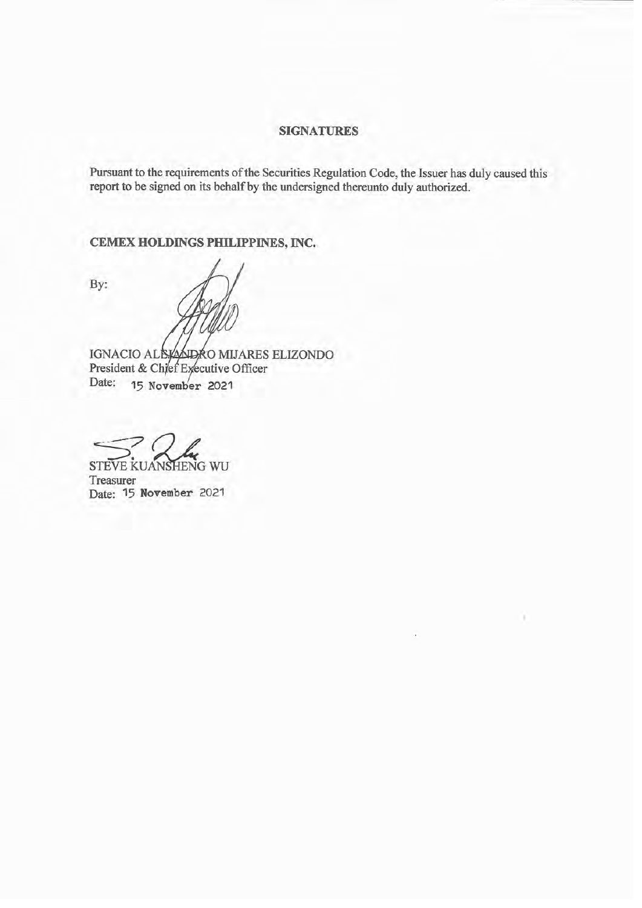# **SIGNATURES**

Pursuant to the requirements of the Securities Regulation Code, the Issuer has duly caused this report to be signed on its behalf by the undersigned thereunto duly authorized.

CEMEX HOLDINGS PHILIPPINES, INC.

By:

IGNACIO ALEXADRO MIJARES ELIZONDO<br>President & Chief Executive Officer Date: 15 November 2021

STEVE KUANSHENG WU Treasurer Date: 15 November 2021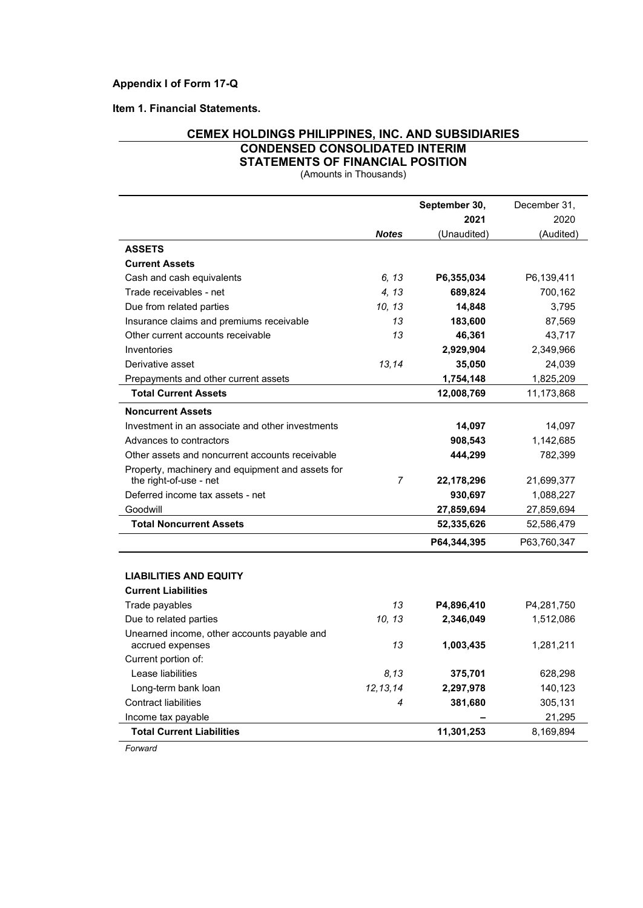**Item 1. Financial Statements.**

# **CEMEX HOLDINGS PHILIPPINES, INC. AND SUBSIDIARIES CONDENSED CONSOLIDATED INTERIM STATEMENTS OF FINANCIAL POSITION**

(Amounts in Thousands)

|                                                                 |                | September 30, | December 31, |
|-----------------------------------------------------------------|----------------|---------------|--------------|
|                                                                 |                | 2021          | 2020         |
|                                                                 | <b>Notes</b>   | (Unaudited)   | (Audited)    |
| <b>ASSETS</b>                                                   |                |               |              |
| <b>Current Assets</b>                                           |                |               |              |
| Cash and cash equivalents                                       | 6.13           | P6,355,034    | P6,139,411   |
| Trade receivables - net                                         | 4, 13          | 689,824       | 700,162      |
| Due from related parties                                        | 10, 13         | 14,848        | 3,795        |
| Insurance claims and premiums receivable                        | 13             | 183,600       | 87,569       |
| Other current accounts receivable                               | 13             | 46,361        | 43,717       |
| Inventories                                                     |                | 2,929,904     | 2,349,966    |
| Derivative asset                                                | 13.14          | 35,050        | 24,039       |
| Prepayments and other current assets                            |                | 1,754,148     | 1,825,209    |
| <b>Total Current Assets</b>                                     |                | 12,008,769    | 11,173,868   |
| <b>Noncurrent Assets</b>                                        |                |               |              |
| Investment in an associate and other investments                |                | 14,097        | 14,097       |
| Advances to contractors                                         |                | 908,543       | 1,142,685    |
| Other assets and noncurrent accounts receivable                 |                | 444,299       | 782,399      |
| Property, machinery and equipment and assets for                |                |               |              |
| the right-of-use - net                                          | $\overline{7}$ | 22,178,296    | 21,699,377   |
| Deferred income tax assets - net                                |                | 930,697       | 1,088,227    |
| Goodwill                                                        |                | 27,859,694    | 27,859,694   |
| <b>Total Noncurrent Assets</b>                                  |                | 52,335,626    | 52,586,479   |
|                                                                 |                | P64,344,395   | P63,760,347  |
|                                                                 |                |               |              |
| <b>LIABILITIES AND EQUITY</b>                                   |                |               |              |
| <b>Current Liabilities</b>                                      |                |               |              |
| Trade payables                                                  | 13             | P4,896,410    | P4,281,750   |
| Due to related parties                                          | 10, 13         | 2,346,049     | 1,512,086    |
| Unearned income, other accounts payable and<br>accrued expenses | 13             | 1,003,435     | 1,281,211    |
| Current portion of:                                             |                |               |              |
| Lease liabilities                                               | 8,13           | 375,701       | 628,298      |
| Long-term bank loan                                             | 12, 13, 14     | 2,297,978     | 140,123      |
| <b>Contract liabilities</b>                                     | 4              | 381,680       | 305,131      |
| Income tax payable                                              |                |               | 21,295       |
| <b>Total Current Liabilities</b>                                |                | 11,301,253    | 8,169,894    |
| Forward                                                         |                |               |              |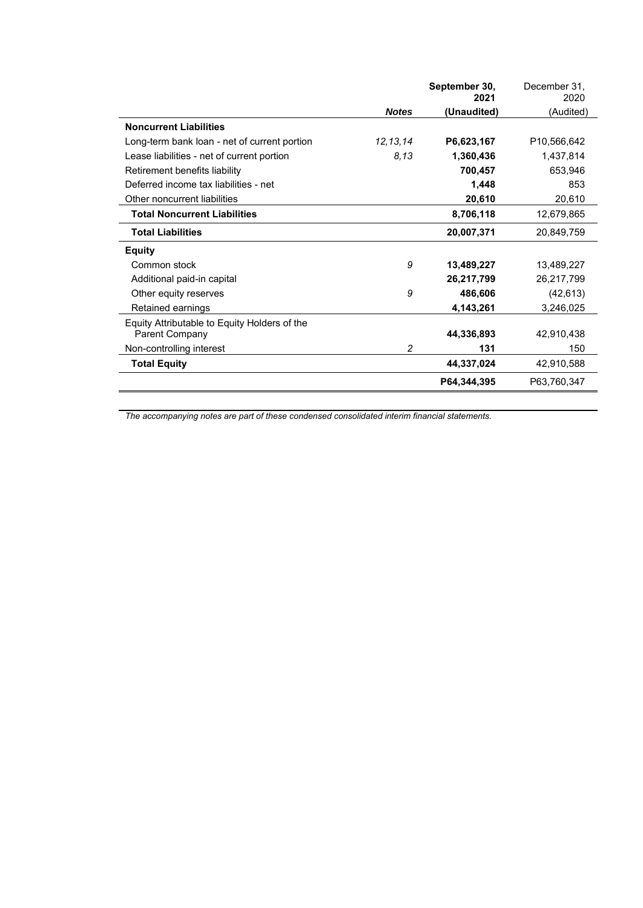|                                              |              | September 30,<br>2021 | December 31,<br>2020 |
|----------------------------------------------|--------------|-----------------------|----------------------|
|                                              | <b>Notes</b> | (Unaudited)           | (Audited)            |
| <b>Noncurrent Liabilities</b>                |              |                       |                      |
| Long-term bank loan - net of current portion | 12, 13, 14   | P6,623,167            | P10,566,642          |
| Lease liabilities - net of current portion   | 8,13         | 1,360,436             | 1,437,814            |
| Retirement benefits liability                |              | 700,457               | 653,946              |
| Deferred income tax liabilities - net        |              | 1,448                 | 853                  |
| Other noncurrent liabilities                 |              | 20,610                | 20,610               |
| <b>Total Noncurrent Liabilities</b>          |              | 8,706,118             | 12,679,865           |
| <b>Total Liabilities</b>                     |              | 20,007,371            | 20,849,759           |
| <b>Equity</b>                                |              |                       |                      |
| Common stock                                 | 9            | 13,489,227            | 13,489,227           |
| Additional paid-in capital                   |              | 26,217,799            | 26,217,799           |
| Other equity reserves                        | 9            | 486,606               | (42, 613)            |
| Retained earnings                            |              | 4,143,261             | 3,246,025            |
| Equity Attributable to Equity Holders of the |              |                       |                      |
| Parent Company                               |              | 44,336,893            | 42,910,438           |
| Non-controlling interest                     | 2            | 131                   | 150                  |
| <b>Total Equity</b>                          |              | 44,337,024            | 42,910,588           |
|                                              |              | P64,344,395           | P63,760,347          |

*The accompanying notes are part of these condensed consolidated interim financial statements.*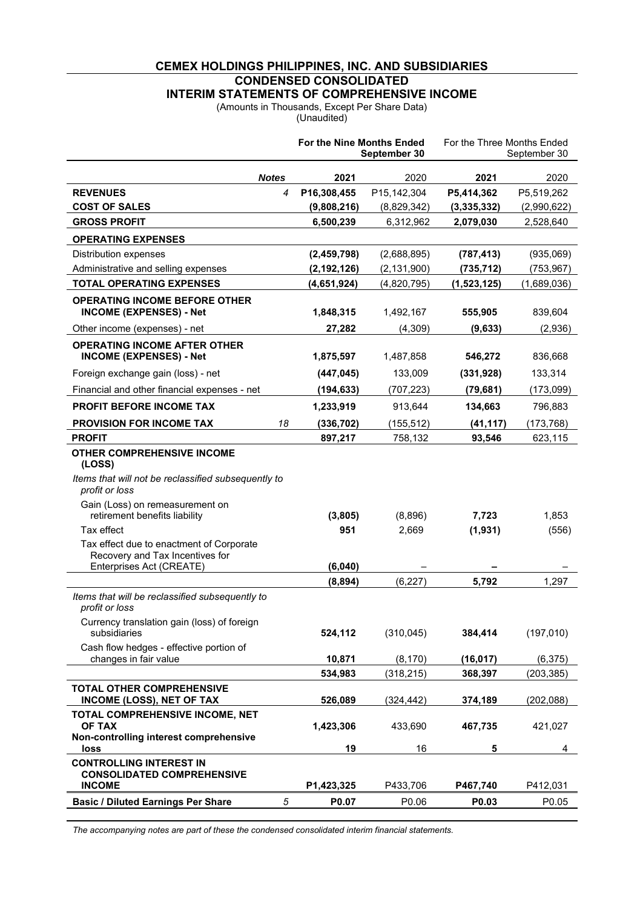# **CEMEX HOLDINGS PHILIPPINES, INC. AND SUBSIDIARIES CONDENSED CONSOLIDATED INTERIM STATEMENTS OF COMPREHENSIVE INCOME**

(Amounts in Thousands, Except Per Share Data)

(Unaudited)

|                                                                                                                      |              | For the Nine Months Ended | September 30  | For the Three Months Ended | September 30 |
|----------------------------------------------------------------------------------------------------------------------|--------------|---------------------------|---------------|----------------------------|--------------|
|                                                                                                                      | <b>Notes</b> | 2021                      | 2020          | 2021                       | 2020         |
| <b>REVENUES</b>                                                                                                      | 4            | P16,308,455               | P15,142,304   | P5,414,362                 | P5,519,262   |
| <b>COST OF SALES</b>                                                                                                 |              | (9,808,216)               | (8,829,342)   | (3,335,332)                | (2,990,622)  |
| <b>GROSS PROFIT</b>                                                                                                  |              | 6,500,239                 | 6,312,962     | 2,079,030                  | 2,528,640    |
| <b>OPERATING EXPENSES</b>                                                                                            |              |                           |               |                            |              |
| Distribution expenses                                                                                                |              | (2,459,798)               | (2,688,895)   | (787, 413)                 | (935,069)    |
| Administrative and selling expenses                                                                                  |              | (2, 192, 126)             | (2, 131, 900) | (735, 712)                 | (753, 967)   |
| <b>TOTAL OPERATING EXPENSES</b>                                                                                      |              | (4,651,924)               | (4,820,795)   | (1,523,125)                | (1,689,036)  |
| <b>OPERATING INCOME BEFORE OTHER</b><br><b>INCOME (EXPENSES) - Net</b>                                               |              | 1,848,315                 | 1,492,167     | 555,905                    | 839,604      |
| Other income (expenses) - net                                                                                        |              | 27,282                    | (4, 309)      | (9,633)                    | (2,936)      |
| <b>OPERATING INCOME AFTER OTHER</b><br><b>INCOME (EXPENSES) - Net</b>                                                |              | 1,875,597                 | 1,487,858     | 546,272                    | 836,668      |
| Foreign exchange gain (loss) - net                                                                                   |              | (447, 045)                | 133,009       | (331, 928)                 | 133,314      |
| Financial and other financial expenses - net                                                                         |              | (194, 633)                | (707, 223)    | (79, 681)                  | (173,099)    |
| <b>PROFIT BEFORE INCOME TAX</b>                                                                                      |              | 1,233,919                 | 913,644       | 134,663                    | 796,883      |
| <b>PROVISION FOR INCOME TAX</b>                                                                                      | 18           | (336, 702)                | (155, 512)    | (41, 117)                  | (173, 768)   |
| <b>PROFIT</b>                                                                                                        |              | 897,217                   | 758,132       | 93,546                     | 623,115      |
| <b>OTHER COMPREHENSIVE INCOME</b><br>(LOSS)<br>Items that will not be reclassified subsequently to<br>profit or loss |              |                           |               |                            |              |
| Gain (Loss) on remeasurement on<br>retirement benefits liability                                                     |              | (3,805)                   | (8,896)       | 7,723                      | 1,853        |
| Tax effect                                                                                                           |              | 951                       | 2,669         | (1, 931)                   | (556)        |
| Tax effect due to enactment of Corporate<br>Recovery and Tax Incentives for<br>Enterprises Act (CREATE)              |              | (6,040)                   |               |                            |              |
|                                                                                                                      |              | (8, 894)                  | (6, 227)      | 5,792                      | 1,297        |
| Items that will be reclassified subsequently to<br>profit or loss                                                    |              |                           |               |                            |              |
| Currency translation gain (loss) of foreign<br>subsidiaries                                                          |              | 524,112                   | (310, 045)    | 384,414                    | (197, 010)   |
| Cash flow hedges - effective portion of<br>changes in fair value                                                     |              | 10,871                    | (8, 170)      | (16, 017)                  | (6, 375)     |
|                                                                                                                      |              | 534,983                   | (318, 215)    | 368,397                    | (203, 385)   |
| TOTAL OTHER COMPREHENSIVE<br><b>INCOME (LOSS), NET OF TAX</b>                                                        |              | 526,089                   | (324, 442)    | 374,189                    | (202, 088)   |
| TOTAL COMPREHENSIVE INCOME, NET<br>OF TAX<br>Non-controlling interest comprehensive                                  |              | 1,423,306                 | 433,690       | 467,735                    | 421,027      |
| loss                                                                                                                 |              | 19                        | 16            | 5                          | 4            |
| <b>CONTROLLING INTEREST IN</b><br><b>CONSOLIDATED COMPREHENSIVE</b><br><b>INCOME</b>                                 |              | P1,423,325                | P433,706      | P467,740                   | P412,031     |
| <b>Basic / Diluted Earnings Per Share</b>                                                                            | 5            | P0.07                     | P0.06         | P0.03                      | P0.05        |
|                                                                                                                      |              |                           |               |                            |              |

*The accompanying notes are part of these the condensed consolidated interim financial statements.*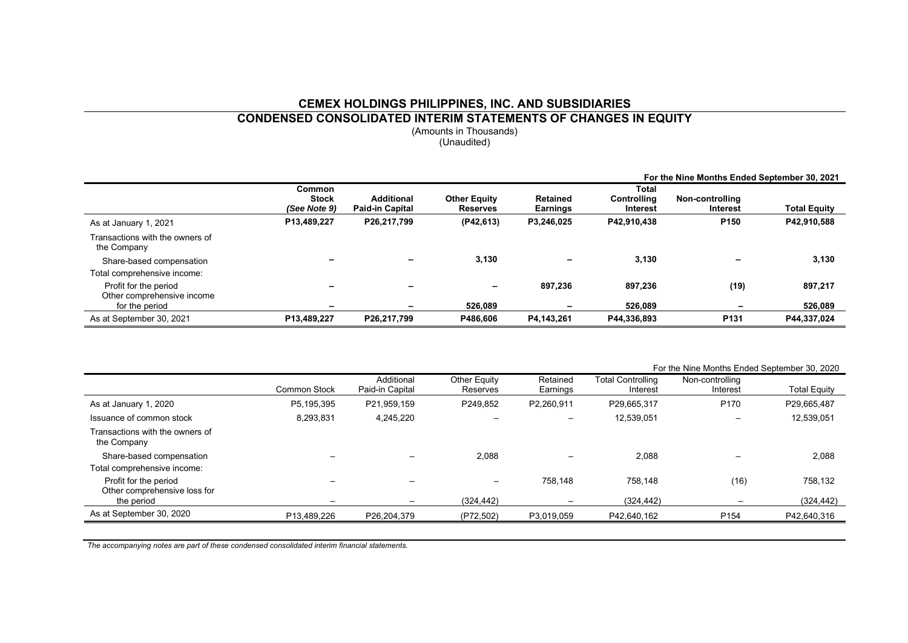# **CEMEX HOLDINGS PHILIPPINES, INC. AND SUBSIDIARIES**

**CONDENSED CONSOLIDATED INTERIM STATEMENTS OF CHANGES IN EQUITY**

(Amounts in Thousands) (Unaudited)

|                                                |                                               |                               |                                        |                                    |                                                | For the Nine Months Ended September 30, 2021 |                     |
|------------------------------------------------|-----------------------------------------------|-------------------------------|----------------------------------------|------------------------------------|------------------------------------------------|----------------------------------------------|---------------------|
|                                                | <b>Common</b><br><b>Stock</b><br>(See Note 9) | Additional<br>Paid-in Capital | <b>Other Equity</b><br><b>Reserves</b> | <b>Retained</b><br><b>Earnings</b> | Total<br><b>Controlling</b><br><b>Interest</b> | Non-controlling<br><b>Interest</b>           | <b>Total Equity</b> |
| As at January 1, 2021                          | P13,489,227                                   | P26,217,799                   | (P42,613)                              | P3,246,025                         | P42.910.438                                    | P <sub>150</sub>                             | P42,910,588         |
| Transactions with the owners of<br>the Company |                                               |                               |                                        |                                    |                                                |                                              |                     |
| Share-based compensation                       |                                               |                               | 3.130                                  | -                                  | 3,130                                          |                                              | 3,130               |
| Total comprehensive income:                    |                                               |                               |                                        |                                    |                                                |                                              |                     |
| Profit for the period                          |                                               |                               |                                        | 897,236                            | 897,236                                        | (19)                                         | 897,217             |
| Other comprehensive income<br>for the period   | -                                             | $\overline{\phantom{0}}$      | 526.089                                | -                                  | 526.089                                        |                                              | 526.089             |
| As at September 30, 2021                       | P13,489,227                                   | P26,217,799                   | P486.606                               | P4,143,261                         | P44,336,893                                    | P <sub>131</sub>                             | P44,337,024         |

|                                                |                     |                               |                          |                      |                               | For the Nine Months Ended September 30, 2020 |                     |
|------------------------------------------------|---------------------|-------------------------------|--------------------------|----------------------|-------------------------------|----------------------------------------------|---------------------|
|                                                | <b>Common Stock</b> | Additional<br>Paid-in Capital | Other Equity<br>Reserves | Retained<br>Earnings | Total Controlling<br>Interest | Non-controlling<br>Interest                  | <b>Total Equity</b> |
| As at January 1, 2020                          | P5,195,395          | P21.959.159                   | P249.852                 | P2,260,911           | P29.665.317                   | P170                                         | P29,665,487         |
| Issuance of common stock                       | 8,293,831           | 4,245,220                     |                          |                      | 12,539,051                    |                                              | 12,539,051          |
| Transactions with the owners of<br>the Company |                     |                               |                          |                      |                               |                                              |                     |
| Share-based compensation                       |                     |                               | 2.088                    |                      | 2,088                         |                                              | 2,088               |
| Total comprehensive income:                    |                     |                               |                          |                      |                               |                                              |                     |
| Profit for the period                          |                     |                               |                          | 758.148              | 758.148                       | (16)                                         | 758,132             |
| Other comprehensive loss for<br>the period     |                     |                               | (324, 442)               |                      | (324, 442)                    |                                              | (324, 442)          |
| As at September 30, 2020                       | P13,489,226         | P26,204,379                   | (P72,502)                | P3,019,059           | P42,640,162                   | P <sub>154</sub>                             | P42,640,316         |

*The accompanying notes are part of these condensed consolidated interim financial statements.*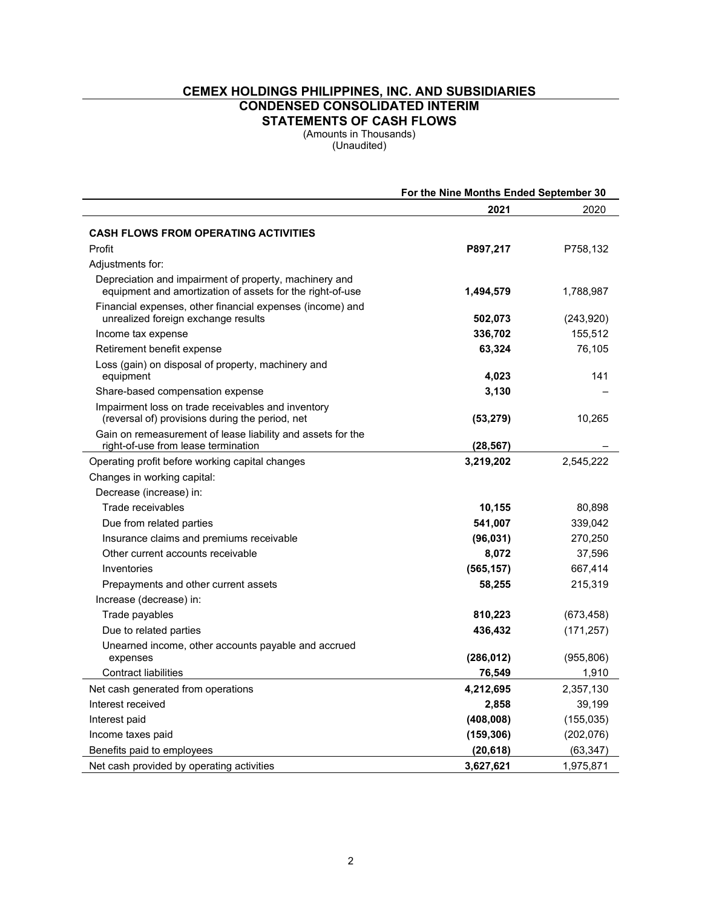# **CEMEX HOLDINGS PHILIPPINES, INC. AND SUBSIDIARIES CONDENSED CONSOLIDATED INTERIM**

**STATEMENTS OF CASH FLOWS**

(Amounts in Thousands) (Unaudited)

|                                                                                                       | For the Nine Months Ended September 30 |            |  |
|-------------------------------------------------------------------------------------------------------|----------------------------------------|------------|--|
|                                                                                                       | 2021                                   | 2020       |  |
| <b>CASH FLOWS FROM OPERATING ACTIVITIES</b>                                                           |                                        |            |  |
| Profit                                                                                                | P897,217                               | P758,132   |  |
| Adjustments for:                                                                                      |                                        |            |  |
| Depreciation and impairment of property, machinery and                                                |                                        |            |  |
| equipment and amortization of assets for the right-of-use                                             | 1,494,579                              | 1,788,987  |  |
| Financial expenses, other financial expenses (income) and                                             |                                        |            |  |
| unrealized foreign exchange results                                                                   | 502,073                                | (243, 920) |  |
| Income tax expense                                                                                    | 336,702                                | 155,512    |  |
| Retirement benefit expense                                                                            | 63,324                                 | 76,105     |  |
| Loss (gain) on disposal of property, machinery and                                                    |                                        |            |  |
| equipment                                                                                             | 4,023                                  | 141        |  |
| Share-based compensation expense                                                                      | 3,130                                  |            |  |
| Impairment loss on trade receivables and inventory<br>(reversal of) provisions during the period, net | (53, 279)                              | 10,265     |  |
| Gain on remeasurement of lease liability and assets for the                                           |                                        |            |  |
| right-of-use from lease termination                                                                   | (28, 567)                              |            |  |
| Operating profit before working capital changes                                                       | 3,219,202                              | 2,545,222  |  |
| Changes in working capital:                                                                           |                                        |            |  |
| Decrease (increase) in:                                                                               |                                        |            |  |
| Trade receivables                                                                                     | 10,155                                 | 80,898     |  |
| Due from related parties                                                                              | 541,007                                | 339,042    |  |
| Insurance claims and premiums receivable                                                              | (96, 031)                              | 270,250    |  |
| Other current accounts receivable                                                                     | 8,072                                  | 37,596     |  |
| Inventories                                                                                           | (565, 157)                             | 667,414    |  |
| Prepayments and other current assets                                                                  | 58,255                                 | 215,319    |  |
| Increase (decrease) in:                                                                               |                                        |            |  |
| Trade payables                                                                                        | 810,223                                | (673, 458) |  |
| Due to related parties                                                                                | 436,432                                | (171, 257) |  |
| Unearned income, other accounts payable and accrued                                                   |                                        |            |  |
| expenses                                                                                              | (286, 012)                             | (955, 806) |  |
| <b>Contract liabilities</b>                                                                           | 76,549                                 | 1,910      |  |
| Net cash generated from operations                                                                    | 4,212,695                              | 2,357,130  |  |
| Interest received                                                                                     | 2,858                                  | 39,199     |  |
| Interest paid                                                                                         | (408, 008)                             | (155, 035) |  |
| Income taxes paid                                                                                     | (159, 306)                             | (202, 076) |  |
| Benefits paid to employees                                                                            | (20, 618)                              | (63, 347)  |  |
| Net cash provided by operating activities                                                             | 3,627,621                              | 1,975,871  |  |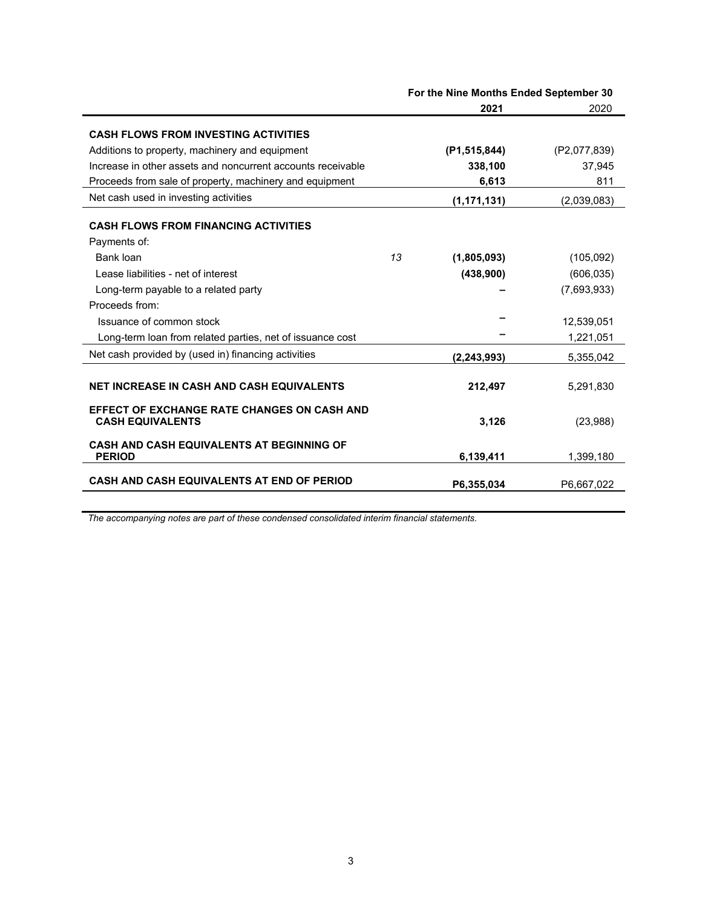|                                                                               | For the Nine Months Ended September 30 |                |              |  |
|-------------------------------------------------------------------------------|----------------------------------------|----------------|--------------|--|
|                                                                               |                                        | 2021           | 2020         |  |
| <b>CASH FLOWS FROM INVESTING ACTIVITIES</b>                                   |                                        |                |              |  |
| Additions to property, machinery and equipment                                |                                        | (P1, 515, 844) | (P2,077,839) |  |
| Increase in other assets and noncurrent accounts receivable                   |                                        | 338,100        | 37,945       |  |
| Proceeds from sale of property, machinery and equipment                       |                                        | 6,613          | 811          |  |
| Net cash used in investing activities                                         |                                        | (1, 171, 131)  | (2,039,083)  |  |
| <b>CASH FLOWS FROM FINANCING ACTIVITIES</b>                                   |                                        |                |              |  |
| Payments of:                                                                  |                                        |                |              |  |
| Bank loan                                                                     | 13                                     | (1,805,093)    | (105,092)    |  |
| Lease liabilities - net of interest                                           |                                        | (438,900)      | (606, 035)   |  |
| Long-term payable to a related party                                          |                                        |                | (7,693,933)  |  |
| Proceeds from:                                                                |                                        |                |              |  |
| Issuance of common stock                                                      |                                        |                | 12,539,051   |  |
| Long-term loan from related parties, net of issuance cost                     |                                        |                | 1,221,051    |  |
| Net cash provided by (used in) financing activities                           |                                        | (2, 243, 993)  | 5,355,042    |  |
| NET INCREASE IN CASH AND CASH EQUIVALENTS                                     |                                        | 212,497        | 5,291,830    |  |
| <b>EFFECT OF EXCHANGE RATE CHANGES ON CASH AND</b><br><b>CASH EQUIVALENTS</b> |                                        | 3,126          | (23,988)     |  |
| <b>CASH AND CASH EQUIVALENTS AT BEGINNING OF</b><br><b>PERIOD</b>             |                                        | 6,139,411      | 1,399,180    |  |
| <b>CASH AND CASH EQUIVALENTS AT END OF PERIOD</b>                             |                                        | P6,355,034     | P6,667,022   |  |

*The accompanying notes are part of these condensed consolidated interim financial statements.*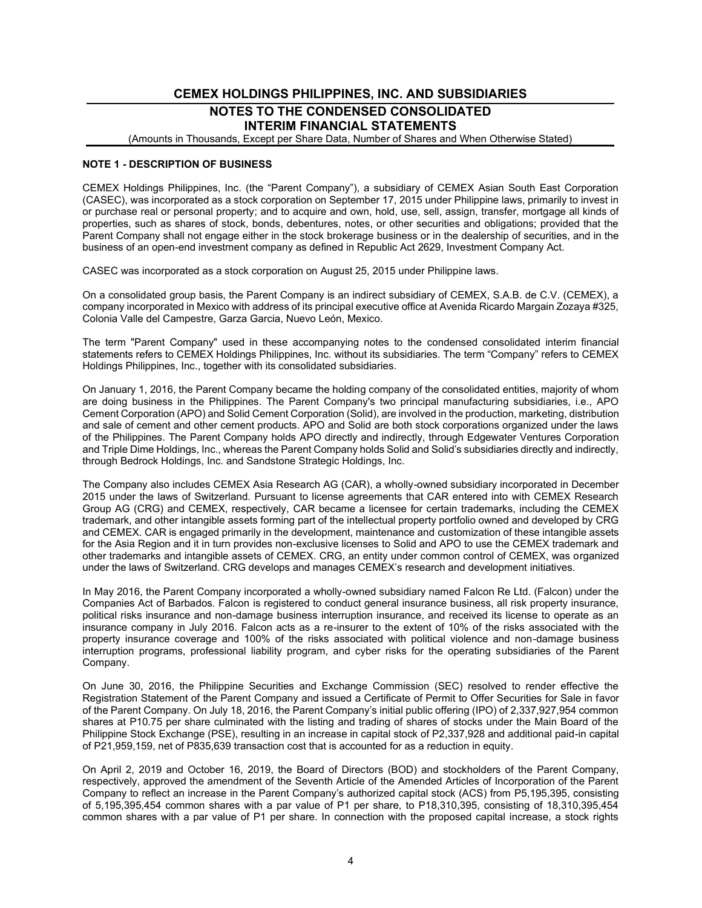# **CEMEX HOLDINGS PHILIPPINES, INC. AND SUBSIDIARIES NOTES TO THE CONDENSED CONSOLIDATED INTERIM FINANCIAL STATEMENTS**

(Amounts in Thousands, Except per Share Data, Number of Shares and When Otherwise Stated)

#### **NOTE 1 - DESCRIPTION OF BUSINESS**

CEMEX Holdings Philippines, Inc. (the "Parent Company"), a subsidiary of CEMEX Asian South East Corporation (CASEC), was incorporated as a stock corporation on September 17, 2015 under Philippine laws, primarily to invest in or purchase real or personal property; and to acquire and own, hold, use, sell, assign, transfer, mortgage all kinds of properties, such as shares of stock, bonds, debentures, notes, or other securities and obligations; provided that the Parent Company shall not engage either in the stock brokerage business or in the dealership of securities, and in the business of an open-end investment company as defined in Republic Act 2629, Investment Company Act.

CASEC was incorporated as a stock corporation on August 25, 2015 under Philippine laws.

On a consolidated group basis, the Parent Company is an indirect subsidiary of CEMEX, S.A.B. de C.V. (CEMEX), a company incorporated in Mexico with address of its principal executive office at Avenida Ricardo Margain Zozaya #325, Colonia Valle del Campestre, Garza Garcia, Nuevo León, Mexico.

The term "Parent Company" used in these accompanying notes to the condensed consolidated interim financial statements refers to CEMEX Holdings Philippines, Inc. without its subsidiaries. The term "Company" refers to CEMEX Holdings Philippines, Inc., together with its consolidated subsidiaries.

On January 1, 2016, the Parent Company became the holding company of the consolidated entities, majority of whom are doing business in the Philippines. The Parent Company's two principal manufacturing subsidiaries, i.e., APO Cement Corporation (APO) and Solid Cement Corporation (Solid), are involved in the production, marketing, distribution and sale of cement and other cement products. APO and Solid are both stock corporations organized under the laws of the Philippines. The Parent Company holds APO directly and indirectly, through Edgewater Ventures Corporation and Triple Dime Holdings, Inc., whereas the Parent Company holds Solid and Solid's subsidiaries directly and indirectly, through Bedrock Holdings, Inc. and Sandstone Strategic Holdings, Inc.

The Company also includes CEMEX Asia Research AG (CAR), a wholly-owned subsidiary incorporated in December 2015 under the laws of Switzerland. Pursuant to license agreements that CAR entered into with CEMEX Research Group AG (CRG) and CEMEX, respectively, CAR became a licensee for certain trademarks, including the CEMEX trademark, and other intangible assets forming part of the intellectual property portfolio owned and developed by CRG and CEMEX. CAR is engaged primarily in the development, maintenance and customization of these intangible assets for the Asia Region and it in turn provides non-exclusive licenses to Solid and APO to use the CEMEX trademark and other trademarks and intangible assets of CEMEX. CRG, an entity under common control of CEMEX, was organized under the laws of Switzerland. CRG develops and manages CEMEX's research and development initiatives.

In May 2016, the Parent Company incorporated a wholly-owned subsidiary named Falcon Re Ltd. (Falcon) under the Companies Act of Barbados. Falcon is registered to conduct general insurance business, all risk property insurance, political risks insurance and non-damage business interruption insurance, and received its license to operate as an insurance company in July 2016. Falcon acts as a re-insurer to the extent of 10% of the risks associated with the property insurance coverage and 100% of the risks associated with political violence and non-damage business interruption programs, professional liability program, and cyber risks for the operating subsidiaries of the Parent Company.

On June 30, 2016, the Philippine Securities and Exchange Commission (SEC) resolved to render effective the Registration Statement of the Parent Company and issued a Certificate of Permit to Offer Securities for Sale in favor of the Parent Company. On July 18, 2016, the Parent Company's initial public offering (IPO) of 2,337,927,954 common shares at P10.75 per share culminated with the listing and trading of shares of stocks under the Main Board of the Philippine Stock Exchange (PSE), resulting in an increase in capital stock of P2,337,928 and additional paid-in capital of P21,959,159, net of P835,639 transaction cost that is accounted for as a reduction in equity.

On April 2, 2019 and October 16, 2019, the Board of Directors (BOD) and stockholders of the Parent Company, respectively, approved the amendment of the Seventh Article of the Amended Articles of Incorporation of the Parent Company to reflect an increase in the Parent Company's authorized capital stock (ACS) from P5,195,395, consisting of 5,195,395,454 common shares with a par value of P1 per share, to P18,310,395, consisting of 18,310,395,454 common shares with a par value of P1 per share. In connection with the proposed capital increase, a stock rights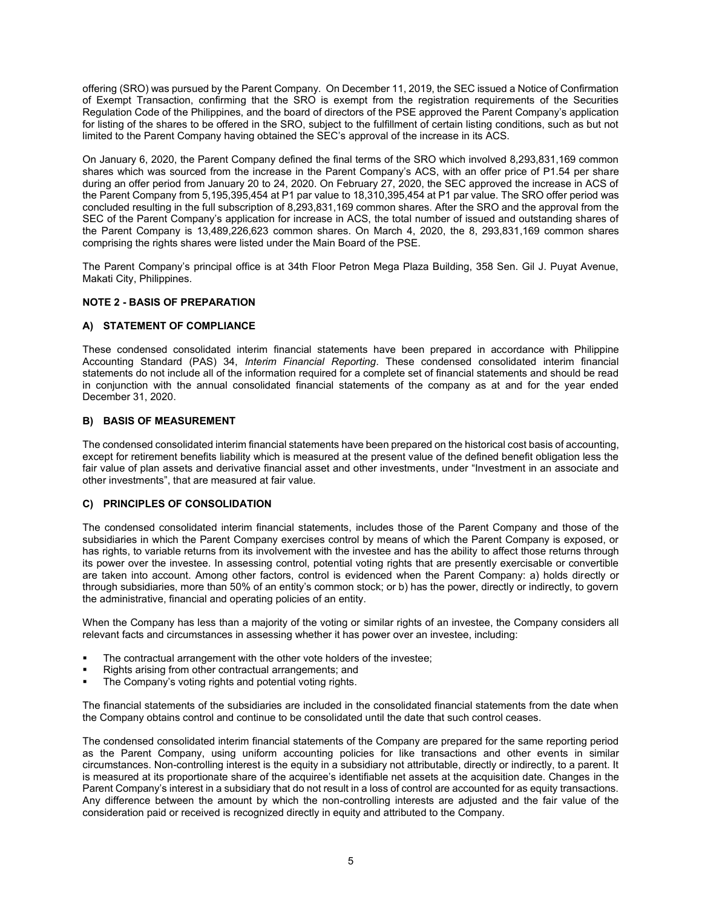offering (SRO) was pursued by the Parent Company. On December 11, 2019, the SEC issued a Notice of Confirmation of Exempt Transaction, confirming that the SRO is exempt from the registration requirements of the Securities Regulation Code of the Philippines, and the board of directors of the PSE approved the Parent Company's application for listing of the shares to be offered in the SRO, subject to the fulfillment of certain listing conditions, such as but not limited to the Parent Company having obtained the SEC's approval of the increase in its ACS.

On January 6, 2020, the Parent Company defined the final terms of the SRO which involved 8,293,831,169 common shares which was sourced from the increase in the Parent Company's ACS, with an offer price of P1.54 per share during an offer period from January 20 to 24, 2020. On February 27, 2020, the SEC approved the increase in ACS of the Parent Company from 5,195,395,454 at P1 par value to 18,310,395,454 at P1 par value. The SRO offer period was concluded resulting in the full subscription of 8,293,831,169 common shares. After the SRO and the approval from the SEC of the Parent Company's application for increase in ACS, the total number of issued and outstanding shares of the Parent Company is 13,489,226,623 common shares. On March 4, 2020, the 8, 293,831,169 common shares comprising the rights shares were listed under the Main Board of the PSE.

The Parent Company's principal office is at 34th Floor Petron Mega Plaza Building, 358 Sen. Gil J. Puyat Avenue, Makati City, Philippines.

#### **NOTE 2 - BASIS OF PREPARATION**

### **A) STATEMENT OF COMPLIANCE**

These condensed consolidated interim financial statements have been prepared in accordance with Philippine Accounting Standard (PAS) 34, *Interim Financial Reporting*. These condensed consolidated interim financial statements do not include all of the information required for a complete set of financial statements and should be read in conjunction with the annual consolidated financial statements of the company as at and for the year ended December 31, 2020.

#### **B) BASIS OF MEASUREMENT**

The condensed consolidated interim financial statements have been prepared on the historical cost basis of accounting, except for retirement benefits liability which is measured at the present value of the defined benefit obligation less the fair value of plan assets and derivative financial asset and other investments, under "Investment in an associate and other investments", that are measured at fair value.

#### **C) PRINCIPLES OF CONSOLIDATION**

The condensed consolidated interim financial statements, includes those of the Parent Company and those of the subsidiaries in which the Parent Company exercises control by means of which the Parent Company is exposed, or has rights, to variable returns from its involvement with the investee and has the ability to affect those returns through its power over the investee. In assessing control, potential voting rights that are presently exercisable or convertible are taken into account. Among other factors, control is evidenced when the Parent Company: a) holds directly or through subsidiaries, more than 50% of an entity's common stock; or b) has the power, directly or indirectly, to govern the administrative, financial and operating policies of an entity.

When the Company has less than a majority of the voting or similar rights of an investee, the Company considers all relevant facts and circumstances in assessing whether it has power over an investee, including:

- The contractual arrangement with the other vote holders of the investee;
- Rights arising from other contractual arrangements; and
- The Company's voting rights and potential voting rights.

The financial statements of the subsidiaries are included in the consolidated financial statements from the date when the Company obtains control and continue to be consolidated until the date that such control ceases.

The condensed consolidated interim financial statements of the Company are prepared for the same reporting period as the Parent Company, using uniform accounting policies for like transactions and other events in similar circumstances. Non-controlling interest is the equity in a subsidiary not attributable, directly or indirectly, to a parent. It is measured at its proportionate share of the acquiree's identifiable net assets at the acquisition date. Changes in the Parent Company's interest in a subsidiary that do not result in a loss of control are accounted for as equity transactions. Any difference between the amount by which the non-controlling interests are adjusted and the fair value of the consideration paid or received is recognized directly in equity and attributed to the Company.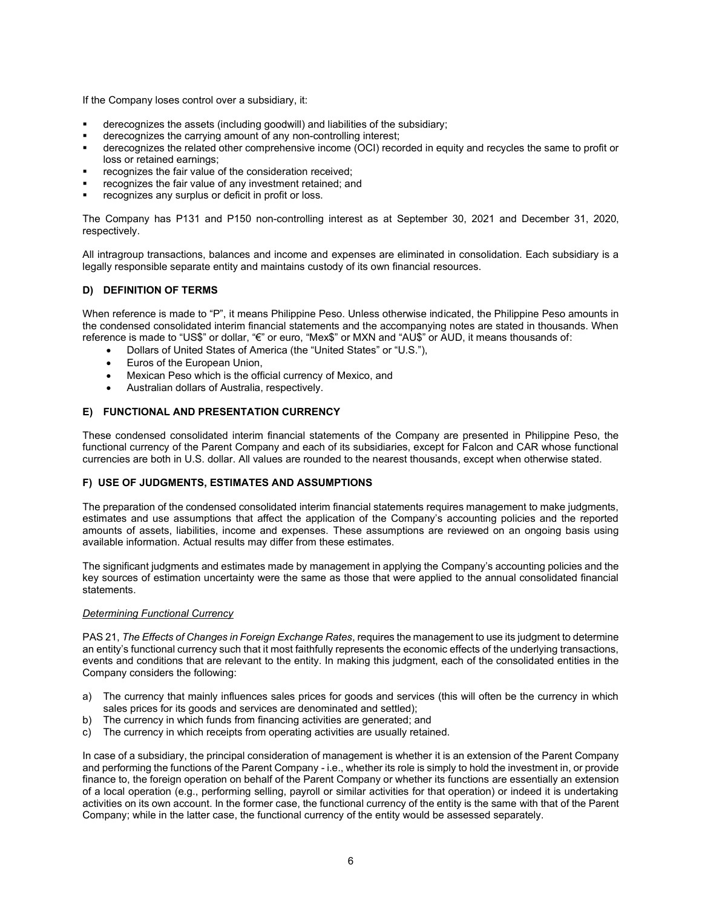If the Company loses control over a subsidiary, it:

- derecognizes the assets (including goodwill) and liabilities of the subsidiary;
- derecognizes the carrying amount of any non-controlling interest;
- derecognizes the related other comprehensive income (OCI) recorded in equity and recycles the same to profit or loss or retained earnings;
- recognizes the fair value of the consideration received;
- recognizes the fair value of any investment retained; and
- recognizes any surplus or deficit in profit or loss.

The Company has P131 and P150 non-controlling interest as at September 30, 2021 and December 31, 2020, respectively.

All intragroup transactions, balances and income and expenses are eliminated in consolidation. Each subsidiary is a legally responsible separate entity and maintains custody of its own financial resources.

# **D) DEFINITION OF TERMS**

When reference is made to "P", it means Philippine Peso. Unless otherwise indicated, the Philippine Peso amounts in the condensed consolidated interim financial statements and the accompanying notes are stated in thousands. When reference is made to "US\$" or dollar, "€" or euro, "Mex\$" or MXN and "AU\$" or AUD, it means thousands of:

- Dollars of United States of America (the "United States" or "U.S."),
- Euros of the European Union.
- Mexican Peso which is the official currency of Mexico, and
- Australian dollars of Australia, respectively.

#### **E) FUNCTIONAL AND PRESENTATION CURRENCY**

These condensed consolidated interim financial statements of the Company are presented in Philippine Peso, the functional currency of the Parent Company and each of its subsidiaries, except for Falcon and CAR whose functional currencies are both in U.S. dollar. All values are rounded to the nearest thousands, except when otherwise stated.

#### **F) USE OF JUDGMENTS, ESTIMATES AND ASSUMPTIONS**

The preparation of the condensed consolidated interim financial statements requires management to make judgments, estimates and use assumptions that affect the application of the Company's accounting policies and the reported amounts of assets, liabilities, income and expenses. These assumptions are reviewed on an ongoing basis using available information. Actual results may differ from these estimates.

The significant judgments and estimates made by management in applying the Company's accounting policies and the key sources of estimation uncertainty were the same as those that were applied to the annual consolidated financial statements.

#### *Determining Functional Currency*

PAS 21, *The Effects of Changes in Foreign Exchange Rates*, requires the management to use its judgment to determine an entity's functional currency such that it most faithfully represents the economic effects of the underlying transactions, events and conditions that are relevant to the entity. In making this judgment, each of the consolidated entities in the Company considers the following:

- a) The currency that mainly influences sales prices for goods and services (this will often be the currency in which sales prices for its goods and services are denominated and settled);
- b) The currency in which funds from financing activities are generated; and
- c) The currency in which receipts from operating activities are usually retained.

In case of a subsidiary, the principal consideration of management is whether it is an extension of the Parent Company and performing the functions of the Parent Company - i.e., whether its role is simply to hold the investment in, or provide finance to, the foreign operation on behalf of the Parent Company or whether its functions are essentially an extension of a local operation (e.g., performing selling, payroll or similar activities for that operation) or indeed it is undertaking activities on its own account. In the former case, the functional currency of the entity is the same with that of the Parent Company; while in the latter case, the functional currency of the entity would be assessed separately.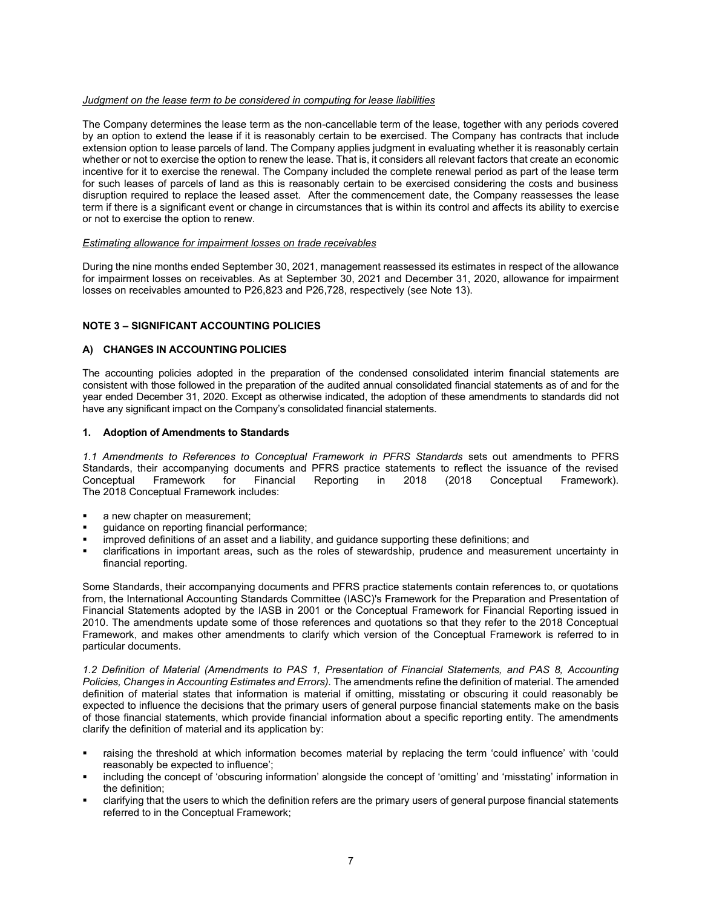#### *Judgment on the lease term to be considered in computing for lease liabilities*

The Company determines the lease term as the non-cancellable term of the lease, together with any periods covered by an option to extend the lease if it is reasonably certain to be exercised. The Company has contracts that include extension option to lease parcels of land. The Company applies judgment in evaluating whether it is reasonably certain whether or not to exercise the option to renew the lease. That is, it considers all relevant factors that create an economic incentive for it to exercise the renewal. The Company included the complete renewal period as part of the lease term for such leases of parcels of land as this is reasonably certain to be exercised considering the costs and business disruption required to replace the leased asset. After the commencement date, the Company reassesses the lease term if there is a significant event or change in circumstances that is within its control and affects its ability to exercise or not to exercise the option to renew.

#### *Estimating allowance for impairment losses on trade receivables*

During the nine months ended September 30, 2021, management reassessed its estimates in respect of the allowance for impairment losses on receivables. As at September 30, 2021 and December 31, 2020, allowance for impairment losses on receivables amounted to P26,823 and P26,728, respectively (see Note 13).

#### **NOTE 3 – SIGNIFICANT ACCOUNTING POLICIES**

#### **A) CHANGES IN ACCOUNTING POLICIES**

The accounting policies adopted in the preparation of the condensed consolidated interim financial statements are consistent with those followed in the preparation of the audited annual consolidated financial statements as of and for the year ended December 31, 2020. Except as otherwise indicated, the adoption of these amendments to standards did not have any significant impact on the Company's consolidated financial statements.

#### **1. Adoption of Amendments to Standards**

*1.1 Amendments to References to Conceptual Framework in PFRS Standards* sets out amendments to PFRS Standards, their accompanying documents and PFRS practice statements to reflect the issuance of the revised Conceptual Framework). Framework for Financial Reporting in 2018 (2018 Conceptual Framework). The 2018 Conceptual Framework includes:

- a new chapter on measurement;
- guidance on reporting financial performance;
- improved definitions of an asset and a liability, and guidance supporting these definitions; and
- clarifications in important areas, such as the roles of stewardship, prudence and measurement uncertainty in financial reporting.

Some Standards, their accompanying documents and PFRS practice statements contain references to, or quotations from, the International Accounting Standards Committee (IASC)'s Framework for the Preparation and Presentation of Financial Statements adopted by the IASB in 2001 or the Conceptual Framework for Financial Reporting issued in 2010. The amendments update some of those references and quotations so that they refer to the 2018 Conceptual Framework, and makes other amendments to clarify which version of the Conceptual Framework is referred to in particular documents.

*1.2 Definition of Material (Amendments to PAS 1, Presentation of Financial Statements, and PAS 8, Accounting Policies, Changes in Accounting Estimates and Errors).* The amendments refine the definition of material. The amended definition of material states that information is material if omitting, misstating or obscuring it could reasonably be expected to influence the decisions that the primary users of general purpose financial statements make on the basis of those financial statements, which provide financial information about a specific reporting entity. The amendments clarify the definition of material and its application by:

- raising the threshold at which information becomes material by replacing the term 'could influence' with 'could reasonably be expected to influence';
- including the concept of 'obscuring information' alongside the concept of 'omitting' and 'misstating' information in the definition;
- clarifying that the users to which the definition refers are the primary users of general purpose financial statements referred to in the Conceptual Framework;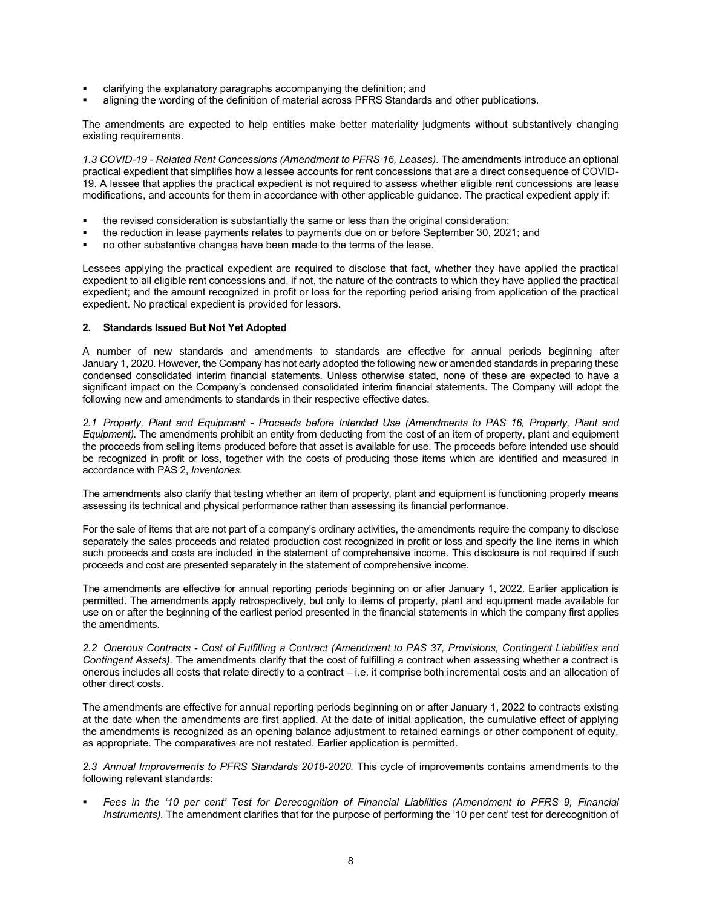- clarifying the explanatory paragraphs accompanying the definition; and
- aligning the wording of the definition of material across PFRS Standards and other publications.

The amendments are expected to help entities make better materiality judgments without substantively changing existing requirements.

*1.3 COVID-19 - Related Rent Concessions (Amendment to PFRS 16, Leases).* The amendments introduce an optional practical expedient that simplifies how a lessee accounts for rent concessions that are a direct consequence of COVID-19. A lessee that applies the practical expedient is not required to assess whether eligible rent concessions are lease modifications, and accounts for them in accordance with other applicable guidance. The practical expedient apply if:

- the revised consideration is substantially the same or less than the original consideration;
- the reduction in lease payments relates to payments due on or before September 30, 2021; and
- no other substantive changes have been made to the terms of the lease.

Lessees applying the practical expedient are required to disclose that fact, whether they have applied the practical expedient to all eligible rent concessions and, if not, the nature of the contracts to which they have applied the practical expedient; and the amount recognized in profit or loss for the reporting period arising from application of the practical expedient. No practical expedient is provided for lessors.

#### **2. Standards Issued But Not Yet Adopted**

A number of new standards and amendments to standards are effective for annual periods beginning after January 1, 2020. However, the Company has not early adopted the following new or amended standards in preparing these condensed consolidated interim financial statements. Unless otherwise stated, none of these are expected to have a significant impact on the Company's condensed consolidated interim financial statements. The Company will adopt the following new and amendments to standards in their respective effective dates.

*2.1 Property, Plant and Equipment - Proceeds before Intended Use (Amendments to PAS 16, Property, Plant and Equipment).* The amendments prohibit an entity from deducting from the cost of an item of property, plant and equipment the proceeds from selling items produced before that asset is available for use. The proceeds before intended use should be recognized in profit or loss, together with the costs of producing those items which are identified and measured in accordance with PAS 2, *Inventories*.

The amendments also clarify that testing whether an item of property, plant and equipment is functioning properly means assessing its technical and physical performance rather than assessing its financial performance.

For the sale of items that are not part of a company's ordinary activities, the amendments require the company to disclose separately the sales proceeds and related production cost recognized in profit or loss and specify the line items in which such proceeds and costs are included in the statement of comprehensive income. This disclosure is not required if such proceeds and cost are presented separately in the statement of comprehensive income.

The amendments are effective for annual reporting periods beginning on or after January 1, 2022. Earlier application is permitted. The amendments apply retrospectively, but only to items of property, plant and equipment made available for use on or after the beginning of the earliest period presented in the financial statements in which the company first applies the amendments.

*2.2 Onerous Contracts - Cost of Fulfilling a Contract (Amendment to PAS 37, Provisions, Contingent Liabilities and Contingent Assets).* The amendments clarify that the cost of fulfilling a contract when assessing whether a contract is onerous includes all costs that relate directly to a contract – i.e. it comprise both incremental costs and an allocation of other direct costs.

The amendments are effective for annual reporting periods beginning on or after January 1, 2022 to contracts existing at the date when the amendments are first applied. At the date of initial application, the cumulative effect of applying the amendments is recognized as an opening balance adjustment to retained earnings or other component of equity, as appropriate. The comparatives are not restated. Earlier application is permitted.

*2.3 Annual Improvements to PFRS Standards 2018-2020.* This cycle of improvements contains amendments to the following relevant standards:

Fees in the '10 per cent' Test for Derecognition of Financial Liabilities (Amendment to PFRS 9, Financial *Instruments).* The amendment clarifies that for the purpose of performing the '10 per cent' test for derecognition of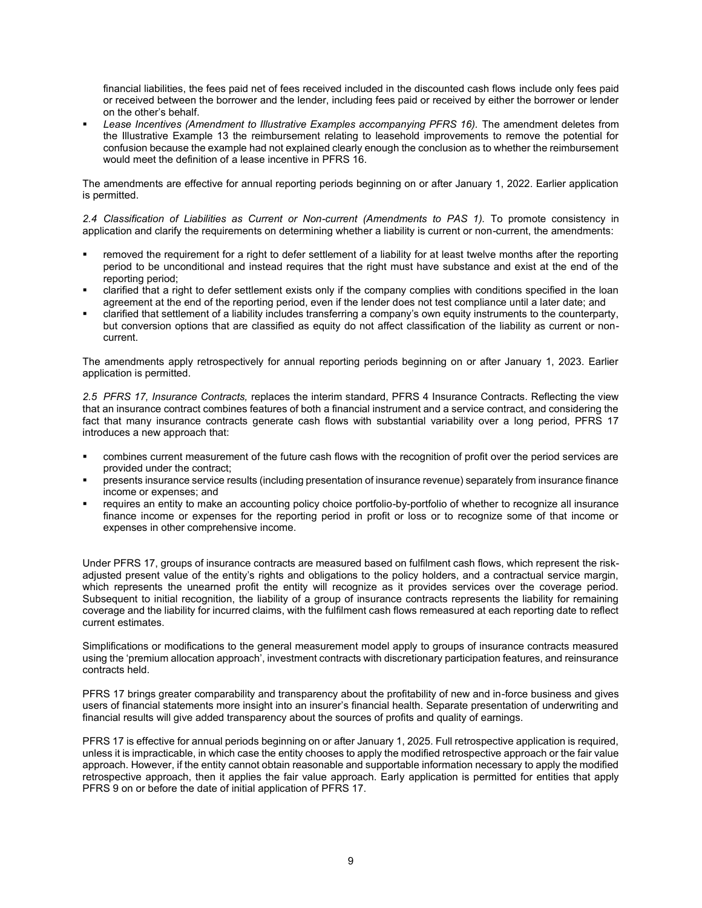financial liabilities, the fees paid net of fees received included in the discounted cash flows include only fees paid or received between the borrower and the lender, including fees paid or received by either the borrower or lender on the other's behalf.

Lease Incentives (Amendment to Illustrative Examples accompanying PFRS 16). The amendment deletes from the Illustrative Example 13 the reimbursement relating to leasehold improvements to remove the potential for confusion because the example had not explained clearly enough the conclusion as to whether the reimbursement would meet the definition of a lease incentive in PFRS 16.

The amendments are effective for annual reporting periods beginning on or after January 1, 2022. Earlier application is permitted.

*2.4 Classification of Liabilities as Current or Non-current (Amendments to PAS 1).* To promote consistency in application and clarify the requirements on determining whether a liability is current or non-current, the amendments:

- removed the requirement for a right to defer settlement of a liability for at least twelve months after the reporting period to be unconditional and instead requires that the right must have substance and exist at the end of the reporting period;
- clarified that a right to defer settlement exists only if the company complies with conditions specified in the loan agreement at the end of the reporting period, even if the lender does not test compliance until a later date; and
- clarified that settlement of a liability includes transferring a company's own equity instruments to the counterparty, but conversion options that are classified as equity do not affect classification of the liability as current or noncurrent.

The amendments apply retrospectively for annual reporting periods beginning on or after January 1, 2023. Earlier application is permitted.

*2.5 PFRS 17, Insurance Contracts,* replaces the interim standard, PFRS 4 Insurance Contracts. Reflecting the view that an insurance contract combines features of both a financial instrument and a service contract, and considering the fact that many insurance contracts generate cash flows with substantial variability over a long period, PFRS 17 introduces a new approach that:

- combines current measurement of the future cash flows with the recognition of profit over the period services are provided under the contract;
- presents insurance service results (including presentation of insurance revenue) separately from insurance finance income or expenses; and
- requires an entity to make an accounting policy choice portfolio-by-portfolio of whether to recognize all insurance finance income or expenses for the reporting period in profit or loss or to recognize some of that income or expenses in other comprehensive income.

Under PFRS 17, groups of insurance contracts are measured based on fulfilment cash flows, which represent the riskadjusted present value of the entity's rights and obligations to the policy holders, and a contractual service margin, which represents the unearned profit the entity will recognize as it provides services over the coverage period. Subsequent to initial recognition, the liability of a group of insurance contracts represents the liability for remaining coverage and the liability for incurred claims, with the fulfilment cash flows remeasured at each reporting date to reflect current estimates.

Simplifications or modifications to the general measurement model apply to groups of insurance contracts measured using the 'premium allocation approach', investment contracts with discretionary participation features, and reinsurance contracts held.

PFRS 17 brings greater comparability and transparency about the profitability of new and in-force business and gives users of financial statements more insight into an insurer's financial health. Separate presentation of underwriting and financial results will give added transparency about the sources of profits and quality of earnings.

PFRS 17 is effective for annual periods beginning on or after January 1, 2025. Full retrospective application is required, unless it is impracticable, in which case the entity chooses to apply the modified retrospective approach or the fair value approach. However, if the entity cannot obtain reasonable and supportable information necessary to apply the modified retrospective approach, then it applies the fair value approach. Early application is permitted for entities that apply PFRS 9 on or before the date of initial application of PFRS 17.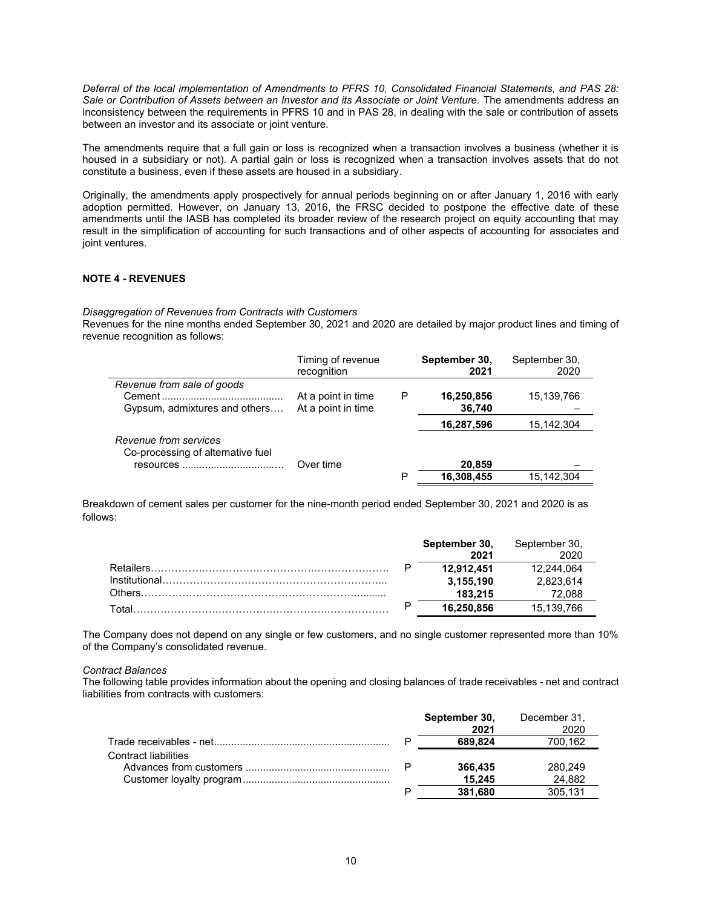*Deferral of the local implementation of Amendments to PFRS 10, Consolidated Financial Statements, and PAS 28: Sale or Contribution of Assets between an Investor and its Associate or Joint Venture.* The amendments address an inconsistency between the requirements in PFRS 10 and in PAS 28, in dealing with the sale or contribution of assets between an investor and its associate or joint venture.

The amendments require that a full gain or loss is recognized when a transaction involves a business (whether it is housed in a subsidiary or not). A partial gain or loss is recognized when a transaction involves assets that do not constitute a business, even if these assets are housed in a subsidiary.

Originally, the amendments apply prospectively for annual periods beginning on or after January 1, 2016 with early adoption permitted. However, on January 13, 2016, the FRSC decided to postpone the effective date of these amendments until the IASB has completed its broader review of the research project on equity accounting that may result in the simplification of accounting for such transactions and of other aspects of accounting for associates and joint ventures.

### **NOTE 4 - REVENUES**

*Disaggregation of Revenues from Contracts with Customers*

Revenues for the nine months ended September 30, 2021 and 2020 are detailed by major product lines and timing of revenue recognition as follows:

|                                   | Timing of revenue<br>recognition |   | September 30,<br>2021 | September 30,<br>2020 |
|-----------------------------------|----------------------------------|---|-----------------------|-----------------------|
| Revenue from sale of goods        |                                  |   |                       |                       |
|                                   | At a point in time               | Р | 16,250,856            | 15,139,766            |
| Gypsum, admixtures and others     | At a point in time               |   | 36,740                |                       |
|                                   |                                  |   | 16,287,596            | 15,142,304            |
| Revenue from services             |                                  |   |                       |                       |
| Co-processing of alternative fuel |                                  |   |                       |                       |
| resources                         | Over time                        |   | 20,859                |                       |
|                                   |                                  | Р | 16,308,455            | 15.142.304            |

Breakdown of cement sales per customer for the nine-month period ended September 30, 2021 and 2020 is as follows:

|                  |   | September 30, | September 30, |
|------------------|---|---------------|---------------|
|                  |   | 2021          |               |
| <b>Retailers</b> | D | 12.912.451    | 12.244.064    |
|                  |   | 3,155,190     | 2,823,614     |
| Others           |   | 183.215       | 72.088        |
| Total            |   | 16.250.856    | 15,139,766    |

The Company does not depend on any single or few customers, and no single customer represented more than 10% of the Company's consolidated revenue.

#### *Contract Balances*

The following table provides information about the opening and closing balances of trade receivables - net and contract liabilities from contracts with customers:

|                             | September 30, | December 31, |
|-----------------------------|---------------|--------------|
|                             | 2021          | 2020         |
|                             | 689.824       | 700,162      |
| <b>Contract liabilities</b> |               |              |
|                             | 366,435       | 280.249      |
|                             | 15.245        | 24.882       |
|                             | 381.680       | 305.131      |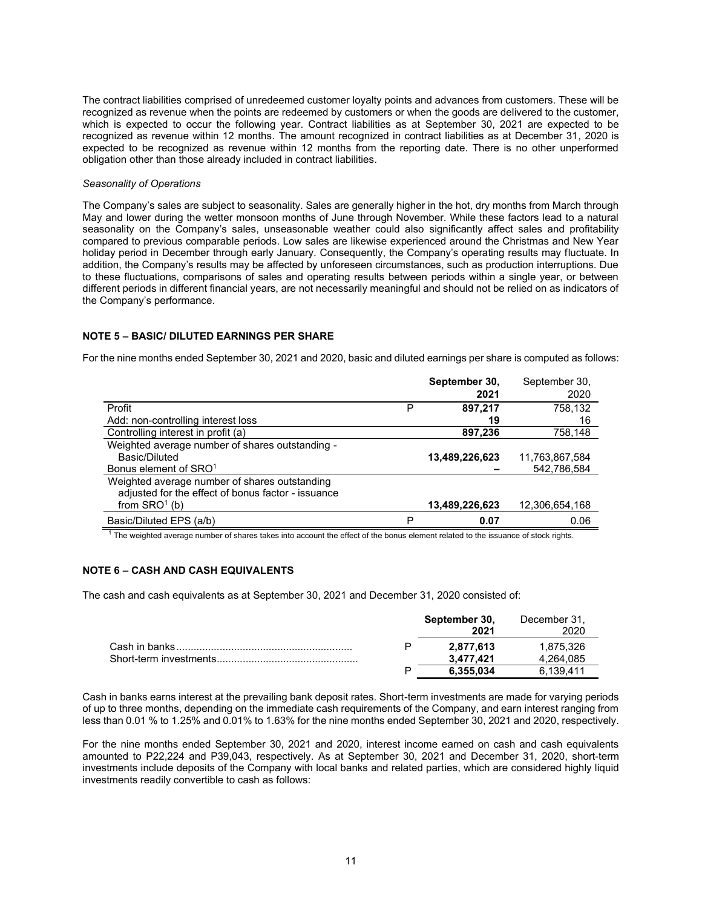The contract liabilities comprised of unredeemed customer loyalty points and advances from customers. These will be recognized as revenue when the points are redeemed by customers or when the goods are delivered to the customer, which is expected to occur the following year. Contract liabilities as at September 30, 2021 are expected to be recognized as revenue within 12 months. The amount recognized in contract liabilities as at December 31, 2020 is expected to be recognized as revenue within 12 months from the reporting date. There is no other unperformed obligation other than those already included in contract liabilities.

#### *Seasonality of Operations*

The Company's sales are subject to seasonality. Sales are generally higher in the hot, dry months from March through May and lower during the wetter monsoon months of June through November. While these factors lead to a natural seasonality on the Company's sales, unseasonable weather could also significantly affect sales and profitability compared to previous comparable periods. Low sales are likewise experienced around the Christmas and New Year holiday period in December through early January. Consequently, the Company's operating results may fluctuate. In addition, the Company's results may be affected by unforeseen circumstances, such as production interruptions. Due to these fluctuations, comparisons of sales and operating results between periods within a single year, or between different periods in different financial years, are not necessarily meaningful and should not be relied on as indicators of the Company's performance.

#### **NOTE 5 – BASIC/ DILUTED EARNINGS PER SHARE**

For the nine months ended September 30, 2021 and 2020, basic and diluted earnings per share is computed as follows:

|                                                    |   | September 30,  | September 30,  |
|----------------------------------------------------|---|----------------|----------------|
|                                                    |   | 2021           | 2020           |
| Profit                                             | P | 897,217        | 758,132        |
| Add: non-controlling interest loss                 |   | 19             | 16             |
| Controlling interest in profit (a)                 |   | 897,236        | 758,148        |
| Weighted average number of shares outstanding -    |   |                |                |
| Basic/Diluted                                      |   | 13,489,226,623 | 11,763,867,584 |
| Bonus element of SRO <sup>1</sup>                  |   |                | 542,786,584    |
| Weighted average number of shares outstanding      |   |                |                |
| adjusted for the effect of bonus factor - issuance |   |                |                |
| from $SRO1$ (b)                                    |   | 13,489,226,623 | 12,306,654,168 |
| Basic/Diluted EPS (a/b)                            | Ρ | 0.07           | 0.06           |

 $1$  The weighted average number of shares takes into account the effect of the bonus element related to the issuance of stock rights.

### **NOTE 6 – CASH AND CASH EQUIVALENTS**

The cash and cash equivalents as at September 30, 2021 and December 31, 2020 consisted of:

|  | September 30,<br>2021 | December 31.<br>2020 |
|--|-----------------------|----------------------|
|  | 2.877.613             | 1.875.326            |
|  | 3.477.421             | 4.264.085            |
|  | 6.355.034             | 6.139.411            |

Cash in banks earns interest at the prevailing bank deposit rates. Short-term investments are made for varying periods of up to three months, depending on the immediate cash requirements of the Company, and earn interest ranging from less than 0.01 % to 1.25% and 0.01% to 1.63% for the nine months ended September 30, 2021 and 2020, respectively.

For the nine months ended September 30, 2021 and 2020, interest income earned on cash and cash equivalents amounted to P22,224 and P39,043, respectively. As at September 30, 2021 and December 31, 2020, short-term investments include deposits of the Company with local banks and related parties, which are considered highly liquid investments readily convertible to cash as follows: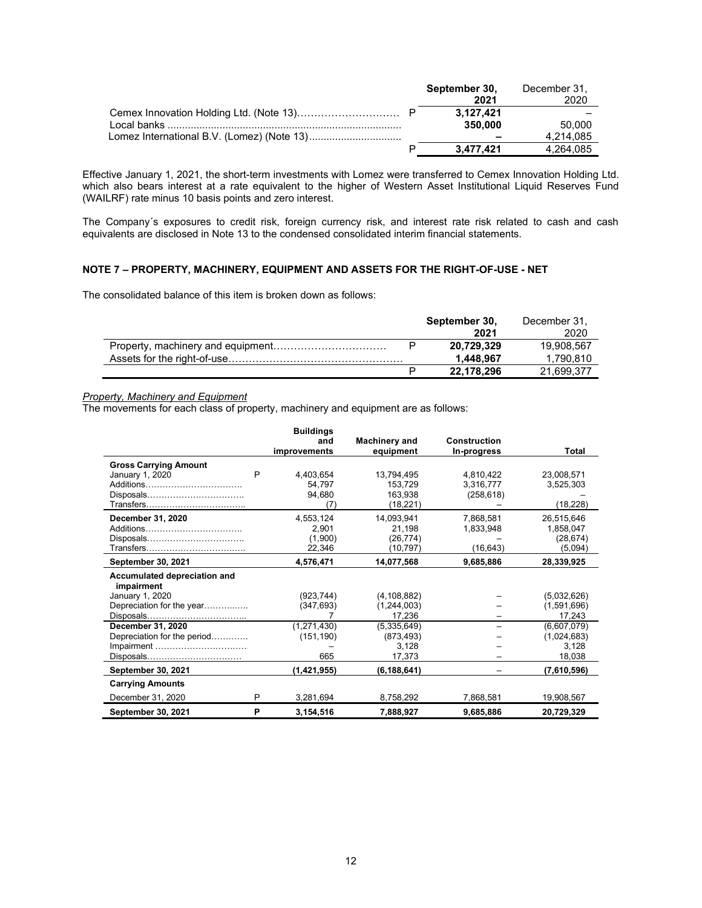|  | September 30, | December 31. |
|--|---------------|--------------|
|  | 2021          | 2020         |
|  | 3.127.421     |              |
|  | 350.000       | 50.000       |
|  |               | 4,214,085    |
|  | 3.477.421     | 4.264.085    |

Effective January 1, 2021, the short-term investments with Lomez were transferred to Cemex Innovation Holding Ltd. which also bears interest at a rate equivalent to the higher of Western Asset Institutional Liquid Reserves Fund (WAILRF) rate minus 10 basis points and zero interest.

The Company´s exposures to credit risk, foreign currency risk, and interest rate risk related to cash and cash equivalents are disclosed in Note 13 to the condensed consolidated interim financial statements.

#### **NOTE 7 – PROPERTY, MACHINERY, EQUIPMENT AND ASSETS FOR THE RIGHT-OF-USE - NET**

The consolidated balance of this item is broken down as follows:

|  | September 30, | December 31. |
|--|---------------|--------------|
|  | 2021          | 2020         |
|  | 20,729,329    | 19.908.567   |
|  | 1.448.967     | 1.790.810    |
|  | 22.178.296    | 21.699.377   |

# *Property, Machinery and Equipment*

The movements for each class of property, machinery and equipment are as follows:

|                                            |   | <b>Buildings</b><br>and<br>improvements | <b>Machinery and</b><br>equipment | <b>Construction</b><br>In-progress | Total       |
|--------------------------------------------|---|-----------------------------------------|-----------------------------------|------------------------------------|-------------|
|                                            |   |                                         |                                   |                                    |             |
| <b>Gross Carrying Amount</b>               |   |                                         |                                   |                                    |             |
| January 1, 2020                            | P | 4,403,654                               | 13,794,495                        | 4.810.422                          | 23,008,571  |
| Additions                                  |   | 54,797                                  | 153.729                           | 3,316,777                          | 3,525,303   |
|                                            |   | 94,680                                  | 163,938                           | (258, 618)                         |             |
|                                            |   | (7)                                     | (18, 221)                         |                                    | (18, 228)   |
| December 31, 2020                          |   | 4,553,124                               | 14,093,941                        | 7,868,581                          | 26,515,646  |
| Additions                                  |   | 2.901                                   | 21,198                            | 1,833,948                          | 1,858,047   |
|                                            |   | (1,900)                                 | (26, 774)                         |                                    | (28, 674)   |
|                                            |   | 22,346                                  | (10, 797)                         | (16, 643)                          | (5,094)     |
| <b>September 30, 2021</b>                  |   | 4,576,471                               | 14,077,568                        | 9,685,886                          | 28,339,925  |
| Accumulated depreciation and<br>impairment |   |                                         |                                   |                                    |             |
| January 1, 2020                            |   | (923.744)                               | (4, 108, 882)                     |                                    | (5.032.626) |
| Depreciation for the year                  |   | (347, 693)                              | (1,244,003)                       |                                    | (1,591,696) |
|                                            |   |                                         | 17,236                            |                                    | 17,243      |
| December 31, 2020                          |   | (1,271,430)                             | (5,335,649)                       |                                    | (6,607,079) |
| Depreciation for the period                |   | (151, 190)                              | (873, 493)                        |                                    | (1,024,683) |
| Impairment                                 |   |                                         | 3,128                             |                                    | 3,128       |
|                                            |   | 665                                     | 17,373                            |                                    | 18,038      |
| September 30, 2021                         |   | (1, 421, 955)                           | (6, 188, 641)                     |                                    | (7,610,596) |
| <b>Carrying Amounts</b>                    |   |                                         |                                   |                                    |             |
| December 31, 2020                          | P | 3.281.694                               | 8,758,292                         | 7,868,581                          | 19,908,567  |
| September 30, 2021                         | P | 3,154,516                               | 7,888,927                         | 9,685,886                          | 20,729,329  |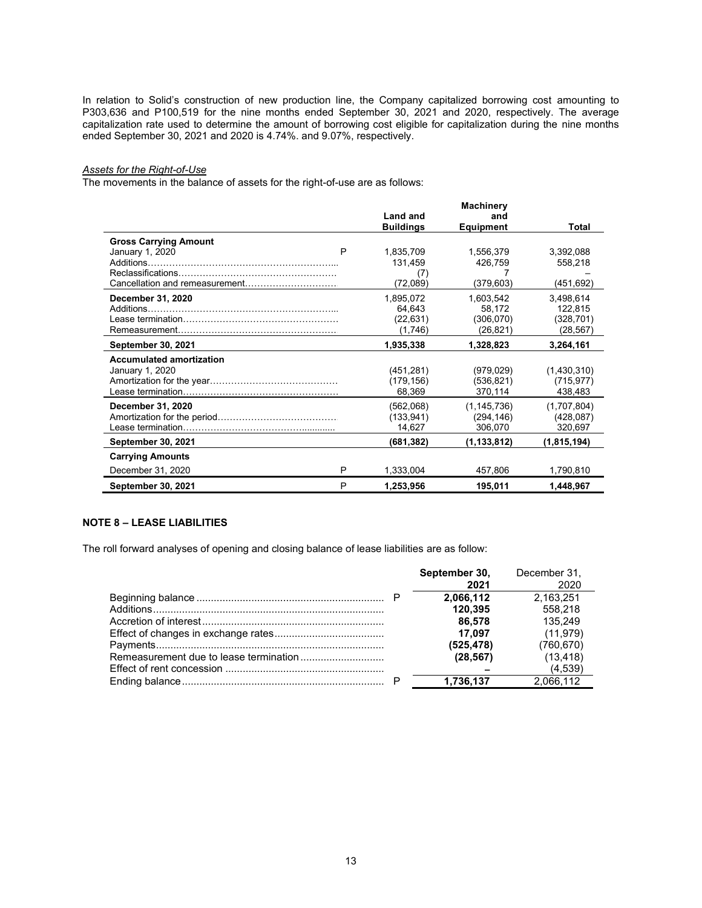In relation to Solid's construction of new production line, the Company capitalized borrowing cost amounting to P303,636 and P100,519 for the nine months ended September 30, 2021 and 2020, respectively. The average capitalization rate used to determine the amount of borrowing cost eligible for capitalization during the nine months ended September 30, 2021 and 2020 is 4.74%. and 9.07%, respectively.

### *Assets for the Right-of-Use*

The movements in the balance of assets for the right-of-use are as follows:

|                                                                                                                        |   |                  | <b>Machinery</b> |               |
|------------------------------------------------------------------------------------------------------------------------|---|------------------|------------------|---------------|
|                                                                                                                        |   | <b>Land and</b>  | and              |               |
|                                                                                                                        |   | <b>Buildings</b> | <b>Equipment</b> | <b>Total</b>  |
| <b>Gross Carrying Amount</b>                                                                                           |   |                  |                  |               |
| January 1, 2020                                                                                                        | P | 1,835,709        | 1,556,379        | 3,392,088     |
|                                                                                                                        |   | 131,459          | 426,759          | 558,218       |
|                                                                                                                        |   | (7)              |                  |               |
|                                                                                                                        |   | (72,089)         | (379, 603)       | (451,692)     |
| December 31, 2020                                                                                                      |   | 1,895,072        | 1,603,542        | 3,498,614     |
| Additions                                                                                                              |   | 64,643           | 58,172           | 122,815       |
| <u>lease termination and a contract and a contract of the set of the set of the set of the set of the set of the s</u> |   | (22, 631)        | (306,070)        | (328, 701)    |
|                                                                                                                        |   | (1,746)          | (26, 821)        | (28, 567)     |
| <b>September 30, 2021</b>                                                                                              |   | 1,935,338        | 1,328,823        | 3,264,161     |
| <b>Accumulated amortization</b>                                                                                        |   |                  |                  |               |
| January 1, 2020                                                                                                        |   | (451, 281)       | (979, 029)       | (1,430,310)   |
|                                                                                                                        |   | (179, 156)       | (536, 821)       | (715, 977)    |
|                                                                                                                        |   | 68,369           | 370,114          | 438,483       |
| December 31, 2020                                                                                                      |   | (562,068)        | (1, 145, 736)    | (1,707,804)   |
|                                                                                                                        |   | (133, 941)       | (294, 146)       | (428,087)     |
|                                                                                                                        |   | 14,627           | 306,070          | 320,697       |
| <b>September 30, 2021</b>                                                                                              |   | (681, 382)       | (1, 133, 812)    | (1, 815, 194) |
| <b>Carrying Amounts</b>                                                                                                |   |                  |                  |               |
| December 31, 2020                                                                                                      | P | 1,333,004        | 457,806          | 1,790,810     |
| September 30, 2021                                                                                                     | P | 1,253,956        | 195.011          | 1,448,967     |

# **NOTE 8 – LEASE LIABILITIES**

The roll forward analyses of opening and closing balance of lease liabilities are as follow:

|  | September 30, | December 31, |
|--|---------------|--------------|
|  | 2021          | 2020         |
|  | 2,066,112     | 2.163.251    |
|  | 120.395       | 558.218      |
|  | 86.578        | 135.249      |
|  | 17.097        | (11, 979)    |
|  | (525, 478)    | (760, 670)   |
|  | (28, 567)     | (13, 418)    |
|  |               | (4.539)      |
|  | 1,736,137     | 2,066,112    |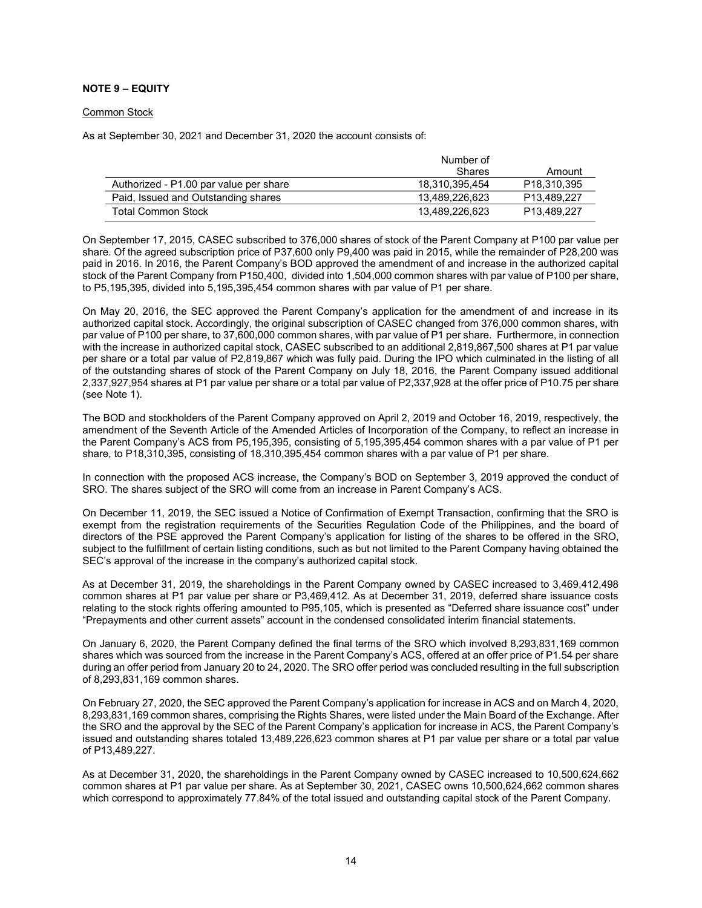### **NOTE 9 – EQUITY**

#### Common Stock

As at September 30, 2021 and December 31, 2020 the account consists of:

|                                        | Number of      |                         |
|----------------------------------------|----------------|-------------------------|
|                                        | <b>Shares</b>  | Amount                  |
| Authorized - P1.00 par value per share | 18.310.395.454 | P <sub>18.310.395</sub> |
| Paid, Issued and Outstanding shares    | 13.489.226.623 | P13.489.227             |
| Total Common Stock                     | 13.489.226.623 | P13.489.227             |

On September 17, 2015, CASEC subscribed to 376,000 shares of stock of the Parent Company at P100 par value per share. Of the agreed subscription price of P37,600 only P9,400 was paid in 2015, while the remainder of P28,200 was paid in 2016. In 2016, the Parent Company's BOD approved the amendment of and increase in the authorized capital stock of the Parent Company from P150,400, divided into 1,504,000 common shares with par value of P100 per share, to P5,195,395, divided into 5,195,395,454 common shares with par value of P1 per share.

On May 20, 2016, the SEC approved the Parent Company's application for the amendment of and increase in its authorized capital stock. Accordingly, the original subscription of CASEC changed from 376,000 common shares, with par value of P100 per share, to 37,600,000 common shares, with par value of P1 per share. Furthermore, in connection with the increase in authorized capital stock, CASEC subscribed to an additional 2,819,867,500 shares at P1 par value per share or a total par value of P2,819,867 which was fully paid. During the IPO which culminated in the listing of all of the outstanding shares of stock of the Parent Company on July 18, 2016, the Parent Company issued additional 2,337,927,954 shares at P1 par value per share or a total par value of P2,337,928 at the offer price of P10.75 per share (see Note 1).

The BOD and stockholders of the Parent Company approved on April 2, 2019 and October 16, 2019, respectively, the amendment of the Seventh Article of the Amended Articles of Incorporation of the Company, to reflect an increase in the Parent Company's ACS from P5,195,395, consisting of 5,195,395,454 common shares with a par value of P1 per share, to P18,310,395, consisting of 18,310,395,454 common shares with a par value of P1 per share.

In connection with the proposed ACS increase, the Company's BOD on September 3, 2019 approved the conduct of SRO. The shares subject of the SRO will come from an increase in Parent Company's ACS.

On December 11, 2019, the SEC issued a Notice of Confirmation of Exempt Transaction, confirming that the SRO is exempt from the registration requirements of the Securities Regulation Code of the Philippines, and the board of directors of the PSE approved the Parent Company's application for listing of the shares to be offered in the SRO, subject to the fulfillment of certain listing conditions, such as but not limited to the Parent Company having obtained the SEC's approval of the increase in the company's authorized capital stock.

As at December 31, 2019, the shareholdings in the Parent Company owned by CASEC increased to 3,469,412,498 common shares at P1 par value per share or P3,469,412. As at December 31, 2019, deferred share issuance costs relating to the stock rights offering amounted to P95,105, which is presented as "Deferred share issuance cost" under "Prepayments and other current assets" account in the condensed consolidated interim financial statements.

On January 6, 2020, the Parent Company defined the final terms of the SRO which involved 8,293,831,169 common shares which was sourced from the increase in the Parent Company's ACS, offered at an offer price of P1.54 per share during an offer period from January 20 to 24, 2020. The SRO offer period was concluded resulting in the full subscription of 8,293,831,169 common shares.

On February 27, 2020, the SEC approved the Parent Company's application for increase in ACS and on March 4, 2020, 8,293,831,169 common shares, comprising the Rights Shares, were listed under the Main Board of the Exchange. After the SRO and the approval by the SEC of the Parent Company's application for increase in ACS, the Parent Company's issued and outstanding shares totaled 13,489,226,623 common shares at P1 par value per share or a total par value of P13,489,227.

As at December 31, 2020, the shareholdings in the Parent Company owned by CASEC increased to 10,500,624,662 common shares at P1 par value per share. As at September 30, 2021, CASEC owns 10,500,624,662 common shares which correspond to approximately 77.84% of the total issued and outstanding capital stock of the Parent Company.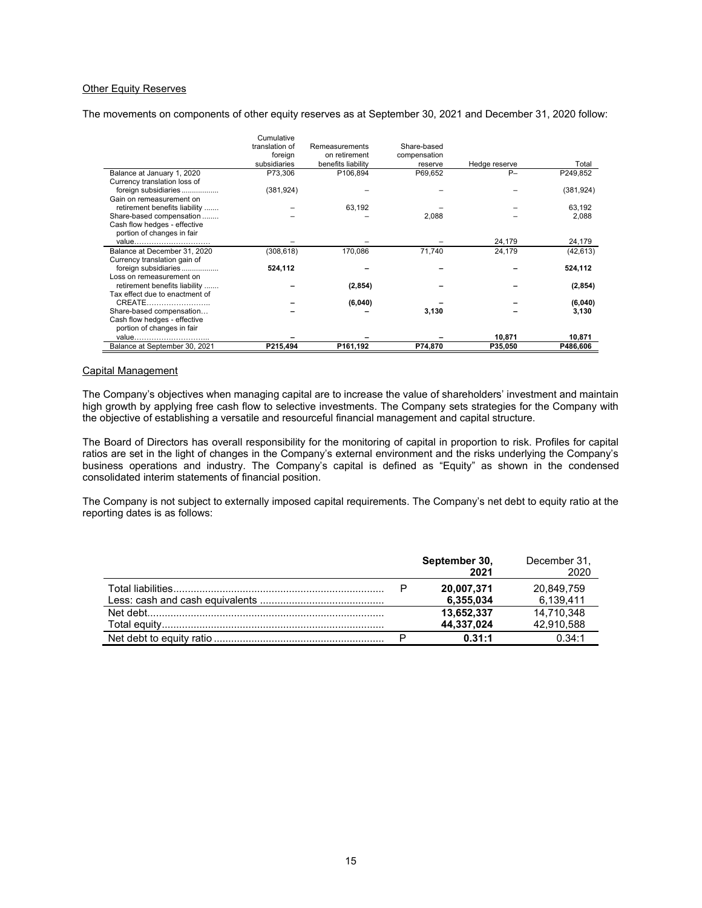### Other Equity Reserves

The movements on components of other equity reserves as at September 30, 2021 and December 31, 2020 follow:

|                                | Cumulative     |                    |              |               |            |
|--------------------------------|----------------|--------------------|--------------|---------------|------------|
|                                | translation of | Remeasurements     | Share-based  |               |            |
|                                | foreign        | on retirement      | compensation |               |            |
|                                | subsidiaries   | benefits liability | reserve      | Hedge reserve | Total      |
| Balance at January 1, 2020     | P73,306        | P106,894           | P69.652      | $P-$          | P249,852   |
| Currency translation loss of   |                |                    |              |               |            |
| foreign subsidiaries           | (381, 924)     |                    |              |               | (381, 924) |
| Gain on remeasurement on       |                |                    |              |               |            |
| retirement benefits liability  |                | 63,192             |              |               | 63,192     |
| Share-based compensation       |                |                    | 2,088        |               | 2,088      |
| Cash flow hedges - effective   |                |                    |              |               |            |
| portion of changes in fair     |                |                    |              |               |            |
| value                          |                |                    |              | 24,179        | 24,179     |
| Balance at December 31, 2020   | (308, 618)     | 170,086            | 71,740       | 24,179        | (42, 613)  |
| Currency translation gain of   |                |                    |              |               |            |
| foreign subsidiaries           | 524,112        |                    |              |               | 524,112    |
| Loss on remeasurement on       |                |                    |              |               |            |
| retirement benefits liability  |                | (2, 854)           |              |               | (2, 854)   |
| Tax effect due to enactment of |                |                    |              |               |            |
| CREATE                         |                | (6,040)            |              |               | (6,040)    |
| Share-based compensation       |                |                    | 3,130        |               | 3,130      |
| Cash flow hedges - effective   |                |                    |              |               |            |
| portion of changes in fair     |                |                    |              |               |            |
| value                          |                |                    |              | 10,871        | 10,871     |
| Balance at September 30, 2021  | P215.494       | P161,192           | P74,870      | P35,050       | P486.606   |

#### Capital Management

The Company's objectives when managing capital are to increase the value of shareholders' investment and maintain high growth by applying free cash flow to selective investments. The Company sets strategies for the Company with the objective of establishing a versatile and resourceful financial management and capital structure.

The Board of Directors has overall responsibility for the monitoring of capital in proportion to risk. Profiles for capital ratios are set in the light of changes in the Company's external environment and the risks underlying the Company's business operations and industry. The Company's capital is defined as "Equity" as shown in the condensed consolidated interim statements of financial position.

The Company is not subject to externally imposed capital requirements. The Company's net debt to equity ratio at the reporting dates is as follows:

|  | September 30,<br>2021 | December 31,<br>2020 |
|--|-----------------------|----------------------|
|  | 20,007,371            | 20,849,759           |
|  | 6,355,034             | 6.139.411            |
|  | 13,652,337            | 14.710.348           |
|  | 44,337,024            | 42,910,588           |
|  | 0.31:1                | $0.34 - 1$           |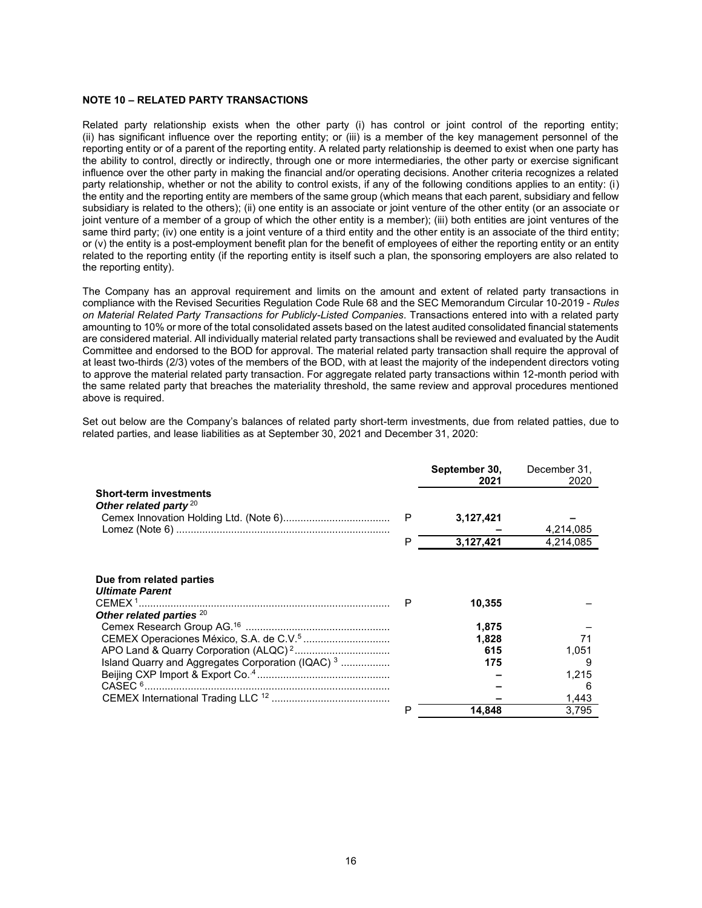#### **NOTE 10 – RELATED PARTY TRANSACTIONS**

Related party relationship exists when the other party (i) has control or joint control of the reporting entity; (ii) has significant influence over the reporting entity; or (iii) is a member of the key management personnel of the reporting entity or of a parent of the reporting entity. A related party relationship is deemed to exist when one party has the ability to control, directly or indirectly, through one or more intermediaries, the other party or exercise significant influence over the other party in making the financial and/or operating decisions. Another criteria recognizes a related party relationship, whether or not the ability to control exists, if any of the following conditions applies to an entity: (i) the entity and the reporting entity are members of the same group (which means that each parent, subsidiary and fellow subsidiary is related to the others); (ii) one entity is an associate or joint venture of the other entity (or an associate or joint venture of a member of a group of which the other entity is a member); (iii) both entities are joint ventures of the same third party; (iv) one entity is a joint venture of a third entity and the other entity is an associate of the third entity; or (v) the entity is a post-employment benefit plan for the benefit of employees of either the reporting entity or an entity related to the reporting entity (if the reporting entity is itself such a plan, the sponsoring employers are also related to the reporting entity).

The Company has an approval requirement and limits on the amount and extent of related party transactions in compliance with the Revised Securities Regulation Code Rule 68 and the SEC Memorandum Circular 10-2019 - *Rules on Material Related Party Transactions for Publicly-Listed Companies*. Transactions entered into with a related party amounting to 10% or more of the total consolidated assets based on the latest audited consolidated financial statements are considered material. All individually material related party transactions shall be reviewed and evaluated by the Audit Committee and endorsed to the BOD for approval. The material related party transaction shall require the approval of at least two-thirds (2/3) votes of the members of the BOD, with at least the majority of the independent directors voting to approve the material related party transaction. For aggregate related party transactions within 12-month period with the same related party that breaches the materiality threshold, the same review and approval procedures mentioned above is required.

Set out below are the Company's balances of related party short-term investments, due from related patties, due to related parties, and lease liabilities as at September 30, 2021 and December 31, 2020:

|                                                              |   | September 30,<br>2021 | December 31.<br>2020 |
|--------------------------------------------------------------|---|-----------------------|----------------------|
| <b>Short-term investments</b>                                |   |                       |                      |
| Other related party $20$                                     | P | 3,127,421             |                      |
|                                                              |   |                       | 4,214,085            |
|                                                              | P | 3,127,421             | 4,214,085            |
|                                                              |   |                       |                      |
| Due from related parties                                     |   |                       |                      |
| <b>Ultimate Parent</b>                                       |   |                       |                      |
| CEMEX <sup>1</sup><br>Other related parties <sup>20</sup>    | P | 10,355                |                      |
|                                                              |   | 1,875                 |                      |
|                                                              |   | 1,828                 | 71                   |
|                                                              |   | 615                   | 1.051                |
| Island Quarry and Aggregates Corporation (IQAC) <sup>3</sup> |   | 175                   | 9                    |
|                                                              |   |                       | 1,215                |
|                                                              |   |                       | 6                    |
|                                                              |   |                       | 1,443                |
|                                                              | Р | 14.848                | 3.795                |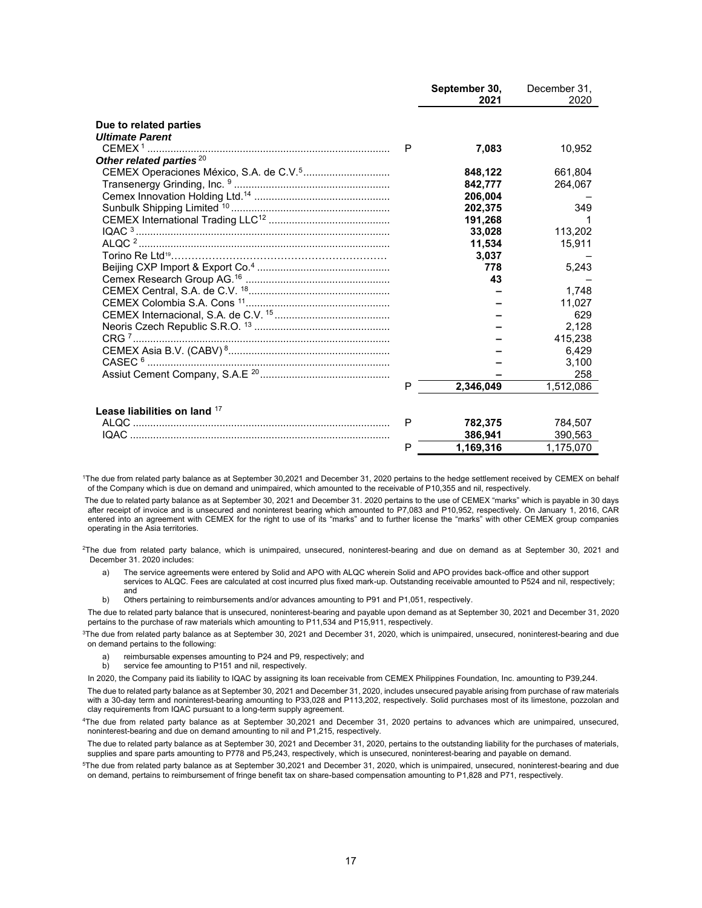|                                     |   | September 30, | December 31, |
|-------------------------------------|---|---------------|--------------|
|                                     |   | 2021          | 2020         |
|                                     |   |               |              |
| Due to related parties              |   |               |              |
| <b>Ultimate Parent</b>              |   |               |              |
|                                     | P | 7,083         | 10,952       |
| Other related parties <sup>20</sup> |   |               |              |
|                                     |   | 848,122       | 661,804      |
|                                     |   | 842,777       | 264,067      |
|                                     |   | 206,004       |              |
|                                     |   | 202.375       | 349          |
|                                     |   | 191,268       |              |
|                                     |   | 33,028        | 113,202      |
|                                     |   | 11,534        | 15,911       |
|                                     |   | 3,037         |              |
|                                     |   | 778           | 5,243        |
|                                     |   | 43            |              |
|                                     |   |               | 1.748        |
|                                     |   |               | 11,027       |
|                                     |   |               | 629          |
|                                     |   |               | 2,128        |
|                                     |   |               | 415,238      |
|                                     |   |               | 6.429        |
|                                     |   |               | 3,100        |
|                                     |   |               | 258          |
|                                     | P | 2,346,049     | 1,512,086    |
|                                     |   |               |              |
| Lease liabilities on land 17        |   |               |              |
|                                     | P | 782,375       | 784,507      |
|                                     |   | 386,941       | 390,563      |
|                                     | P | 1.169.316     | 1,175,070    |
|                                     |   |               |              |

<sup>1</sup>The due from related party balance as at September 30,2021 and December 31, 2020 pertains to the hedge settlement received by CEMEX on behalf of the Company which is due on demand and unimpaired, which amounted to the receivable of P10,355 and nil, respectively.

The due to related party balance as at September 30, 2021 and December 31. 2020 pertains to the use of CEMEX "marks" which is payable in 30 days after receipt of invoice and is unsecured and noninterest bearing which amounted to P7,083 and P10,952, respectively. On January 1, 2016, CAR entered into an agreement with CEMEX for the right to use of its "marks" and to further license the "marks" with other CEMEX group companies operating in the Asia territories.

<sup>2</sup>The due from related party balance, which is unimpaired, unsecured, noninterest-bearing and due on demand as at September 30, 2021 and December 31. 2020 includes:

a) The service agreements were entered by Solid and APO with ALQC wherein Solid and APO provides back-office and other support services to ALQC. Fees are calculated at cost incurred plus fixed mark-up. Outstanding receivable amounted to P524 and nil, respectively; and

b) Others pertaining to reimbursements and/or advances amounting to P91 and P1,051, respectively.

The due to related party balance that is unsecured, noninterest-bearing and payable upon demand as at September 30, 2021 and December 31, 2020 pertains to the purchase of raw materials which amounting to P11,534 and P15,911, respectively.

<sup>3</sup>The due from related party balance as at September 30, 2021 and December 31, 2020, which is unimpaired, unsecured, noninterest-bearing and due on demand pertains to the following:

a) reimbursable expenses amounting to P24 and P9, respectively; and b) service fee amounting to P151 and nil. respectively.

service fee amounting to P151 and nil, respectively.

In 2020, the Company paid its liability to IQAC by assigning its loan receivable from CEMEX Philippines Foundation, Inc. amounting to P39,244.

The due to related party balance as at September 30, 2021 and December 31, 2020, includes unsecured payable arising from purchase of raw materials with a 30-day term and noninterest-bearing amounting to P33,028 and P113,202, respectively. Solid purchases most of its limestone, pozzolan and clay requirements from IQAC pursuant to a long-term supply agreement.

<sup>4</sup>The due from related party balance as at September 30,2021 and December 31, 2020 pertains to advances which are unimpaired, unsecured, noninterest-bearing and due on demand amounting to nil and P1,215, respectively.

The due to related party balance as at September 30, 2021 and December 31, 2020, pertains to the outstanding liability for the purchases of materials, supplies and spare parts amounting to P778 and P5,243, respectively, which is unsecured, noninterest-bearing and payable on demand.

<sup>5</sup>The due from related party balance as at September 30,2021 and December 31, 2020, which is unimpaired, unsecured, noninterest-bearing and due on demand, pertains to reimbursement of fringe benefit tax on share-based compensation amounting to P1,828 and P71, respectively.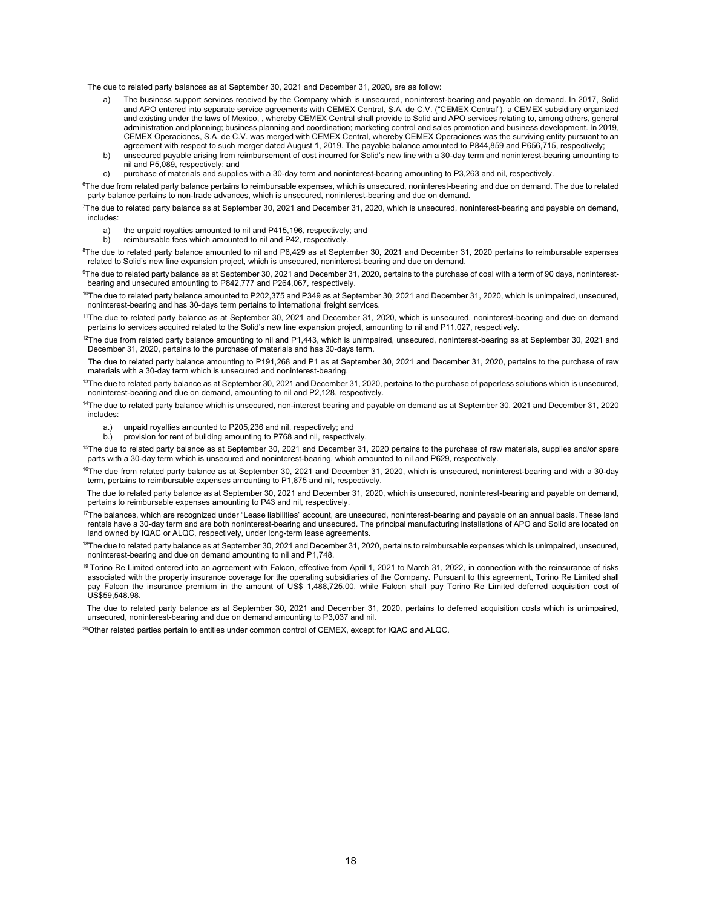The due to related party balances as at September 30, 2021 and December 31, 2020, are as follow:

- a) The business support services received by the Company which is unsecured, noninterest-bearing and payable on demand. In 2017, Solid and APO entered into separate service agreements with CEMEX Central, S.A. de C.V. ("CEMEX Central"), a CEMEX subsidiary organized and existing under the laws of Mexico, , whereby CEMEX Central shall provide to Solid and APO services relating to, among others, general administration and planning; business planning and coordination; marketing control and sales promotion and business development. In 2019, CEMEX Operaciones, S.A. de C.V. was merged with CEMEX Central, whereby CEMEX Operaciones was the surviving entity pursuant to an agreement with respect to such merger dated August 1, 2019. The payable balance amounted to P844,859 and P656,715, respectively;
- b) unsecured payable arising from reimbursement of cost incurred for Solid's new line with a 30-day term and noninterest-bearing amounting to nil and P5,089, respectively; and
- c) purchase of materials and supplies with a 30-day term and noninterest-bearing amounting to P3,263 and nil, respectively.

<sup>6</sup>The due from related party balance pertains to reimbursable expenses, which is unsecured, noninterest-bearing and due on demand. The due to related party balance pertains to non-trade advances, which is unsecured, noninterest-bearing and due on demand.

<sup>7</sup>The due to related party balance as at September 30, 2021 and December 31, 2020, which is unsecured, noninterest-bearing and payable on demand, includes:

- a) the unpaid royalties amounted to nil and P415,196, respectively; and<br>b) reimbursable fees which amounted to nil and P42 respectively
- reimbursable fees which amounted to nil and P42, respectively.

 $8$ The due to related party balance amounted to nil and P6,429 as at September 30, 2021 and December 31, 2020 pertains to reimbursable expenses related to Solid's new line expansion project, which is unsecured, noninterest-bearing and due on demand.

 $9$ The due to related party balance as at September 30, 2021 and December 31, 2020, pertains to the purchase of coal with a term of 90 days, noninterestbearing and unsecured amounting to P842,777 and P264,067, respectively.

- $^{10}$ The due to related party balance amounted to P202,375 and P349 as at September 30, 2021 and December 31, 2020, which is unimpaired, unsecured, noninterest-bearing and has 30-days term pertains to international freight services.
- <sup>11</sup>The due to related party balance as at September 30, 2021 and December 31, 2020, which is unsecured, noninterest-bearing and due on demand pertains to services acquired related to the Solid's new line expansion project, amounting to nil and P11,027, respectively.
- $12$ The due from related party balance amounting to nil and P1,443, which is unimpaired, unsecured, noninterest-bearing as at September 30, 2021 and December 31, 2020, pertains to the purchase of materials and has 30-days term.

The due to related party balance amounting to P191,268 and P1 as at September 30, 2021 and December 31, 2020, pertains to the purchase of raw materials with a 30-day term which is unsecured and noninterest-bearing.

- <sup>13</sup>The due to related party balance as at September 30, 2021 and December 31, 2020, pertains to the purchase of paperless solutions which is unsecured, noninterest-bearing and due on demand, amounting to nil and P2,128, respectively.
- <sup>14</sup>The due to related party balance which is unsecured, non-interest bearing and payable on demand as at September 30, 2021 and December 31, 2020 includes:
	- a.) unpaid royalties amounted to P205,236 and nil, respectively; and
	- b.) provision for rent of building amounting to P768 and nil, respectively.

<sup>15</sup>The due to related party balance as at September 30, 2021 and December 31, 2020 pertains to the purchase of raw materials, supplies and/or spare parts with a 30-day term which is unsecured and noninterest-bearing, which amounted to nil and P629, respectively.

<sup>16</sup>The due from related party balance as at September 30, 2021 and December 31, 2020, which is unsecured, noninterest-bearing and with a 30-day term, pertains to reimbursable expenses amounting to P1,875 and nil, respectively.

 The due to related party balance as at September 30, 2021 and December 31, 2020, which is unsecured, noninterest-bearing and payable on demand, pertains to reimbursable expenses amounting to P43 and nil, respectively.

- <sup>17</sup>The balances, which are recognized under "Lease liabilities" account, are unsecured, noninterest-bearing and payable on an annual basis. These land rentals have a 30-day term and are both noninterest-bearing and unsecured. The principal manufacturing installations of APO and Solid are located on land owned by IQAC or ALQC, respectively, under long-term lease agreements.
- $18$ The due to related party balance as at September 30, 2021 and December 31, 2020, pertains to reimbursable expenses which is unimpaired, unsecured, noninterest-bearing and due on demand amounting to nil and P1,748.
- <sup>19</sup> Torino Re Limited entered into an agreement with Falcon, effective from April 1, 2021 to March 31, 2022, in connection with the reinsurance of risks associated with the property insurance coverage for the operating subsidiaries of the Company. Pursuant to this agreement, Torino Re Limited shall pay Falcon the insurance premium in the amount of US\$ 1,488,725.00, while Falcon shall pay Torino Re Limited deferred acquisition cost of US\$59,548.98.

 The due to related party balance as at September 30, 2021 and December 31, 2020, pertains to deferred acquisition costs which is unimpaired, unsecured, noninterest-bearing and due on demand amounting to P3,037 and nil.

 $^{20}$ Other related parties pertain to entities under common control of CEMEX, except for IQAC and ALQC.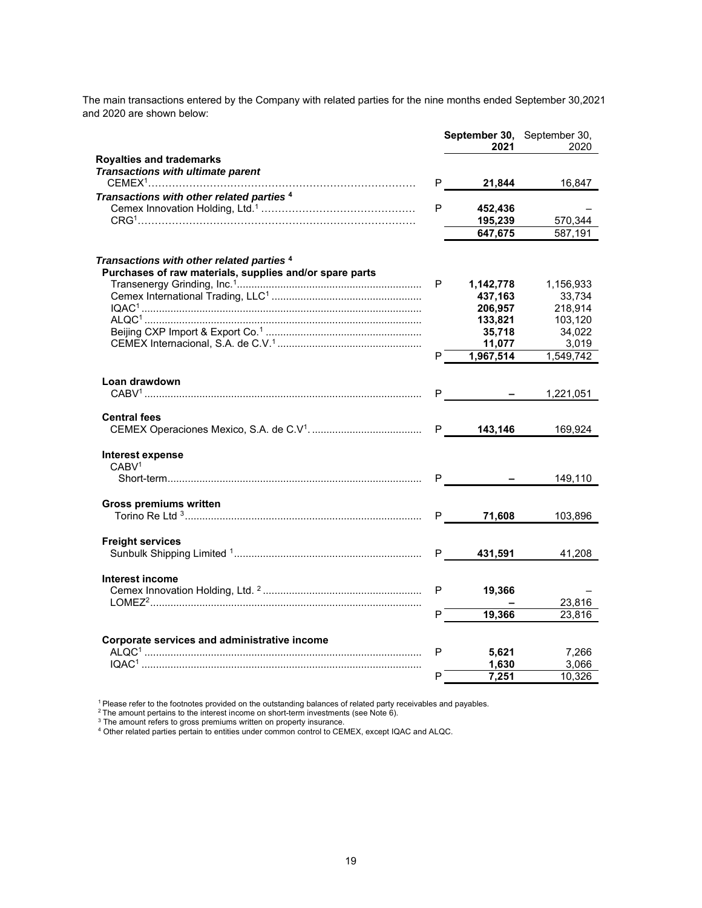The main transactions entered by the Company with related parties for the nine months ended September 30,2021 and 2020 are shown below:

|                                                                                                                 |   | September 30, September 30,<br>2021 | 2020      |
|-----------------------------------------------------------------------------------------------------------------|---|-------------------------------------|-----------|
| <b>Royalties and trademarks</b><br>Transactions with ultimate parent                                            |   |                                     |           |
|                                                                                                                 | P | 21,844                              | 16,847    |
| Transactions with other related parties <sup>4</sup>                                                            | P | 452,436<br>195,239                  | 570,344   |
|                                                                                                                 |   | 647,675                             | 587,191   |
|                                                                                                                 |   |                                     |           |
| Transactions with other related parties <sup>4</sup><br>Purchases of raw materials, supplies and/or spare parts |   |                                     |           |
|                                                                                                                 | P | 1,142,778                           | 1,156,933 |
|                                                                                                                 |   | 437,163                             | 33,734    |
|                                                                                                                 |   | 206,957                             | 218,914   |
|                                                                                                                 |   | 133,821                             | 103,120   |
|                                                                                                                 |   | 35,718                              | 34,022    |
|                                                                                                                 |   | 11,077                              | 3,019     |
|                                                                                                                 | P | 1,967,514                           | 1,549,742 |
| Loan drawdown                                                                                                   |   |                                     |           |
|                                                                                                                 | P |                                     | 1,221,051 |
| <b>Central fees</b>                                                                                             |   |                                     |           |
|                                                                                                                 |   |                                     | 169,924   |
| Interest expense                                                                                                |   |                                     |           |
| CABV <sup>1</sup>                                                                                               |   |                                     |           |
|                                                                                                                 |   | P <sub>ar</sub>                     | 149,110   |
| <b>Gross premiums written</b>                                                                                   |   |                                     |           |
|                                                                                                                 |   | 71,608<br>P <sub>a</sub>            | 103,896   |
|                                                                                                                 |   |                                     |           |
| <b>Freight services</b>                                                                                         |   | P <sub>2</sub><br>431,591           | 41,208    |
|                                                                                                                 |   |                                     |           |
| <b>Interest income</b>                                                                                          |   |                                     |           |
|                                                                                                                 | P | 19,366                              |           |
|                                                                                                                 |   |                                     | 23,816    |
|                                                                                                                 | P | 19,366                              | 23,816    |
| Corporate services and administrative income                                                                    |   |                                     |           |
|                                                                                                                 | P | 5,621                               | 7,266     |
|                                                                                                                 |   | 1,630                               | 3,066     |
|                                                                                                                 | P | 7,251                               | 10,326    |

<sup>1</sup> Please refer to the footnotes provided on the outstanding balances of related party receivables and payables.

 $^2$ The amount pertains to the interest income on short-term investments (see Note 6).

 $3$  The amount refers to gross premiums written on property insurance.

 $^4$  Other related parties pertain to entities under common control to CEMEX, except IQAC and ALQC.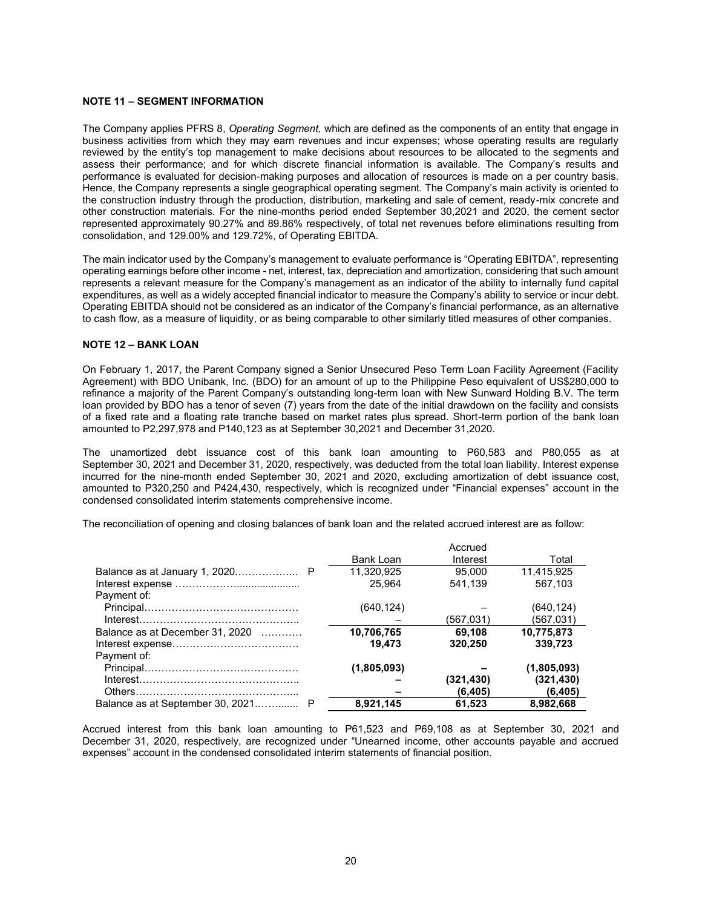#### **NOTE 11 – SEGMENT INFORMATION**

The Company applies PFRS 8, *Operating Segment,* which are defined as the components of an entity that engage in business activities from which they may earn revenues and incur expenses; whose operating results are regularly reviewed by the entity's top management to make decisions about resources to be allocated to the segments and assess their performance; and for which discrete financial information is available. The Company's results and performance is evaluated for decision-making purposes and allocation of resources is made on a per country basis. Hence, the Company represents a single geographical operating segment. The Company's main activity is oriented to the construction industry through the production, distribution, marketing and sale of cement, ready-mix concrete and other construction materials. For the nine-months period ended September 30,2021 and 2020, the cement sector represented approximately 90.27% and 89.86% respectively, of total net revenues before eliminations resulting from consolidation, and 129.00% and 129.72%, of Operating EBITDA.

The main indicator used by the Company's management to evaluate performance is "Operating EBITDA", representing operating earnings before other income - net, interest, tax, depreciation and amortization, considering that such amount represents a relevant measure for the Company's management as an indicator of the ability to internally fund capital expenditures, as well as a widely accepted financial indicator to measure the Company's ability to service or incur debt. Operating EBITDA should not be considered as an indicator of the Company's financial performance, as an alternative to cash flow, as a measure of liquidity, or as being comparable to other similarly titled measures of other companies.

#### **NOTE 12 – BANK LOAN**

On February 1, 2017, the Parent Company signed a Senior Unsecured Peso Term Loan Facility Agreement (Facility Agreement) with BDO Unibank, Inc. (BDO) for an amount of up to the Philippine Peso equivalent of US\$280,000 to refinance a majority of the Parent Company's outstanding long-term loan with New Sunward Holding B.V. The term loan provided by BDO has a tenor of seven (7) years from the date of the initial drawdown on the facility and consists of a fixed rate and a floating rate tranche based on market rates plus spread. Short-term portion of the bank loan amounted to P2,297,978 and P140,123 as at September 30,2021 and December 31,2020.

The unamortized debt issuance cost of this bank loan amounting to P60,583 and P80,055 as at September 30, 2021 and December 31, 2020, respectively, was deducted from the total loan liability. Interest expense incurred for the nine-month ended September 30, 2021 and 2020, excluding amortization of debt issuance cost, amounted to P320,250 and P424,430, respectively, which is recognized under "Financial expenses" account in the condensed consolidated interim statements comprehensive income.

The reconciliation of opening and closing balances of bank loan and the related accrued interest are as follow:

|                                 |             | Accrued   |             |
|---------------------------------|-------------|-----------|-------------|
|                                 | Bank Loan   | Interest  | Total       |
|                                 | 11.320.925  | 95.000    | 11.415.925  |
|                                 | 25.964      | 541.139   | 567.103     |
| Payment of:                     |             |           |             |
|                                 | (640, 124)  |           | (640, 124)  |
|                                 |             | (567,031) | (567,031)   |
| Balance as at December 31, 2020 | 10,706,765  | 69.108    | 10.775.873  |
|                                 | 19,473      | 320,250   | 339,723     |
| Payment of:                     |             |           |             |
|                                 | (1,805,093) |           | (1,805,093) |
|                                 |             | (321,430) | (321, 430)  |
|                                 |             | (6, 405)  | (6, 405)    |
|                                 | 8,921,145   | 61.523    | 8,982,668   |

Accrued interest from this bank loan amounting to P61,523 and P69,108 as at September 30, 2021 and December 31, 2020, respectively, are recognized under "Unearned income, other accounts payable and accrued expenses" account in the condensed consolidated interim statements of financial position.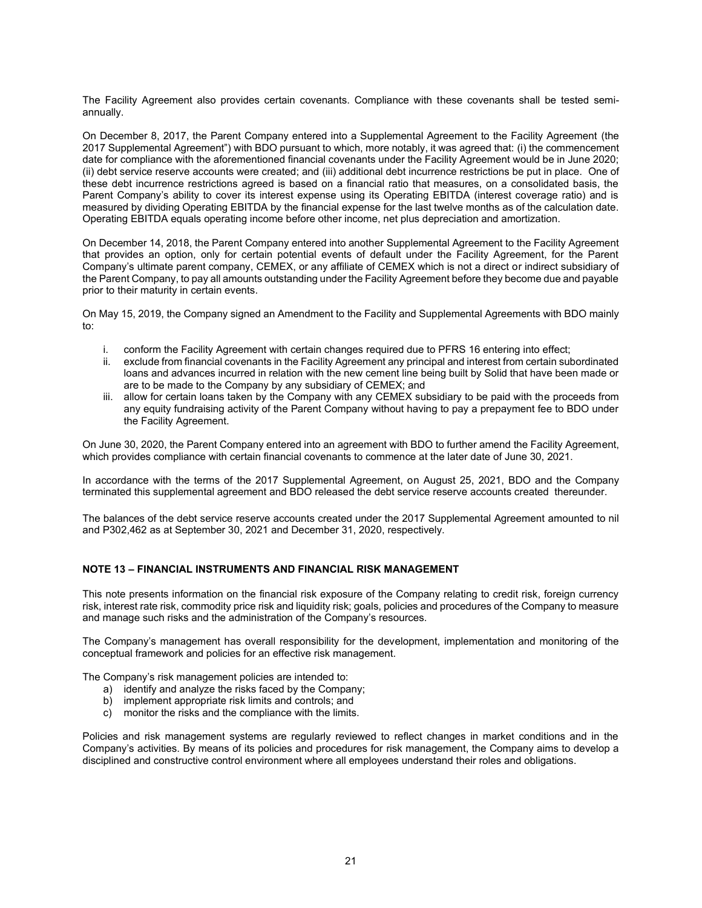The Facility Agreement also provides certain covenants. Compliance with these covenants shall be tested semiannually.

On December 8, 2017, the Parent Company entered into a Supplemental Agreement to the Facility Agreement (the 2017 Supplemental Agreement") with BDO pursuant to which, more notably, it was agreed that: (i) the commencement date for compliance with the aforementioned financial covenants under the Facility Agreement would be in June 2020; (ii) debt service reserve accounts were created; and (iii) additional debt incurrence restrictions be put in place. One of these debt incurrence restrictions agreed is based on a financial ratio that measures, on a consolidated basis, the Parent Company's ability to cover its interest expense using its Operating EBITDA (interest coverage ratio) and is measured by dividing Operating EBITDA by the financial expense for the last twelve months as of the calculation date. Operating EBITDA equals operating income before other income, net plus depreciation and amortization.

On December 14, 2018, the Parent Company entered into another Supplemental Agreement to the Facility Agreement that provides an option, only for certain potential events of default under the Facility Agreement, for the Parent Company's ultimate parent company, CEMEX, or any affiliate of CEMEX which is not a direct or indirect subsidiary of the Parent Company, to pay all amounts outstanding under the Facility Agreement before they become due and payable prior to their maturity in certain events.

On May 15, 2019, the Company signed an Amendment to the Facility and Supplemental Agreements with BDO mainly to:

- i. conform the Facility Agreement with certain changes required due to PFRS 16 entering into effect;
- ii. exclude from financial covenants in the Facility Agreement any principal and interest from certain subordinated loans and advances incurred in relation with the new cement line being built by Solid that have been made or are to be made to the Company by any subsidiary of CEMEX; and
- iii. allow for certain loans taken by the Company with any CEMEX subsidiary to be paid with the proceeds from any equity fundraising activity of the Parent Company without having to pay a prepayment fee to BDO under the Facility Agreement.

On June 30, 2020, the Parent Company entered into an agreement with BDO to further amend the Facility Agreement, which provides compliance with certain financial covenants to commence at the later date of June 30, 2021.

In accordance with the terms of the 2017 Supplemental Agreement, on August 25, 2021, BDO and the Company terminated this supplemental agreement and BDO released the debt service reserve accounts created thereunder.

The balances of the debt service reserve accounts created under the 2017 Supplemental Agreement amounted to nil and P302,462 as at September 30, 2021 and December 31, 2020, respectively.

### **NOTE 13 – FINANCIAL INSTRUMENTS AND FINANCIAL RISK MANAGEMENT**

This note presents information on the financial risk exposure of the Company relating to credit risk, foreign currency risk, interest rate risk, commodity price risk and liquidity risk; goals, policies and procedures of the Company to measure and manage such risks and the administration of the Company's resources.

The Company's management has overall responsibility for the development, implementation and monitoring of the conceptual framework and policies for an effective risk management.

The Company's risk management policies are intended to:

- a) identify and analyze the risks faced by the Company;
- b) implement appropriate risk limits and controls; and
- c) monitor the risks and the compliance with the limits.

Policies and risk management systems are regularly reviewed to reflect changes in market conditions and in the Company's activities. By means of its policies and procedures for risk management, the Company aims to develop a disciplined and constructive control environment where all employees understand their roles and obligations.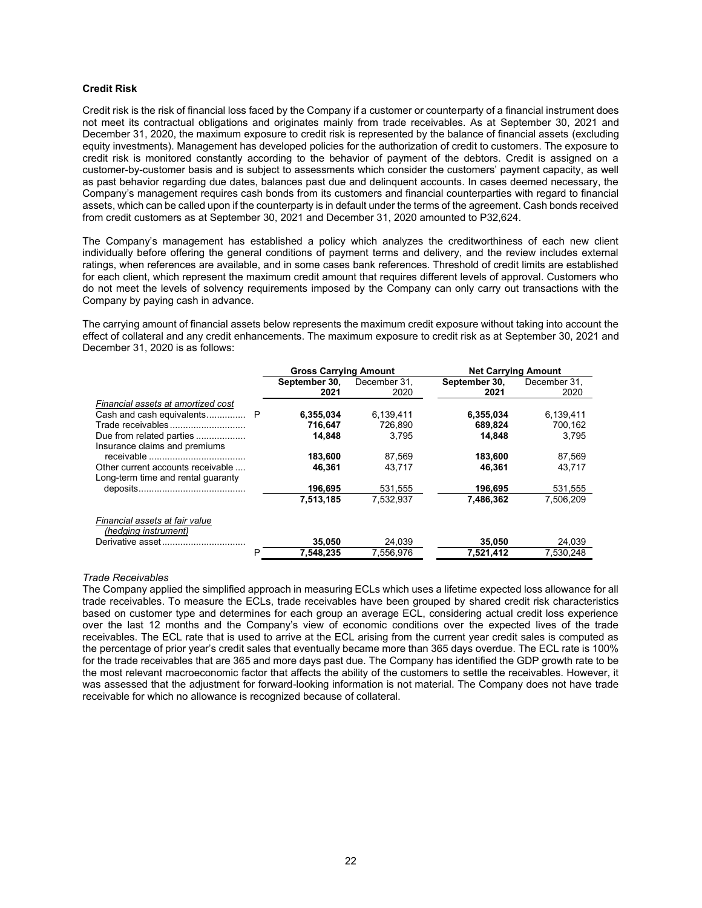#### **Credit Risk**

Credit risk is the risk of financial loss faced by the Company if a customer or counterparty of a financial instrument does not meet its contractual obligations and originates mainly from trade receivables. As at September 30, 2021 and December 31, 2020, the maximum exposure to credit risk is represented by the balance of financial assets (excluding equity investments). Management has developed policies for the authorization of credit to customers. The exposure to credit risk is monitored constantly according to the behavior of payment of the debtors. Credit is assigned on a customer-by-customer basis and is subject to assessments which consider the customers' payment capacity, as well as past behavior regarding due dates, balances past due and delinquent accounts. In cases deemed necessary, the Company's management requires cash bonds from its customers and financial counterparties with regard to financial assets, which can be called upon if the counterparty is in default under the terms of the agreement. Cash bonds received from credit customers as at September 30, 2021 and December 31, 2020 amounted to P32,624.

The Company's management has established a policy which analyzes the creditworthiness of each new client individually before offering the general conditions of payment terms and delivery, and the review includes external ratings, when references are available, and in some cases bank references. Threshold of credit limits are established for each client, which represent the maximum credit amount that requires different levels of approval. Customers who do not meet the levels of solvency requirements imposed by the Company can only carry out transactions with the Company by paying cash in advance.

The carrying amount of financial assets below represents the maximum credit exposure without taking into account the effect of collateral and any credit enhancements. The maximum exposure to credit risk as at September 30, 2021 and December 31, 2020 is as follows:

|                                    |   | <b>Gross Carrying Amount</b> |              |               |              | <b>Net Carrying Amount</b> |  |
|------------------------------------|---|------------------------------|--------------|---------------|--------------|----------------------------|--|
|                                    |   | September 30,                | December 31. | September 30, | December 31. |                            |  |
|                                    |   | 2021                         | 2020         | 2021          | 2020         |                            |  |
| Financial assets at amortized cost |   |                              |              |               |              |                            |  |
|                                    |   | 6,355,034                    | 6,139,411    | 6,355,034     | 6,139,411    |                            |  |
| Trade receivables                  |   | 716,647                      | 726,890      | 689,824       | 700,162      |                            |  |
| Due from related parties           |   | 14.848                       | 3.795        | 14.848        | 3.795        |                            |  |
| Insurance claims and premiums      |   |                              |              |               |              |                            |  |
|                                    |   | 183,600                      | 87,569       | 183,600       | 87,569       |                            |  |
| Other current accounts receivable  |   | 46.361                       | 43.717       | 46.361        | 43,717       |                            |  |
| Long-term time and rental quaranty |   |                              |              |               |              |                            |  |
|                                    |   | 196.695                      | 531,555      | 196,695       | 531,555      |                            |  |
|                                    |   | 7.513.185                    | 7.532.937    | 7.486.362     | 7.506.209    |                            |  |
|                                    |   |                              |              |               |              |                            |  |
| Financial assets at fair value     |   |                              |              |               |              |                            |  |
| (hedging instrument)               |   |                              |              |               |              |                            |  |
| Derivative asset                   |   | 35,050                       | 24,039       | 35,050        | 24,039       |                            |  |
|                                    | Р | 7.548.235                    | 7.556.976    | 7.521.412     | 7.530.248    |                            |  |

#### *Trade Receivables*

The Company applied the simplified approach in measuring ECLs which uses a lifetime expected loss allowance for all trade receivables. To measure the ECLs, trade receivables have been grouped by shared credit risk characteristics based on customer type and determines for each group an average ECL, considering actual credit loss experience over the last 12 months and the Company's view of economic conditions over the expected lives of the trade receivables. The ECL rate that is used to arrive at the ECL arising from the current year credit sales is computed as the percentage of prior year's credit sales that eventually became more than 365 days overdue. The ECL rate is 100% for the trade receivables that are 365 and more days past due. The Company has identified the GDP growth rate to be the most relevant macroeconomic factor that affects the ability of the customers to settle the receivables. However, it was assessed that the adjustment for forward-looking information is not material. The Company does not have trade receivable for which no allowance is recognized because of collateral.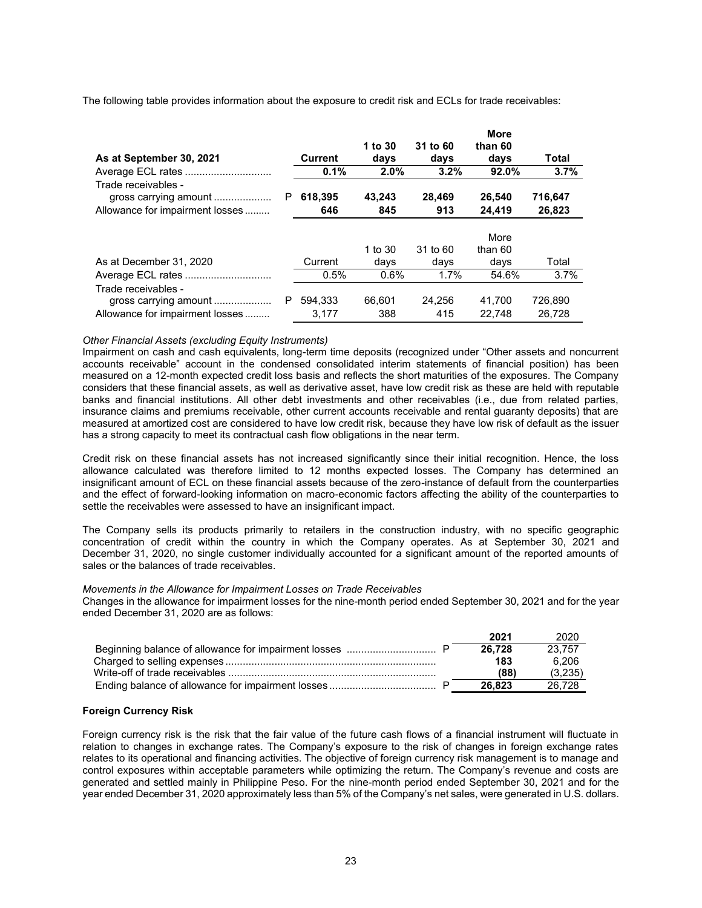The following table provides information about the exposure to credit risk and ECLs for trade receivables:

| As at September 30, 2021                                                        |   | <b>Current</b>   | 1 to 30<br>days | 31 to 60<br>days | <b>More</b><br>than 60<br>days | Total             |
|---------------------------------------------------------------------------------|---|------------------|-----------------|------------------|--------------------------------|-------------------|
|                                                                                 |   | 0.1%             | 2.0%            | 3.2%             | 92.0%                          | 3.7%              |
| Trade receivables -<br>gross carrying amount<br>Allowance for impairment losses | P | 618,395<br>646   | 43,243<br>845   | 28,469<br>913    | 26,540<br>24,419               | 716,647<br>26,823 |
|                                                                                 |   |                  | 1 to 30         | 31 to 60         | More<br>than 60                |                   |
| As at December 31, 2020                                                         |   | Current          | days            | days             | days                           | Total             |
|                                                                                 |   | 0.5%             | 0.6%            | 1.7%             | 54.6%                          | 3.7%              |
| Trade receivables -<br>gross carrying amount<br>Allowance for impairment losses | P | 594.333<br>3.177 | 66.601<br>388   | 24.256<br>415    | 41.700<br>22.748               | 726.890<br>26.728 |

#### *Other Financial Assets (excluding Equity Instruments)*

Impairment on cash and cash equivalents, long-term time deposits (recognized under "Other assets and noncurrent accounts receivable" account in the condensed consolidated interim statements of financial position) has been measured on a 12-month expected credit loss basis and reflects the short maturities of the exposures. The Company considers that these financial assets, as well as derivative asset, have low credit risk as these are held with reputable banks and financial institutions. All other debt investments and other receivables (i.e., due from related parties, insurance claims and premiums receivable, other current accounts receivable and rental guaranty deposits) that are measured at amortized cost are considered to have low credit risk, because they have low risk of default as the issuer has a strong capacity to meet its contractual cash flow obligations in the near term.

Credit risk on these financial assets has not increased significantly since their initial recognition. Hence, the loss allowance calculated was therefore limited to 12 months expected losses. The Company has determined an insignificant amount of ECL on these financial assets because of the zero-instance of default from the counterparties and the effect of forward-looking information on macro-economic factors affecting the ability of the counterparties to settle the receivables were assessed to have an insignificant impact.

The Company sells its products primarily to retailers in the construction industry, with no specific geographic concentration of credit within the country in which the Company operates. As at September 30, 2021 and December 31, 2020, no single customer individually accounted for a significant amount of the reported amounts of sales or the balances of trade receivables.

#### *Movements in the Allowance for Impairment Losses on Trade Receivables*

Changes in the allowance for impairment losses for the nine-month period ended September 30, 2021 and for the year ended December 31, 2020 are as follows:

|                                | 2021   | 2020    |
|--------------------------------|--------|---------|
|                                | 26.728 | 23.757  |
|                                | 183    | 6.206   |
| Write-off of trade receivables | (88)   | (3.235) |
|                                | 26.823 | 26.728  |

#### **Foreign Currency Risk**

Foreign currency risk is the risk that the fair value of the future cash flows of a financial instrument will fluctuate in relation to changes in exchange rates. The Company's exposure to the risk of changes in foreign exchange rates relates to its operational and financing activities. The objective of foreign currency risk management is to manage and control exposures within acceptable parameters while optimizing the return. The Company's revenue and costs are generated and settled mainly in Philippine Peso. For the nine-month period ended September 30, 2021 and for the year ended December 31, 2020 approximately less than 5% of the Company's net sales, were generated in U.S. dollars.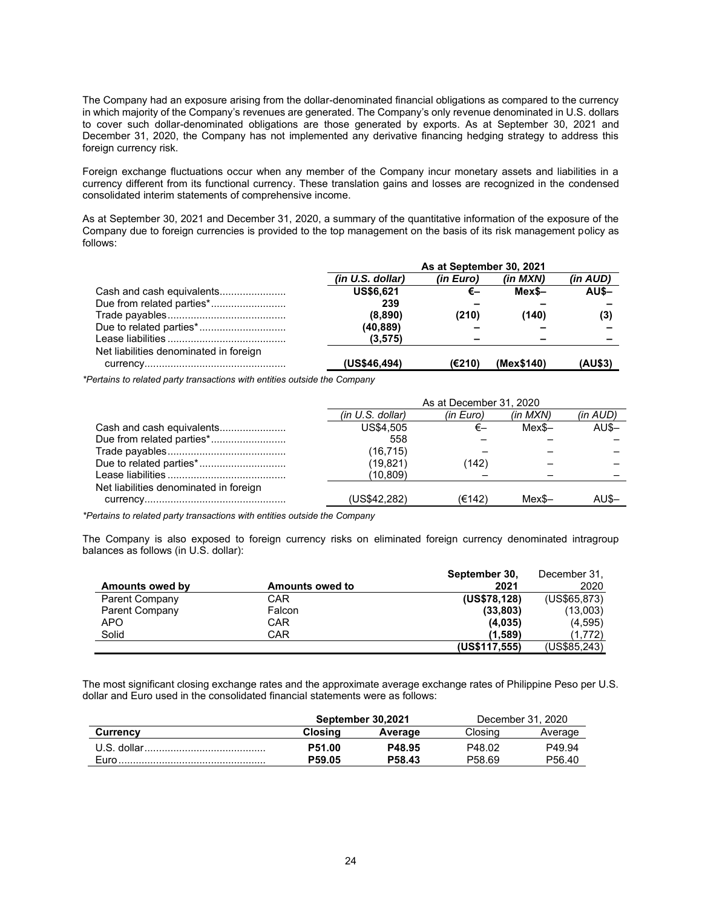The Company had an exposure arising from the dollar-denominated financial obligations as compared to the currency in which majority of the Company's revenues are generated. The Company's only revenue denominated in U.S. dollars to cover such dollar-denominated obligations are those generated by exports. As at September 30, 2021 and December 31, 2020, the Company has not implemented any derivative financing hedging strategy to address this foreign currency risk.

Foreign exchange fluctuations occur when any member of the Company incur monetary assets and liabilities in a currency different from its functional currency. These translation gains and losses are recognized in the condensed consolidated interim statements of comprehensive income.

As at September 30, 2021 and December 31, 2020, a summary of the quantitative information of the exposure of the Company due to foreign currencies is provided to the top management on the basis of its risk management policy as follows:

|                                        | As at September 30, 2021 |           |            |          |  |
|----------------------------------------|--------------------------|-----------|------------|----------|--|
|                                        | (in U.S. dollar)         | (in Euro) | (in MXN)   | (in AUD) |  |
| Cash and cash equivalents              | US\$6,621                | €–        | Mex\$-     | $AU$ \$- |  |
| Due from related parties*              | 239                      |           |            |          |  |
|                                        | (8,890)                  | (210)     | (140)      | (3)      |  |
|                                        | (40,889)                 |           |            |          |  |
|                                        | (3, 575)                 | -         |            |          |  |
| Net liabilities denominated in foreign |                          |           |            |          |  |
|                                        | (US\$46,494)             | (E210)    | (Mex\$140) | (AU\$3)  |  |

*\*Pertains to related party transactions with entities outside the Company*

|                                        | As at December 31, 2020 |           |              |          |  |
|----------------------------------------|-------------------------|-----------|--------------|----------|--|
|                                        | (in U.S. dollar)        | (in Euro) | $(in$ $MXN)$ | (in AUD) |  |
| Cash and cash equivalents              | US\$4.505               |           | $MexS-$      | $AU$-$   |  |
| Due from related parties*              | 558                     |           |              |          |  |
|                                        | (16, 715)               |           |              |          |  |
| Due to related parties*                | (19, 821)               | (142)     |              |          |  |
|                                        | (10,809)                |           |              |          |  |
| Net liabilities denominated in foreign |                         |           |              |          |  |
|                                        | (US\$42,282)            | (E142)    | Mex\$-       |          |  |

*\*Pertains to related party transactions with entities outside the Company*

The Company is also exposed to foreign currency risks on eliminated foreign currency denominated intragroup balances as follows (in U.S. dollar):

|                 |                        | September 30, | December 31, |
|-----------------|------------------------|---------------|--------------|
| Amounts owed by | <b>Amounts owed to</b> | 2021          | 2020         |
| Parent Company  | CAR                    | (US\$78,128)  | (US\$65,873) |
| Parent Company  | Falcon                 | (33,803)      | (13,003)     |
| APO             | CAR                    | (4.035)       | (4,595)      |
| Solid           | CAR                    | (1.589)       | (1,772)      |
|                 |                        | (US\$117,555) | (US\$85,243) |

The most significant closing exchange rates and the approximate average exchange rates of Philippine Peso per U.S. dollar and Euro used in the consolidated financial statements were as follows:

|                 |         | September 30.2021 | December 31, 2020  |                    |  |
|-----------------|---------|-------------------|--------------------|--------------------|--|
| <b>Currency</b> | Closina | Average           | Closina            | Average            |  |
| U.S. dollar     | P51.00  | P48.95            | P48.02             | P49.94             |  |
| <b>Euro</b>     | P59.05  | P58.43            | P <sub>58.69</sub> | P <sub>56.40</sub> |  |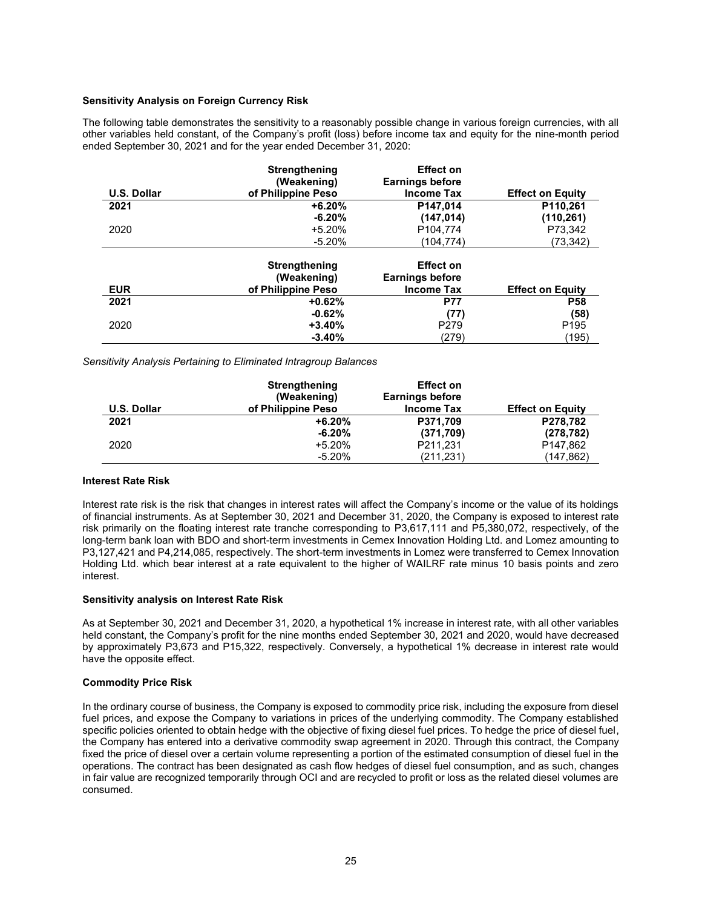#### **Sensitivity Analysis on Foreign Currency Risk**

The following table demonstrates the sensitivity to a reasonably possible change in various foreign currencies, with all other variables held constant, of the Company's profit (loss) before income tax and equity for the nine-month period ended September 30, 2021 and for the year ended December 31, 2020:

|                    | <b>Strengthening</b><br>(Weakening) | <b>Effect on</b><br><b>Earnings before</b> |                         |
|--------------------|-------------------------------------|--------------------------------------------|-------------------------|
| <b>U.S. Dollar</b> | of Philippine Peso                  | <b>Income Tax</b>                          | <b>Effect on Equity</b> |
| 2021               | $+6.20%$                            | P147.014                                   | P110,261                |
|                    | $-6.20%$                            | (147, 014)                                 | (110, 261)              |
| 2020               | $+5.20%$                            | P <sub>104.774</sub>                       | P73,342                 |
|                    | $-5.20%$                            | (104, 774)                                 | (73,342)                |
|                    | Strengthening                       | <b>Effect on</b>                           |                         |
|                    | (Weakening)                         | <b>Earnings before</b>                     |                         |
| <b>EUR</b>         | of Philippine Peso                  | <b>Income Tax</b>                          | <b>Effect on Equity</b> |
| 2021               | $+0.62%$                            | <b>P77</b>                                 | <b>P58</b>              |
|                    | $-0.62%$                            | (77)                                       | (58)                    |
| 2020               | $+3.40%$                            | P <sub>279</sub>                           | P <sub>195</sub>        |
|                    | $-3.40%$                            | (279)                                      | (195)                   |

*Sensitivity Analysis Pertaining to Eliminated Intragroup Balances*

|                    | <b>Strengthening</b> | <b>Effect on</b>       |                         |
|--------------------|----------------------|------------------------|-------------------------|
|                    | (Weakening)          | <b>Earnings before</b> |                         |
| <b>U.S. Dollar</b> | of Philippine Peso   | <b>Income Tax</b>      | <b>Effect on Equity</b> |
| 2021               | $+6.20%$             | P371,709               | P278,782                |
|                    | $-6.20%$             | (371,709)              | (278, 782)              |
| 2020               | $+5.20%$             | P211,231               | P147,862                |
|                    | $-5.20%$             | (211, 231)             | (147,862)               |

#### **Interest Rate Risk**

Interest rate risk is the risk that changes in interest rates will affect the Company's income or the value of its holdings of financial instruments. As at September 30, 2021 and December 31, 2020, the Company is exposed to interest rate risk primarily on the floating interest rate tranche corresponding to P3,617,111 and P5,380,072, respectively, of the long-term bank loan with BDO and short-term investments in Cemex Innovation Holding Ltd. and Lomez amounting to P3,127,421 and P4,214,085, respectively. The short-term investments in Lomez were transferred to Cemex Innovation Holding Ltd. which bear interest at a rate equivalent to the higher of WAILRF rate minus 10 basis points and zero interest.

#### **Sensitivity analysis on Interest Rate Risk**

As at September 30, 2021 and December 31, 2020, a hypothetical 1% increase in interest rate, with all other variables held constant, the Company's profit for the nine months ended September 30, 2021 and 2020, would have decreased by approximately P3,673 and P15,322, respectively. Conversely, a hypothetical 1% decrease in interest rate would have the opposite effect.

#### **Commodity Price Risk**

In the ordinary course of business, the Company is exposed to commodity price risk, including the exposure from diesel fuel prices, and expose the Company to variations in prices of the underlying commodity. The Company established specific policies oriented to obtain hedge with the objective of fixing diesel fuel prices. To hedge the price of diesel fuel, the Company has entered into a derivative commodity swap agreement in 2020. Through this contract, the Company fixed the price of diesel over a certain volume representing a portion of the estimated consumption of diesel fuel in the operations. The contract has been designated as cash flow hedges of diesel fuel consumption, and as such, changes in fair value are recognized temporarily through OCI and are recycled to profit or loss as the related diesel volumes are consumed.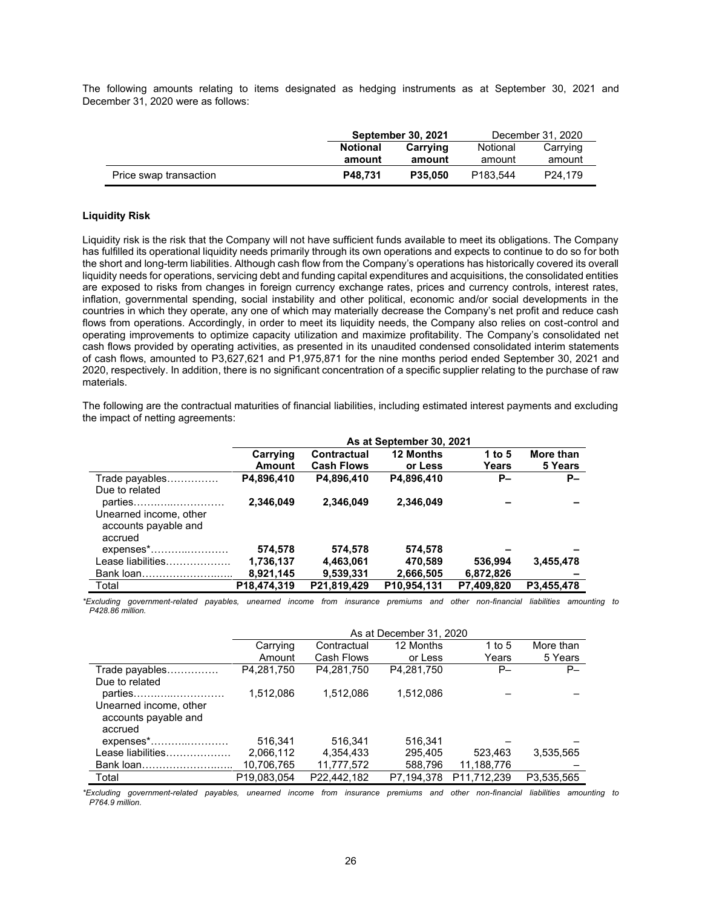The following amounts relating to items designated as hedging instruments as at September 30, 2021 and December 31, 2020 were as follows:

|                        |                 | <b>September 30, 2021</b> | December 31, 2020    |                     |  |
|------------------------|-----------------|---------------------------|----------------------|---------------------|--|
|                        | <b>Notional</b> | Carrving                  | Notional             | Carrying            |  |
|                        | amount          | amount                    | amount               | amount              |  |
| Price swap transaction | P48.731         | P35.050                   | P <sub>183.544</sub> | P <sub>24.179</sub> |  |

#### **Liquidity Risk**

Liquidity risk is the risk that the Company will not have sufficient funds available to meet its obligations. The Company has fulfilled its operational liquidity needs primarily through its own operations and expects to continue to do so for both the short and long-term liabilities. Although cash flow from the Company's operations has historically covered its overall liquidity needs for operations, servicing debt and funding capital expenditures and acquisitions, the consolidated entities are exposed to risks from changes in foreign currency exchange rates, prices and currency controls, interest rates, inflation, governmental spending, social instability and other political, economic and/or social developments in the countries in which they operate, any one of which may materially decrease the Company's net profit and reduce cash flows from operations. Accordingly, in order to meet its liquidity needs, the Company also relies on cost-control and operating improvements to optimize capacity utilization and maximize profitability. The Company's consolidated net cash flows provided by operating activities, as presented in its unaudited condensed consolidated interim statements of cash flows, amounted to P3,627,621 and P1,975,871 for the nine months period ended September 30, 2021 and 2020, respectively. In addition, there is no significant concentration of a specific supplier relating to the purchase of raw materials.

The following are the contractual maturities of financial liabilities, including estimated interest payments and excluding the impact of netting agreements:

|                                                           | As at September 30, 2021 |                                  |                      |                 |                      |  |  |
|-----------------------------------------------------------|--------------------------|----------------------------------|----------------------|-----------------|----------------------|--|--|
|                                                           | Carrying<br>Amount       | Contractual<br><b>Cash Flows</b> | 12 Months<br>or Less | 1 to 5<br>Years | More than<br>5 Years |  |  |
| Trade payables                                            | P4.896,410               | P4,896,410                       | P4,896,410           | <b>P</b> -      | $P-$                 |  |  |
| Due to related                                            |                          |                                  |                      |                 |                      |  |  |
| parties                                                   | 2,346,049                | 2,346,049                        | 2,346,049            |                 |                      |  |  |
| Unearned income, other<br>accounts payable and<br>accrued |                          |                                  |                      |                 |                      |  |  |
| $expenses$ *                                              | 574,578                  | 574,578                          | 574,578              |                 |                      |  |  |
| Lease liabilities                                         | 1,736,137                | 4,463,061                        | 470,589              | 536.994         | 3,455,478            |  |  |
| Bank loan                                                 | 8,921,145                | 9,539,331                        | 2,666,505            | 6,872,826       |                      |  |  |
| Total                                                     | P18.474.319              | P21.819.429                      | P10.954.131          | P7.409.820      | P3.455.478           |  |  |

*\*Excluding government-related payables, unearned income from insurance premiums and other non-financial liabilities amounting to P428.86 million.*

|                                                           | As at December 31, 2020                                     |             |            |             |            |  |  |  |
|-----------------------------------------------------------|-------------------------------------------------------------|-------------|------------|-------------|------------|--|--|--|
|                                                           | 12 Months<br>More than<br>Carrying<br>1 to 5<br>Contractual |             |            |             |            |  |  |  |
|                                                           | Amount                                                      | Cash Flows  | or Less    | Years       | 5 Years    |  |  |  |
| Trade payables                                            | P4.281.750                                                  | P4.281.750  | P4.281.750 | P-          | $P-$       |  |  |  |
| Due to related                                            |                                                             |             |            |             |            |  |  |  |
| parties                                                   | 1.512.086                                                   | 1.512.086   | 1.512.086  |             |            |  |  |  |
| Unearned income, other<br>accounts payable and<br>accrued |                                                             |             |            |             |            |  |  |  |
| expenses*                                                 | 516.341                                                     | 516.341     | 516.341    |             |            |  |  |  |
| Lease liabilities                                         | 2,066,112                                                   | 4,354,433   | 295.405    | 523.463     | 3,535,565  |  |  |  |
| Bank loan                                                 | 10,706,765                                                  | 11,777,572  | 588,796    | 11,188,776  |            |  |  |  |
| Total                                                     | P19,083,054                                                 | P22,442,182 | P7,194,378 | P11,712,239 | P3,535,565 |  |  |  |

*\*Excluding government-related payables, unearned income from insurance premiums and other non-financial liabilities amounting to P764.9 million.*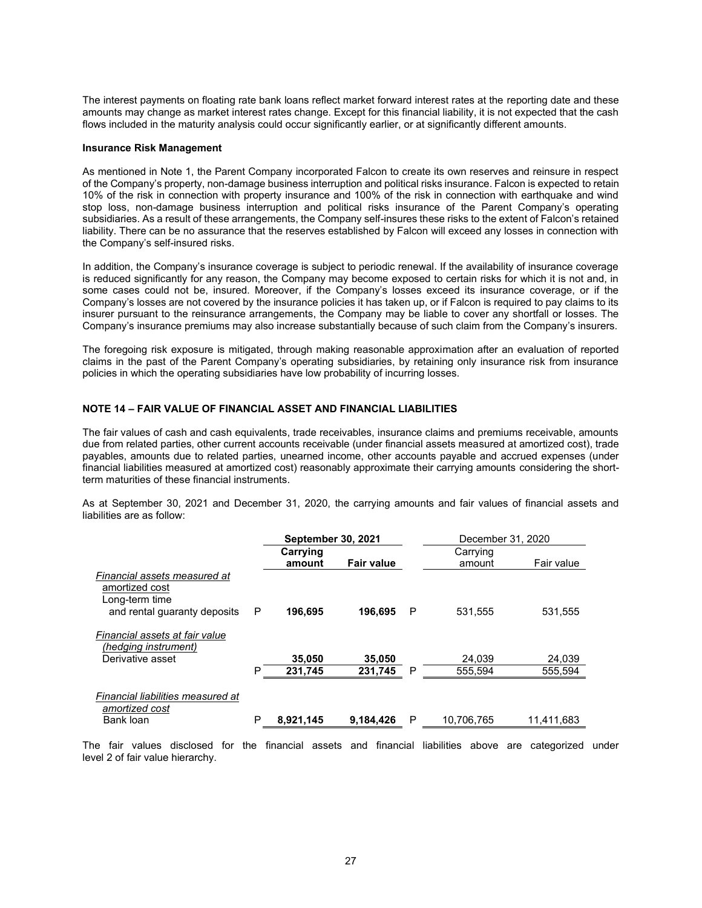The interest payments on floating rate bank loans reflect market forward interest rates at the reporting date and these amounts may change as market interest rates change. Except for this financial liability, it is not expected that the cash flows included in the maturity analysis could occur significantly earlier, or at significantly different amounts.

#### **Insurance Risk Management**

As mentioned in Note 1, the Parent Company incorporated Falcon to create its own reserves and reinsure in respect of the Company's property, non-damage business interruption and political risks insurance. Falcon is expected to retain 10% of the risk in connection with property insurance and 100% of the risk in connection with earthquake and wind stop loss, non-damage business interruption and political risks insurance of the Parent Company's operating subsidiaries. As a result of these arrangements, the Company self-insures these risks to the extent of Falcon's retained liability. There can be no assurance that the reserves established by Falcon will exceed any losses in connection with the Company's self-insured risks.

In addition, the Company's insurance coverage is subject to periodic renewal. If the availability of insurance coverage is reduced significantly for any reason, the Company may become exposed to certain risks for which it is not and, in some cases could not be, insured. Moreover, if the Company's losses exceed its insurance coverage, or if the Company's losses are not covered by the insurance policies it has taken up, or if Falcon is required to pay claims to its insurer pursuant to the reinsurance arrangements, the Company may be liable to cover any shortfall or losses. The Company's insurance premiums may also increase substantially because of such claim from the Company's insurers.

The foregoing risk exposure is mitigated, through making reasonable approximation after an evaluation of reported claims in the past of the Parent Company's operating subsidiaries, by retaining only insurance risk from insurance policies in which the operating subsidiaries have low probability of incurring losses.

#### **NOTE 14 – FAIR VALUE OF FINANCIAL ASSET AND FINANCIAL LIABILITIES**

The fair values of cash and cash equivalents, trade receivables, insurance claims and premiums receivable, amounts due from related parties, other current accounts receivable (under financial assets measured at amortized cost), trade payables, amounts due to related parties, unearned income, other accounts payable and accrued expenses (under financial liabilities measured at amortized cost) reasonably approximate their carrying amounts considering the shortterm maturities of these financial instruments.

As at September 30, 2021 and December 31, 2020, the carrying amounts and fair values of financial assets and liabilities are as follow:

|                                                                                                  |   | <b>September 30, 2021</b> |                   |   | December 31, 2020 |            |
|--------------------------------------------------------------------------------------------------|---|---------------------------|-------------------|---|-------------------|------------|
|                                                                                                  |   | Carrying                  |                   |   | Carrying          |            |
|                                                                                                  |   | amount                    | <b>Fair value</b> |   | amount            | Fair value |
| Financial assets measured at<br>amortized cost<br>Long-term time<br>and rental quaranty deposits | P | 196,695                   | 196,695           | P | 531,555           | 531,555    |
| Financial assets at fair value<br>(hedging instrument)                                           |   |                           |                   |   |                   |            |
| Derivative asset                                                                                 |   | 35,050                    | 35,050            |   | 24.039            | 24,039     |
|                                                                                                  | P | 231,745                   | 231,745           | P | 555.594           | 555,594    |
| Financial liabilities measured at<br>amortized cost                                              |   |                           |                   |   |                   |            |
| Bank loan                                                                                        | P | 8,921,145                 | 9,184,426         | P | 10,706,765        | 11,411,683 |

The fair values disclosed for the financial assets and financial liabilities above are categorized under level 2 of fair value hierarchy.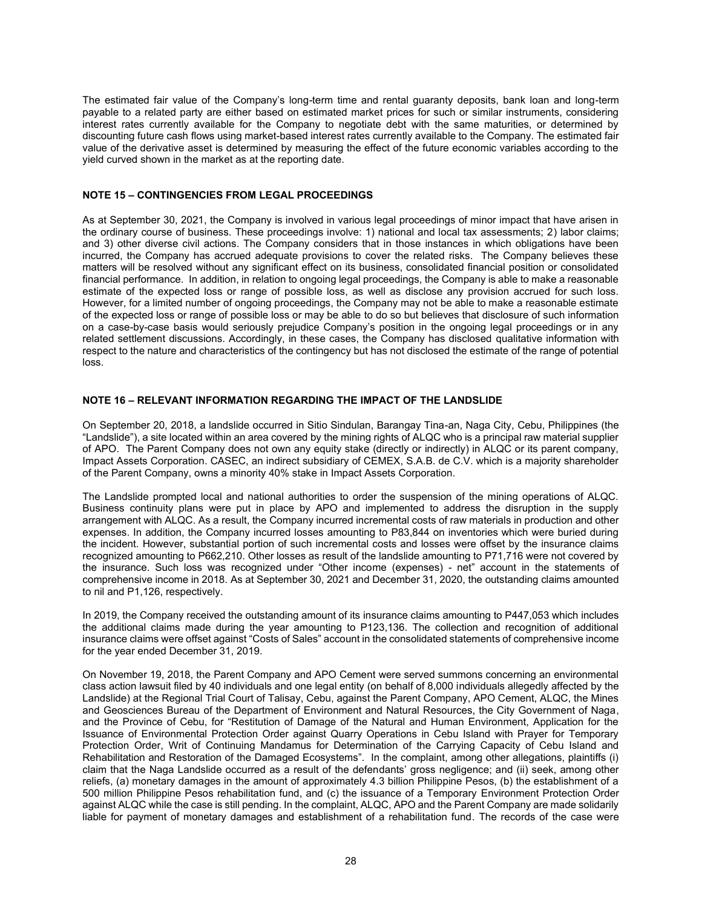The estimated fair value of the Company's long-term time and rental guaranty deposits, bank loan and long-term payable to a related party are either based on estimated market prices for such or similar instruments, considering interest rates currently available for the Company to negotiate debt with the same maturities, or determined by discounting future cash flows using market-based interest rates currently available to the Company. The estimated fair value of the derivative asset is determined by measuring the effect of the future economic variables according to the yield curved shown in the market as at the reporting date.

#### **NOTE 15 – CONTINGENCIES FROM LEGAL PROCEEDINGS**

As at September 30, 2021, the Company is involved in various legal proceedings of minor impact that have arisen in the ordinary course of business. These proceedings involve: 1) national and local tax assessments; 2) labor claims; and 3) other diverse civil actions. The Company considers that in those instances in which obligations have been incurred, the Company has accrued adequate provisions to cover the related risks. The Company believes these matters will be resolved without any significant effect on its business, consolidated financial position or consolidated financial performance. In addition, in relation to ongoing legal proceedings, the Company is able to make a reasonable estimate of the expected loss or range of possible loss, as well as disclose any provision accrued for such loss. However, for a limited number of ongoing proceedings, the Company may not be able to make a reasonable estimate of the expected loss or range of possible loss or may be able to do so but believes that disclosure of such information on a case-by-case basis would seriously prejudice Company's position in the ongoing legal proceedings or in any related settlement discussions. Accordingly, in these cases, the Company has disclosed qualitative information with respect to the nature and characteristics of the contingency but has not disclosed the estimate of the range of potential loss.

#### **NOTE 16 – RELEVANT INFORMATION REGARDING THE IMPACT OF THE LANDSLIDE**

On September 20, 2018, a landslide occurred in Sitio Sindulan, Barangay Tina-an, Naga City, Cebu, Philippines (the "Landslide"), a site located within an area covered by the mining rights of ALQC who is a principal raw material supplier of APO. The Parent Company does not own any equity stake (directly or indirectly) in ALQC or its parent company, Impact Assets Corporation. CASEC, an indirect subsidiary of CEMEX, S.A.B. de C.V. which is a majority shareholder of the Parent Company, owns a minority 40% stake in Impact Assets Corporation.

The Landslide prompted local and national authorities to order the suspension of the mining operations of ALQC. Business continuity plans were put in place by APO and implemented to address the disruption in the supply arrangement with ALQC. As a result, the Company incurred incremental costs of raw materials in production and other expenses. In addition, the Company incurred losses amounting to P83,844 on inventories which were buried during the incident. However, substantial portion of such incremental costs and losses were offset by the insurance claims recognized amounting to P662,210. Other losses as result of the landslide amounting to P71,716 were not covered by the insurance. Such loss was recognized under "Other income (expenses) - net" account in the statements of comprehensive income in 2018. As at September 30, 2021 and December 31, 2020, the outstanding claims amounted to nil and P1,126, respectively.

In 2019, the Company received the outstanding amount of its insurance claims amounting to P447,053 which includes the additional claims made during the year amounting to P123,136. The collection and recognition of additional insurance claims were offset against "Costs of Sales" account in the consolidated statements of comprehensive income for the year ended December 31, 2019.

On November 19, 2018, the Parent Company and APO Cement were served summons concerning an environmental class action lawsuit filed by 40 individuals and one legal entity (on behalf of 8,000 individuals allegedly affected by the Landslide) at the Regional Trial Court of Talisay, Cebu, against the Parent Company, APO Cement, ALQC, the Mines and Geosciences Bureau of the Department of Environment and Natural Resources, the City Government of Naga, and the Province of Cebu, for "Restitution of Damage of the Natural and Human Environment, Application for the Issuance of Environmental Protection Order against Quarry Operations in Cebu Island with Prayer for Temporary Protection Order, Writ of Continuing Mandamus for Determination of the Carrying Capacity of Cebu Island and Rehabilitation and Restoration of the Damaged Ecosystems". In the complaint, among other allegations, plaintiffs (i) claim that the Naga Landslide occurred as a result of the defendants' gross negligence; and (ii) seek, among other reliefs, (a) monetary damages in the amount of approximately 4.3 billion Philippine Pesos, (b) the establishment of a 500 million Philippine Pesos rehabilitation fund, and (c) the issuance of a Temporary Environment Protection Order against ALQC while the case is still pending. In the complaint, ALQC, APO and the Parent Company are made solidarily liable for payment of monetary damages and establishment of a rehabilitation fund. The records of the case were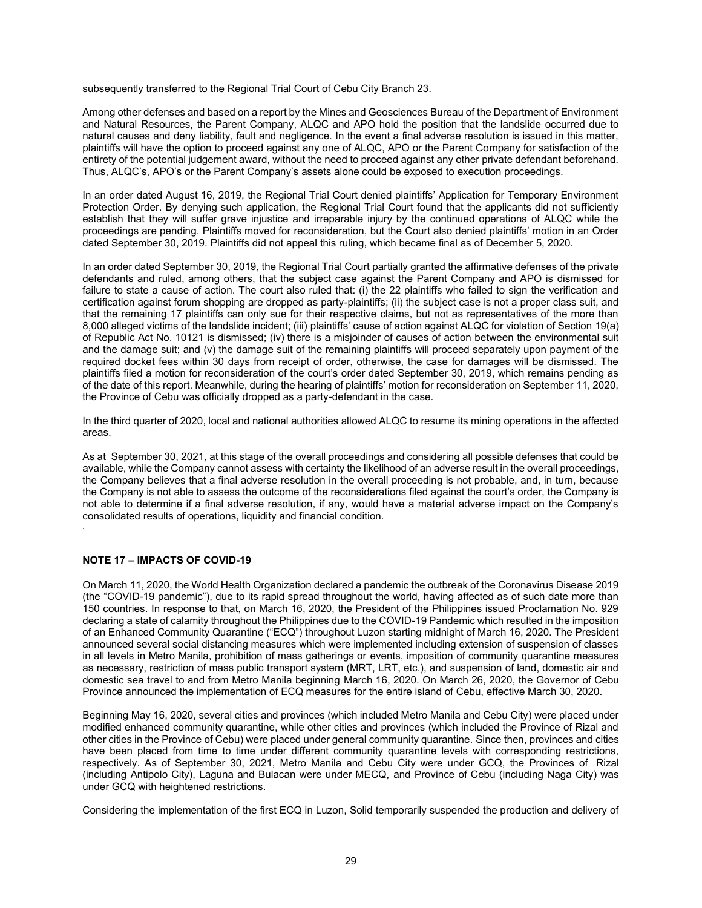subsequently transferred to the Regional Trial Court of Cebu City Branch 23.

Among other defenses and based on a report by the Mines and Geosciences Bureau of the Department of Environment and Natural Resources, the Parent Company, ALQC and APO hold the position that the landslide occurred due to natural causes and deny liability, fault and negligence. In the event a final adverse resolution is issued in this matter, plaintiffs will have the option to proceed against any one of ALQC, APO or the Parent Company for satisfaction of the entirety of the potential judgement award, without the need to proceed against any other private defendant beforehand. Thus, ALQC's, APO's or the Parent Company's assets alone could be exposed to execution proceedings.

In an order dated August 16, 2019, the Regional Trial Court denied plaintiffs' Application for Temporary Environment Protection Order. By denying such application, the Regional Trial Court found that the applicants did not sufficiently establish that they will suffer grave injustice and irreparable injury by the continued operations of ALQC while the proceedings are pending. Plaintiffs moved for reconsideration, but the Court also denied plaintiffs' motion in an Order dated September 30, 2019. Plaintiffs did not appeal this ruling, which became final as of December 5, 2020.

In an order dated September 30, 2019, the Regional Trial Court partially granted the affirmative defenses of the private defendants and ruled, among others, that the subject case against the Parent Company and APO is dismissed for failure to state a cause of action. The court also ruled that: (i) the 22 plaintiffs who failed to sign the verification and certification against forum shopping are dropped as party-plaintiffs; (ii) the subject case is not a proper class suit, and that the remaining 17 plaintiffs can only sue for their respective claims, but not as representatives of the more than 8,000 alleged victims of the landslide incident; (iii) plaintiffs' cause of action against ALQC for violation of Section 19(a) of Republic Act No. 10121 is dismissed; (iv) there is a misjoinder of causes of action between the environmental suit and the damage suit; and (v) the damage suit of the remaining plaintiffs will proceed separately upon payment of the required docket fees within 30 days from receipt of order, otherwise, the case for damages will be dismissed. The plaintiffs filed a motion for reconsideration of the court's order dated September 30, 2019, which remains pending as of the date of this report. Meanwhile, during the hearing of plaintiffs' motion for reconsideration on September 11, 2020, the Province of Cebu was officially dropped as a party-defendant in the case.

In the third quarter of 2020, local and national authorities allowed ALQC to resume its mining operations in the affected areas.

As at September 30, 2021, at this stage of the overall proceedings and considering all possible defenses that could be available, while the Company cannot assess with certainty the likelihood of an adverse result in the overall proceedings, the Company believes that a final adverse resolution in the overall proceeding is not probable, and, in turn, because the Company is not able to assess the outcome of the reconsiderations filed against the court's order, the Company is not able to determine if a final adverse resolution, if any, would have a material adverse impact on the Company's consolidated results of operations, liquidity and financial condition.

#### **NOTE 17 – IMPACTS OF COVID-19**

.

On March 11, 2020, the World Health Organization declared a pandemic the outbreak of the Coronavirus Disease 2019 (the "COVID-19 pandemic"), due to its rapid spread throughout the world, having affected as of such date more than 150 countries. In response to that, on March 16, 2020, the President of the Philippines issued Proclamation No. 929 declaring a state of calamity throughout the Philippines due to the COVID-19 Pandemic which resulted in the imposition of an Enhanced Community Quarantine ("ECQ") throughout Luzon starting midnight of March 16, 2020. The President announced several social distancing measures which were implemented including extension of suspension of classes in all levels in Metro Manila, prohibition of mass gatherings or events, imposition of community quarantine measures as necessary, restriction of mass public transport system (MRT, LRT, etc.), and suspension of land, domestic air and domestic sea travel to and from Metro Manila beginning March 16, 2020. On March 26, 2020, the Governor of Cebu Province announced the implementation of ECQ measures for the entire island of Cebu, effective March 30, 2020.

Beginning May 16, 2020, several cities and provinces (which included Metro Manila and Cebu City) were placed under modified enhanced community quarantine, while other cities and provinces (which included the Province of Rizal and other cities in the Province of Cebu) were placed under general community quarantine. Since then, provinces and cities have been placed from time to time under different community quarantine levels with corresponding restrictions, respectively. As of September 30, 2021, Metro Manila and Cebu City were under GCQ, the Provinces of Rizal (including Antipolo City), Laguna and Bulacan were under MECQ, and Province of Cebu (including Naga City) was under GCQ with heightened restrictions.

Considering the implementation of the first ECQ in Luzon, Solid temporarily suspended the production and delivery of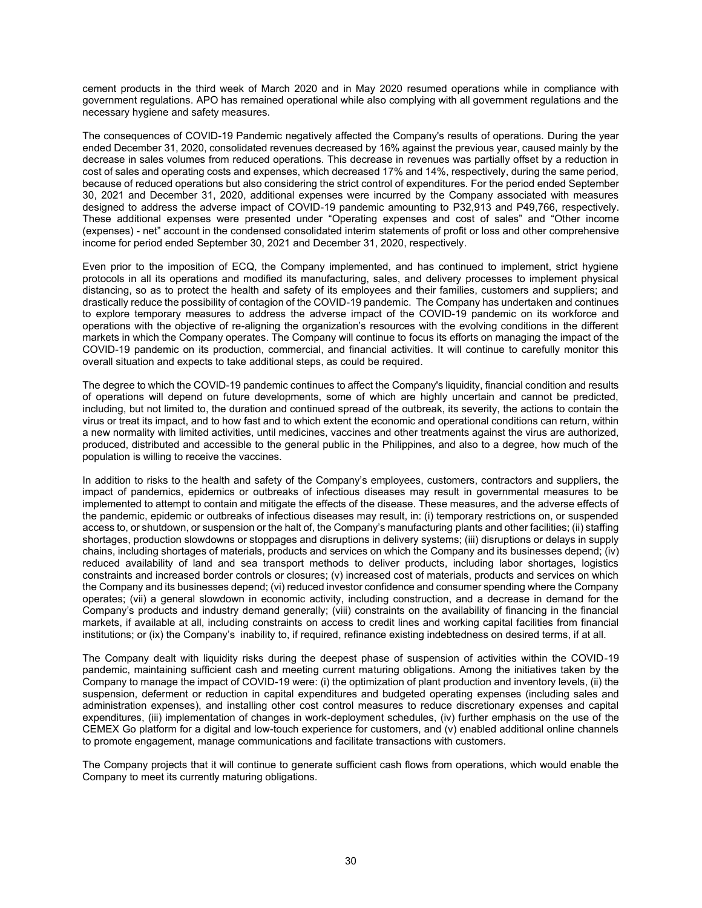cement products in the third week of March 2020 and in May 2020 resumed operations while in compliance with government regulations. APO has remained operational while also complying with all government regulations and the necessary hygiene and safety measures.

The consequences of COVID-19 Pandemic negatively affected the Company's results of operations. During the year ended December 31, 2020, consolidated revenues decreased by 16% against the previous year, caused mainly by the decrease in sales volumes from reduced operations. This decrease in revenues was partially offset by a reduction in cost of sales and operating costs and expenses, which decreased 17% and 14%, respectively, during the same period, because of reduced operations but also considering the strict control of expenditures. For the period ended September 30, 2021 and December 31, 2020, additional expenses were incurred by the Company associated with measures designed to address the adverse impact of COVID-19 pandemic amounting to P32,913 and P49,766, respectively. These additional expenses were presented under "Operating expenses and cost of sales" and "Other income (expenses) - net" account in the condensed consolidated interim statements of profit or loss and other comprehensive income for period ended September 30, 2021 and December 31, 2020, respectively.

Even prior to the imposition of ECQ, the Company implemented, and has continued to implement, strict hygiene protocols in all its operations and modified its manufacturing, sales, and delivery processes to implement physical distancing, so as to protect the health and safety of its employees and their families, customers and suppliers; and drastically reduce the possibility of contagion of the COVID-19 pandemic. The Company has undertaken and continues to explore temporary measures to address the adverse impact of the COVID-19 pandemic on its workforce and operations with the objective of re-aligning the organization's resources with the evolving conditions in the different markets in which the Company operates. The Company will continue to focus its efforts on managing the impact of the COVID-19 pandemic on its production, commercial, and financial activities. It will continue to carefully monitor this overall situation and expects to take additional steps, as could be required.

The degree to which the COVID-19 pandemic continues to affect the Company's liquidity, financial condition and results of operations will depend on future developments, some of which are highly uncertain and cannot be predicted, including, but not limited to, the duration and continued spread of the outbreak, its severity, the actions to contain the virus or treat its impact, and to how fast and to which extent the economic and operational conditions can return, within a new normality with limited activities, until medicines, vaccines and other treatments against the virus are authorized, produced, distributed and accessible to the general public in the Philippines, and also to a degree, how much of the population is willing to receive the vaccines.

In addition to risks to the health and safety of the Company's employees, customers, contractors and suppliers, the impact of pandemics, epidemics or outbreaks of infectious diseases may result in governmental measures to be implemented to attempt to contain and mitigate the effects of the disease. These measures, and the adverse effects of the pandemic, epidemic or outbreaks of infectious diseases may result, in: (i) temporary restrictions on, or suspended access to, or shutdown, or suspension or the halt of, the Company's manufacturing plants and other facilities; (ii) staffing shortages, production slowdowns or stoppages and disruptions in delivery systems; (iii) disruptions or delays in supply chains, including shortages of materials, products and services on which the Company and its businesses depend; (iv) reduced availability of land and sea transport methods to deliver products, including labor shortages, logistics constraints and increased border controls or closures; (v) increased cost of materials, products and services on which the Company and its businesses depend; (vi) reduced investor confidence and consumer spending where the Company operates; (vii) a general slowdown in economic activity, including construction, and a decrease in demand for the Company's products and industry demand generally; (viii) constraints on the availability of financing in the financial markets, if available at all, including constraints on access to credit lines and working capital facilities from financial institutions; or (ix) the Company's inability to, if required, refinance existing indebtedness on desired terms, if at all.

The Company dealt with liquidity risks during the deepest phase of suspension of activities within the COVID-19 pandemic, maintaining sufficient cash and meeting current maturing obligations. Among the initiatives taken by the Company to manage the impact of COVID-19 were: (i) the optimization of plant production and inventory levels, (ii) the suspension, deferment or reduction in capital expenditures and budgeted operating expenses (including sales and administration expenses), and installing other cost control measures to reduce discretionary expenses and capital expenditures, (iii) implementation of changes in work-deployment schedules, (iv) further emphasis on the use of the CEMEX Go platform for a digital and low-touch experience for customers, and (v) enabled additional online channels to promote engagement, manage communications and facilitate transactions with customers.

The Company projects that it will continue to generate sufficient cash flows from operations, which would enable the Company to meet its currently maturing obligations.